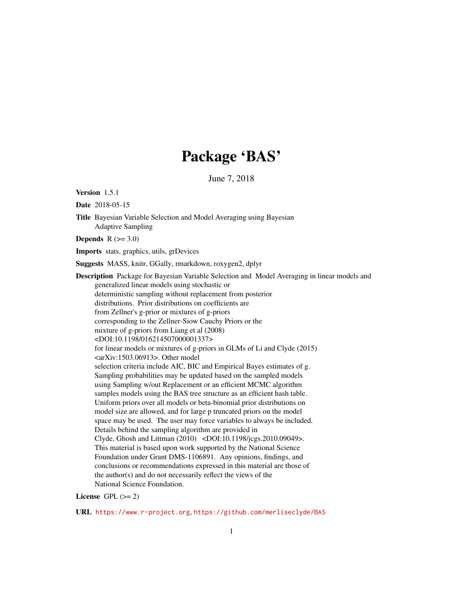# Package 'BAS'

June 7, 2018

<span id="page-0-0"></span>Version 1.5.1

Date 2018-05-15

Title Bayesian Variable Selection and Model Averaging using Bayesian Adaptive Sampling

Depends  $R (=3.0)$ 

Imports stats, graphics, utils, grDevices

Suggests MASS, knitr, GGally, rmarkdown, roxygen2, dplyr

Description Package for Bayesian Variable Selection and Model Averaging in linear models and generalized linear models using stochastic or deterministic sampling without replacement from posterior distributions. Prior distributions on coefficients are from Zellner's g-prior or mixtures of g-priors corresponding to the Zellner-Siow Cauchy Priors or the mixture of g-priors from Liang et al (2008) <DOI:10.1198/016214507000001337> for linear models or mixtures of g-priors in GLMs of Li and Clyde (2015)  $\langle \text{arXiv:1503.06913}\rangle$ . Other model selection criteria include AIC, BIC and Empirical Bayes estimates of g. Sampling probabilities may be updated based on the sampled models using Sampling w/out Replacement or an efficient MCMC algorithm samples models using the BAS tree structure as an efficient hash table. Uniform priors over all models or beta-binomial prior distributions on model size are allowed, and for large p truncated priors on the model space may be used. The user may force variables to always be included. Details behind the sampling algorithm are provided in Clyde, Ghosh and Littman (2010) <DOI:10.1198/jcgs.2010.09049>. This material is based upon work supported by the National Science Foundation under Grant DMS-1106891. Any opinions, findings, and conclusions or recommendations expressed in this material are those of the author(s) and do not necessarily reflect the views of the National Science Foundation.

#### License GPL  $(>= 2)$

URL <https://www.r-project.org>, <https://github.com/merliseclyde/BAS>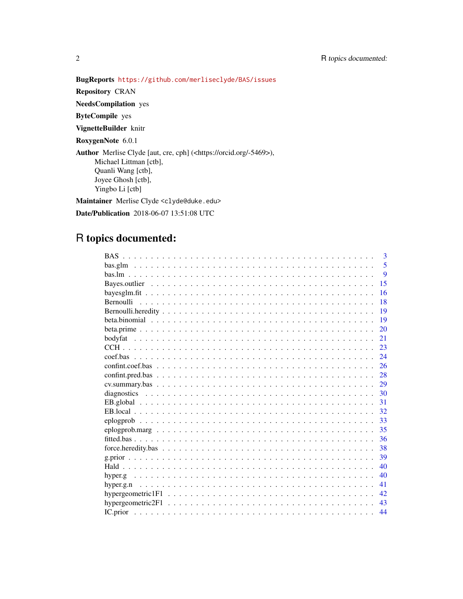# BugReports <https://github.com/merliseclyde/BAS/issues>

Repository CRAN

NeedsCompilation yes

ByteCompile yes

VignetteBuilder knitr

RoxygenNote 6.0.1

Author Merlise Clyde [aut, cre, cph] (<https://orcid.org/-5469>), Michael Littman [ctb], Quanli Wang [ctb], Joyee Ghosh [ctb], Yingbo Li [ctb]

Maintainer Merlise Clyde <clyde@duke.edu>

Date/Publication 2018-06-07 13:51:08 UTC

# R topics documented:

| $\mathbf{3}$ |
|--------------|
| 5            |
| 9            |
| 15           |
| 16           |
| 18           |
| 19           |
| 19           |
| 20           |
| 21           |
| 23           |
| 24           |
| 26           |
| 28           |
| 29           |
| 30           |
| 31           |
| 32           |
| 33           |
| 35           |
| 36           |
| 38           |
| 39           |
| 40           |
| 40           |
| 41           |
| 42           |
| 43           |
| 44           |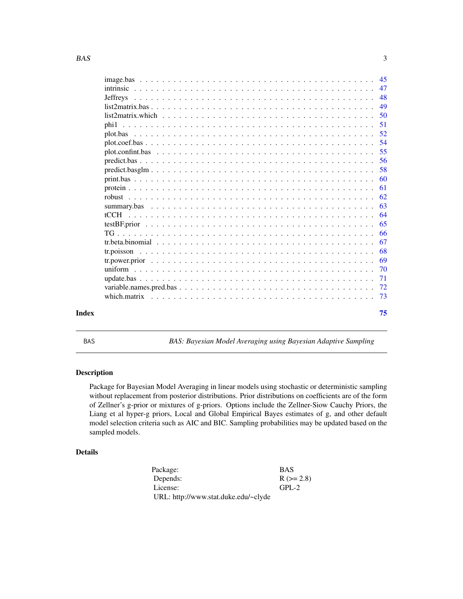<span id="page-2-0"></span>

|       | 47                                            |    |
|-------|-----------------------------------------------|----|
|       |                                               |    |
|       | 49                                            |    |
|       | .50<br>$list2matrix, which                  $ |    |
|       | -51                                           |    |
|       | 52                                            |    |
|       |                                               |    |
|       |                                               |    |
|       |                                               |    |
|       | - 58<br>$predict.basglm$                      |    |
|       |                                               |    |
|       | -61                                           |    |
|       | -62                                           |    |
|       |                                               | 63 |
|       |                                               |    |
|       | -65                                           |    |
|       |                                               | 66 |
|       |                                               | 67 |
|       |                                               | 68 |
|       |                                               | 69 |
|       | -70                                           |    |
|       | 71                                            |    |
|       |                                               |    |
|       |                                               |    |
| Index |                                               | 75 |
|       |                                               |    |

<span id="page-2-1"></span>BAS *BAS: Bayesian Model Averaging using Bayesian Adaptive Sampling*

# Description

Package for Bayesian Model Averaging in linear models using stochastic or deterministic sampling without replacement from posterior distributions. Prior distributions on coefficients are of the form of Zellner's g-prior or mixtures of g-priors. Options include the Zellner-Siow Cauchy Priors, the Liang et al hyper-g priors, Local and Global Empirical Bayes estimates of g, and other default model selection criteria such as AIC and BIC. Sampling probabilities may be updated based on the sampled models.

# Details

| Package:                             | <b>BAS</b>  |
|--------------------------------------|-------------|
| Depends:                             | $R (= 2.8)$ |
| License:                             | $GPI - 2$   |
| URL: http://www.stat.duke.edu/~clyde |             |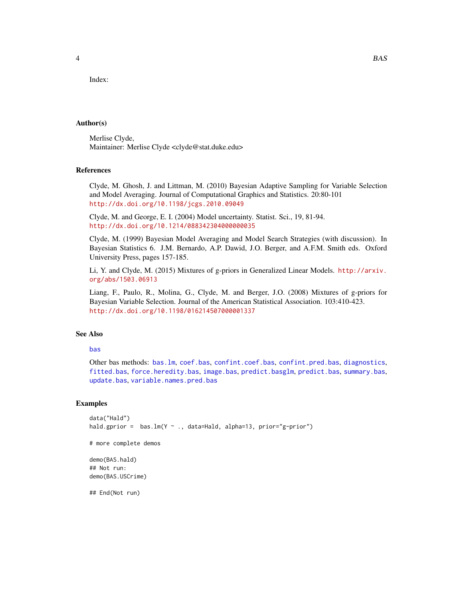Index:

## Author(s)

Merlise Clyde, Maintainer: Merlise Clyde <clyde@stat.duke.edu>

# References

Clyde, M. Ghosh, J. and Littman, M. (2010) Bayesian Adaptive Sampling for Variable Selection and Model Averaging. Journal of Computational Graphics and Statistics. 20:80-101 <http://dx.doi.org/10.1198/jcgs.2010.09049>

Clyde, M. and George, E. I. (2004) Model uncertainty. Statist. Sci., 19, 81-94. <http://dx.doi.org/10.1214/088342304000000035>

Clyde, M. (1999) Bayesian Model Averaging and Model Search Strategies (with discussion). In Bayesian Statistics 6. J.M. Bernardo, A.P. Dawid, J.O. Berger, and A.F.M. Smith eds. Oxford University Press, pages 157-185.

Li, Y. and Clyde, M. (2015) Mixtures of g-priors in Generalized Linear Models. [http://arxiv.](http://arxiv.org/abs/1503.06913) [org/abs/1503.06913](http://arxiv.org/abs/1503.06913)

Liang, F., Paulo, R., Molina, G., Clyde, M. and Berger, J.O. (2008) Mixtures of g-priors for Bayesian Variable Selection. Journal of the American Statistical Association. 103:410-423. <http://dx.doi.org/10.1198/016214507000001337>

# See Also

# [bas](#page-8-1)

Other bas methods: [bas.lm](#page-8-2), [coef.bas](#page-23-1), [confint.coef.bas](#page-25-1), [confint.pred.bas](#page-27-1), [diagnostics](#page-29-1), [fitted.bas](#page-35-1), [force.heredity.bas](#page-37-1), [image.bas](#page-44-1), [predict.basglm](#page-57-1), [predict.bas](#page-55-1), [summary.bas](#page-62-1), [update.bas](#page-70-1), [variable.names.pred.bas](#page-71-1)

# Examples

```
data("Hald")
hald.gprior = bas.lm(Y \sim ., data=Hald, alpha=13, prior="g-prior")
```

```
# more complete demos
```
demo(BAS.hald) ## Not run: demo(BAS.USCrime)

## End(Not run)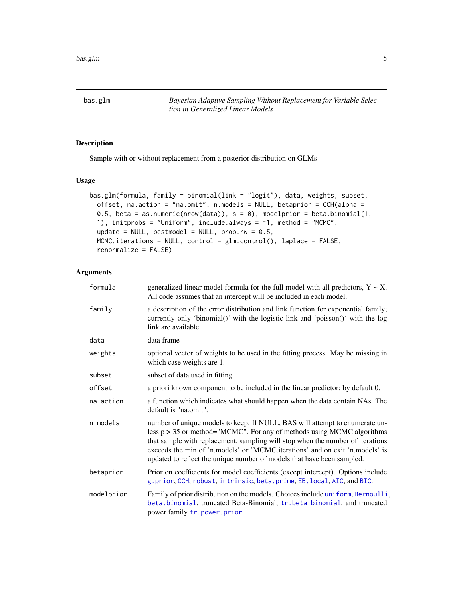<span id="page-4-1"></span><span id="page-4-0"></span>bas.glm *Bayesian Adaptive Sampling Without Replacement for Variable Selection in Generalized Linear Models*

#### Description

Sample with or without replacement from a posterior distribution on GLMs

# Usage

```
bas.glm(formula, family = binomial(link = "logit"), data, weights, subset,
 offset, na.action = "na.omit", n.models = NULL, betaprior = CCH(alpha =
  0.5, beta = as.numeric(nrow(data)), s = 0), modelprior = beta.binomial(1,
  1), initprobs = "Uniform", include.always = ~1, method = "MCMC",
  update = NULL, bestmodel = NULL, prob.rw = 0.5,
 MCMC.iterations = NULL, control = glm.control(), laplace = FALSE,
  renormalize = FALSE)
```

| formula    | generalized linear model formula for the full model with all predictors, $Y \sim X$ .<br>All code assumes that an intercept will be included in each model.                                                                                                                                                                                                                                         |
|------------|-----------------------------------------------------------------------------------------------------------------------------------------------------------------------------------------------------------------------------------------------------------------------------------------------------------------------------------------------------------------------------------------------------|
| family     | a description of the error distribution and link function for exponential family;<br>currently only 'binomial()' with the logistic link and 'poisson()' with the log<br>link are available.                                                                                                                                                                                                         |
| data       | data frame                                                                                                                                                                                                                                                                                                                                                                                          |
| weights    | optional vector of weights to be used in the fitting process. May be missing in<br>which case weights are 1.                                                                                                                                                                                                                                                                                        |
| subset     | subset of data used in fitting                                                                                                                                                                                                                                                                                                                                                                      |
| offset     | a priori known component to be included in the linear predictor; by default 0.                                                                                                                                                                                                                                                                                                                      |
| na.action  | a function which indicates what should happen when the data contain NAs. The<br>default is "na.omit".                                                                                                                                                                                                                                                                                               |
| n.models   | number of unique models to keep. If NULL, BAS will attempt to enumerate un-<br>less $p > 35$ or method="MCMC". For any of methods using MCMC algorithms<br>that sample with replacement, sampling will stop when the number of iterations<br>exceeds the min of 'n.models' or 'MCMC.iterations' and on exit 'n.models' is<br>updated to reflect the unique number of models that have been sampled. |
| betaprior  | Prior on coefficients for model coefficients (except intercept). Options include<br>g.prior, CCH, robust, intrinsic, beta.prime, EB.local, AIC, and BIC.                                                                                                                                                                                                                                            |
| modelprior | Family of prior distribution on the models. Choices include uniform, Bernoulli,<br>beta.binomial, truncated Beta-Binomial, tr.beta.binomial, and truncated<br>power family tr.power.prior.                                                                                                                                                                                                          |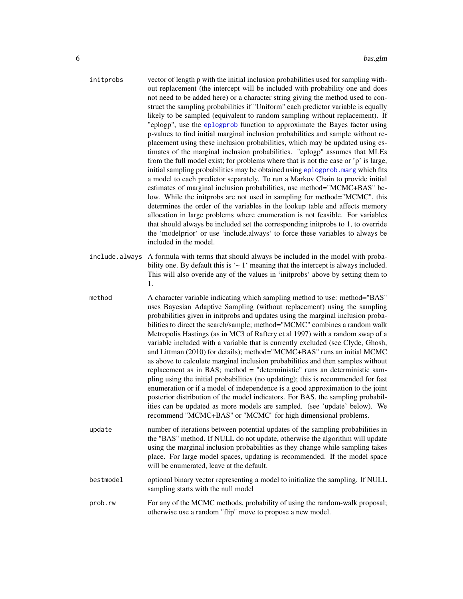| initprobs      | vector of length p with the initial inclusion probabilities used for sampling with-<br>out replacement (the intercept will be included with probability one and does<br>not need to be added here) or a character string giving the method used to con-<br>struct the sampling probabilities if "Uniform" each predictor variable is equally<br>likely to be sampled (equivalent to random sampling without replacement). If<br>"eplogp", use the eplogprob function to approximate the Bayes factor using<br>p-values to find initial marginal inclusion probabilities and sample without re-<br>placement using these inclusion probabilities, which may be updated using es-<br>timates of the marginal inclusion probabilities. "eplogp" assumes that MLEs<br>from the full model exist; for problems where that is not the case or 'p' is large,<br>initial sampling probabilities may be obtained using eplogprob. marg which fits<br>a model to each predictor separately. To run a Markov Chain to provide initial<br>estimates of marginal inclusion probabilities, use method="MCMC+BAS" be-<br>low. While the initprobs are not used in sampling for method="MCMC", this<br>determines the order of the variables in the lookup table and affects memory<br>allocation in large problems where enumeration is not feasible. For variables<br>that should always be included set the corresponding initprobs to 1, to override<br>the 'modelprior' or use 'include.always' to force these variables to always be<br>included in the model. |
|----------------|------------------------------------------------------------------------------------------------------------------------------------------------------------------------------------------------------------------------------------------------------------------------------------------------------------------------------------------------------------------------------------------------------------------------------------------------------------------------------------------------------------------------------------------------------------------------------------------------------------------------------------------------------------------------------------------------------------------------------------------------------------------------------------------------------------------------------------------------------------------------------------------------------------------------------------------------------------------------------------------------------------------------------------------------------------------------------------------------------------------------------------------------------------------------------------------------------------------------------------------------------------------------------------------------------------------------------------------------------------------------------------------------------------------------------------------------------------------------------------------------------------------------------------------------------|
| include.always | A formula with terms that should always be included in the model with proba-<br>bility one. By default this is $\sim 1$ meaning that the intercept is always included.<br>This will also overide any of the values in 'initprobs' above by setting them to<br>1.                                                                                                                                                                                                                                                                                                                                                                                                                                                                                                                                                                                                                                                                                                                                                                                                                                                                                                                                                                                                                                                                                                                                                                                                                                                                                     |
| method         | A character variable indicating which sampling method to use: method="BAS"<br>uses Bayesian Adaptive Sampling (without replacement) using the sampling<br>probabilities given in initprobs and updates using the marginal inclusion proba-<br>bilities to direct the search/sample; method="MCMC" combines a random walk<br>Metropolis Hastings (as in MC3 of Raftery et al 1997) with a random swap of a<br>variable included with a variable that is currently excluded (see Clyde, Ghosh,<br>and Littman (2010) for details); method="MCMC+BAS" runs an initial MCMC<br>as above to calculate marginal inclusion probabilities and then samples without<br>replacement as in BAS; method = "deterministic" runs an deterministic sam-                                                                                                                                                                                                                                                                                                                                                                                                                                                                                                                                                                                                                                                                                                                                                                                                             |

- pling using the initial probabilities (no updating); this is recommended for fast enumeration or if a model of independence is a good approximation to the joint posterior distribution of the model indicators. For BAS, the sampling probabilities can be updated as more models are sampled. (see 'update' below). We recommend "MCMC+BAS" or "MCMC" for high dimensional problems.
- update number of iterations between potential updates of the sampling probabilities in the "BAS" method. If NULL do not update, otherwise the algorithm will update using the marginal inclusion probabilities as they change while sampling takes place. For large model spaces, updating is recommended. If the model space will be enumerated, leave at the default.
- bestmodel optional binary vector representing a model to initialize the sampling. If NULL sampling starts with the null model
- prob.rw For any of the MCMC methods, probability of using the random-walk proposal; otherwise use a random "flip" move to propose a new model.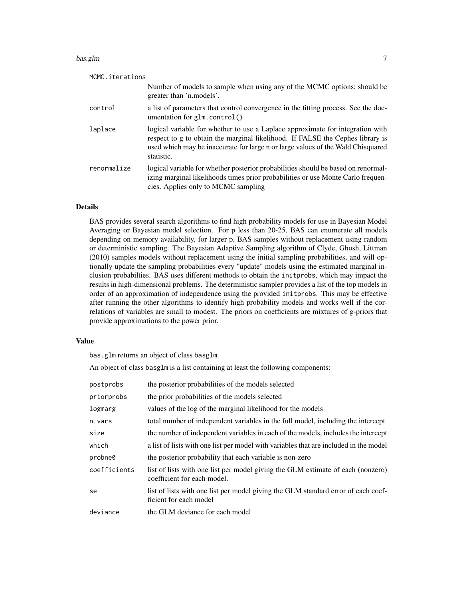#### bas.glm  $\sim$  7

| MCMC.iterations |                                                                                                                                                                                                                                                                   |  |
|-----------------|-------------------------------------------------------------------------------------------------------------------------------------------------------------------------------------------------------------------------------------------------------------------|--|
|                 | Number of models to sample when using any of the MCMC options; should be<br>greater than 'n models'.                                                                                                                                                              |  |
| control         | a list of parameters that control convergence in the fitting process. See the doc-<br>umentation for glm.control()                                                                                                                                                |  |
| laplace         | logical variable for whether to use a Laplace approximate for integration with<br>respect to g to obtain the marginal likelihood. If FALSE the Cephes library is<br>used which may be inaccurate for large n or large values of the Wald Chisquared<br>statistic. |  |
| renormalize     | logical variable for whether posterior probabilities should be based on renormal-<br>izing marginal likelihoods times prior probabilities or use Monte Carlo frequen-<br>cies. Applies only to MCMC sampling                                                      |  |

#### Details

BAS provides several search algorithms to find high probability models for use in Bayesian Model Averaging or Bayesian model selection. For p less than 20-25, BAS can enumerate all models depending on memory availability, for larger p, BAS samples without replacement using random or deterministic sampling. The Bayesian Adaptive Sampling algorithm of Clyde, Ghosh, Littman (2010) samples models without replacement using the initial sampling probabilities, and will optionally update the sampling probabilities every "update" models using the estimated marginal inclusion probabilties. BAS uses different methods to obtain the initprobs, which may impact the results in high-dimensional problems. The deterministic sampler provides a list of the top models in order of an approximation of independence using the provided initprobs. This may be effective after running the other algorithms to identify high probability models and works well if the correlations of variables are small to modest. The priors on coefficients are mixtures of g-priors that provide approximations to the power prior.

# Value

bas.glm returns an object of class basglm

An object of class basglm is a list containing at least the following components:

| postprobs    | the posterior probabilities of the models selected                                                             |
|--------------|----------------------------------------------------------------------------------------------------------------|
| priorprobs   | the prior probabilities of the models selected                                                                 |
| logmarg      | values of the log of the marginal likelihood for the models                                                    |
| n.vars       | total number of independent variables in the full model, including the intercept                               |
| size         | the number of independent variables in each of the models, includes the intercept                              |
| which        | a list of lists with one list per model with variables that are included in the model                          |
| probne0      | the posterior probability that each variable is non-zero                                                       |
| coefficients | list of lists with one list per model giving the GLM estimate of each (nonzero)<br>coefficient for each model. |
| se           | list of lists with one list per model giving the GLM standard error of each coef-<br>ficient for each model    |
| deviance     | the GLM deviance for each model                                                                                |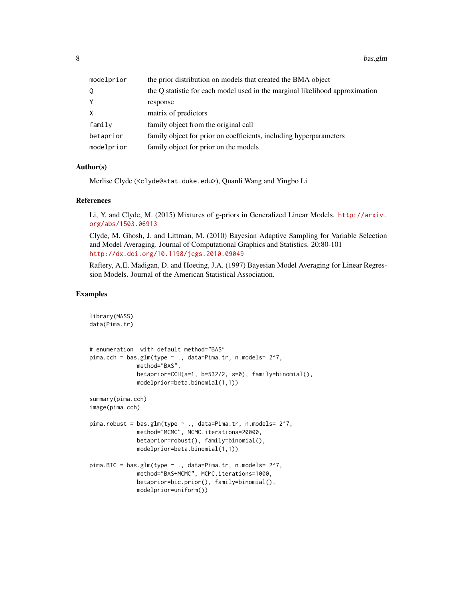8 bas.glm

| modelprior | the prior distribution on models that created the BMA object                 |
|------------|------------------------------------------------------------------------------|
| Q          | the Q statistic for each model used in the marginal likelihood approximation |
| Y          | response                                                                     |
| $\times$   | matrix of predictors                                                         |
| family     | family object from the original call                                         |
| betaprior  | family object for prior on coefficients, including hyperparameters           |
| modelprior | family object for prior on the models                                        |

#### Author(s)

```
Merlise Clyde (<clyde@stat.duke.edu>), Quanli Wang and Yingbo Li
```
# References

Li, Y. and Clyde, M. (2015) Mixtures of g-priors in Generalized Linear Models. [http://arxiv.](http://arxiv.org/abs/1503.06913) [org/abs/1503.06913](http://arxiv.org/abs/1503.06913)

Clyde, M. Ghosh, J. and Littman, M. (2010) Bayesian Adaptive Sampling for Variable Selection and Model Averaging. Journal of Computational Graphics and Statistics. 20:80-101 <http://dx.doi.org/10.1198/jcgs.2010.09049>

Raftery, A.E, Madigan, D. and Hoeting, J.A. (1997) Bayesian Model Averaging for Linear Regression Models. Journal of the American Statistical Association.

#### Examples

```
library(MASS)
data(Pima.tr)
# enumeration with default method="BAS"
pima.cch = bas.glm(type ~ ., data=Pima.tr, n.models= 2^7,
             method="BAS",
             betaprior=CCH(a=1, b=532/2, s=0), family=binomial(),
             modelprior=beta.binomial(1,1))
summary(pima.cch)
image(pima.cch)
pima.robust = bas.glm(type ~ ., data=Pima.tr, n.models= 2^7,
             method="MCMC", MCMC.iterations=20000,
             betaprior=robust(), family=binomial(),
             modelprior=beta.binomial(1,1))
pima.BIC = bas.glm(type ~ ., data=Pima.tr, n.models= 2^7,
             method="BAS+MCMC", MCMC.iterations=1000,
              betaprior=bic.prior(), family=binomial(),
             modelprior=uniform())
```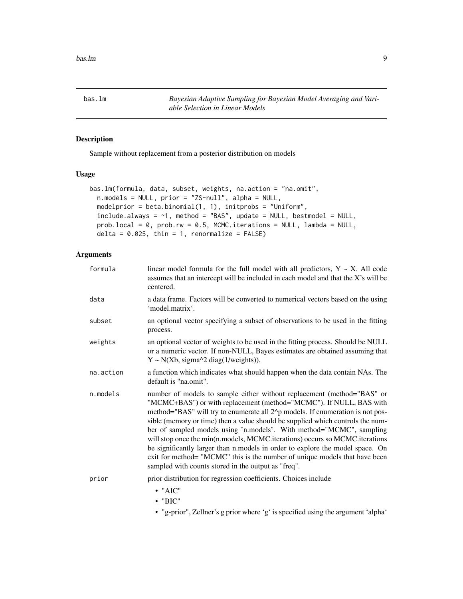<span id="page-8-2"></span><span id="page-8-0"></span>bas.lm *Bayesian Adaptive Sampling for Bayesian Model Averaging and Variable Selection in Linear Models*

# <span id="page-8-1"></span>Description

Sample without replacement from a posterior distribution on models

# Usage

```
bas.lm(formula, data, subset, weights, na.action = "na.omit",
 n.models = NULL, prior = "ZS-null", alpha = NULL,
 modelprior = beta.binomial(1, 1), initprobs = "Uniform",
  include.always = \sim1, method = "BAS", update = NULL, bestmodel = NULL,
 prob.local = 0, prob.rw = 0.5, MCMC.iterations = NULL, lambda = NULL,
  delta = 0.025, thin = 1, renormalize = FALSE)
```

| formula   | linear model formula for the full model with all predictors, $Y \sim X$ . All code<br>assumes that an intercept will be included in each model and that the X's will be<br>centered.                                                                                                                                                                                                                                                                                                                                                                                                                                                                                                         |
|-----------|----------------------------------------------------------------------------------------------------------------------------------------------------------------------------------------------------------------------------------------------------------------------------------------------------------------------------------------------------------------------------------------------------------------------------------------------------------------------------------------------------------------------------------------------------------------------------------------------------------------------------------------------------------------------------------------------|
| data      | a data frame. Factors will be converted to numerical vectors based on the using<br>'model.matrix'.                                                                                                                                                                                                                                                                                                                                                                                                                                                                                                                                                                                           |
| subset    | an optional vector specifying a subset of observations to be used in the fitting<br>process.                                                                                                                                                                                                                                                                                                                                                                                                                                                                                                                                                                                                 |
| weights   | an optional vector of weights to be used in the fitting process. Should be NULL<br>or a numeric vector. If non-NULL, Bayes estimates are obtained assuming that<br>$Y \sim N(Xb, sigma^2 \text{ diag}(1/weights)).$                                                                                                                                                                                                                                                                                                                                                                                                                                                                          |
| na.action | a function which indicates what should happen when the data contain NAs. The<br>default is "na.omit".                                                                                                                                                                                                                                                                                                                                                                                                                                                                                                                                                                                        |
| n.models  | number of models to sample either without replacement (method="BAS" or<br>"MCMC+BAS") or with replacement (method="MCMC"). If NULL, BAS with<br>method="BAS" will try to enumerate all 2^p models. If enumeration is not pos-<br>sible (memory or time) then a value should be supplied which controls the num-<br>ber of sampled models using 'n.models'. With method="MCMC", sampling<br>will stop once the min(n.models, MCMC.iterations) occurs so MCMC.iterations<br>be significantly larger than n.models in order to explore the model space. On<br>exit for method= "MCMC" this is the number of unique models that have been<br>sampled with counts stored in the output as "freq". |
| prior     | prior distribution for regression coefficients. Choices include<br>$\bullet$ "AIC"<br>$\cdot$ "BIC"<br>• "g-prior", Zellner's g prior where 'g' is specified using the argument 'alpha'                                                                                                                                                                                                                                                                                                                                                                                                                                                                                                      |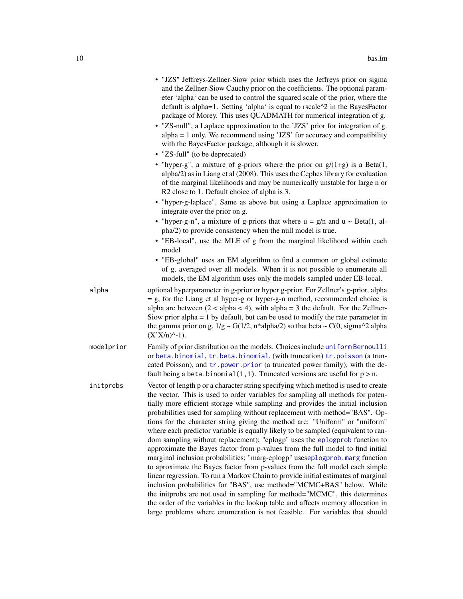|            | • "JZS" Jeffreys-Zellner-Siow prior which uses the Jeffreys prior on sigma<br>and the Zellner-Siow Cauchy prior on the coefficients. The optional param-<br>eter 'alpha' can be used to control the squared scale of the prior, where the<br>default is alpha=1. Setting 'alpha' is equal to rscale^2 in the BayesFactor<br>package of Morey. This uses QUADMATH for numerical integration of g.<br>• "ZS-null", a Laplace approximation to the 'JZS' prior for integration of g.<br>$alpha = 1$ only. We recommend using 'JZS' for accuracy and compatibility<br>with the BayesFactor package, although it is slower.<br>• "ZS-full" (to be deprecated)                                                                                                                                                                                                                                                                                                                                                                                                                                                                                                                                                                                                |
|------------|---------------------------------------------------------------------------------------------------------------------------------------------------------------------------------------------------------------------------------------------------------------------------------------------------------------------------------------------------------------------------------------------------------------------------------------------------------------------------------------------------------------------------------------------------------------------------------------------------------------------------------------------------------------------------------------------------------------------------------------------------------------------------------------------------------------------------------------------------------------------------------------------------------------------------------------------------------------------------------------------------------------------------------------------------------------------------------------------------------------------------------------------------------------------------------------------------------------------------------------------------------|
|            | • "hyper-g", a mixture of g-priors where the prior on $g/(1+g)$ is a Beta(1,<br>alpha/2) as in Liang et al (2008). This uses the Cephes library for evaluation<br>of the marginal likelihoods and may be numerically unstable for large n or<br>R2 close to 1. Default choice of alpha is 3.                                                                                                                                                                                                                                                                                                                                                                                                                                                                                                                                                                                                                                                                                                                                                                                                                                                                                                                                                            |
|            | • "hyper-g-laplace", Same as above but using a Laplace approximation to<br>integrate over the prior on g.                                                                                                                                                                                                                                                                                                                                                                                                                                                                                                                                                                                                                                                                                                                                                                                                                                                                                                                                                                                                                                                                                                                                               |
|            | • "hyper-g-n", a mixture of g-priors that where $u = g/n$ and $u \sim Beta(1, al-$<br>pha/2) to provide consistency when the null model is true.                                                                                                                                                                                                                                                                                                                                                                                                                                                                                                                                                                                                                                                                                                                                                                                                                                                                                                                                                                                                                                                                                                        |
|            | • "EB-local", use the MLE of g from the marginal likelihood within each<br>model                                                                                                                                                                                                                                                                                                                                                                                                                                                                                                                                                                                                                                                                                                                                                                                                                                                                                                                                                                                                                                                                                                                                                                        |
|            | • "EB-global" uses an EM algorithm to find a common or global estimate<br>of g, averaged over all models. When it is not possible to enumerate all<br>models, the EM algorithm uses only the models sampled under EB-local.                                                                                                                                                                                                                                                                                                                                                                                                                                                                                                                                                                                                                                                                                                                                                                                                                                                                                                                                                                                                                             |
| alpha      | optional hyperparameter in g-prior or hyper g-prior. For Zellner's g-prior, alpha<br>$=$ g, for the Liang et al hyper-g or hyper-g-n method, recommended choice is<br>alpha are between $(2 < a$ lpha $< 4)$ , with alpha = 3 the default. For the Zellner-<br>Siow prior alpha $= 1$ by default, but can be used to modify the rate parameter in<br>the gamma prior on g, $1/g \sim G(1/2, n*alpha/2)$ so that beta $\sim C(0, sigma^2)$ alpha<br>$(X'X/n)^{\wedge_{-1}}$ .                                                                                                                                                                                                                                                                                                                                                                                                                                                                                                                                                                                                                                                                                                                                                                            |
| modelprior | Family of prior distribution on the models. Choices include uniform Bernoulli<br>or beta.binomial, tr.beta.binomial, (with truncation) tr.poisson (a trun-<br>cated Poisson), and tr. power. prior (a truncated power family), with the de-<br>fault being a beta.binomial(1,1). Truncated versions are useful for $p > n$ .                                                                                                                                                                                                                                                                                                                                                                                                                                                                                                                                                                                                                                                                                                                                                                                                                                                                                                                            |
| initprobs  | Vector of length p or a character string specifying which method is used to create<br>the vector. This is used to order variables for sampling all methods for poten-<br>tially more efficient storage while sampling and provides the initial inclusion<br>probabilities used for sampling without replacement with method="BAS". Op-<br>tions for the character string giving the method are: "Uniform" or "uniform"<br>where each predictor variable is equally likely to be sampled (equivalent to ran-<br>dom sampling without replacement); "eplogp" uses the eplogprob function to<br>approximate the Bayes factor from p-values from the full model to find initial<br>marginal inclusion probabilities; "marg-eplogp" useseplogprob.marg function<br>to aproximate the Bayes factor from p-values from the full model each simple<br>linear regression. To run a Markov Chain to provide initial estimates of marginal<br>inclusion probabilities for "BAS", use method="MCMC+BAS" below. While<br>the initprobs are not used in sampling for method="MCMC", this determines<br>the order of the variables in the lookup table and affects memory allocation in<br>large problems where enumeration is not feasible. For variables that should |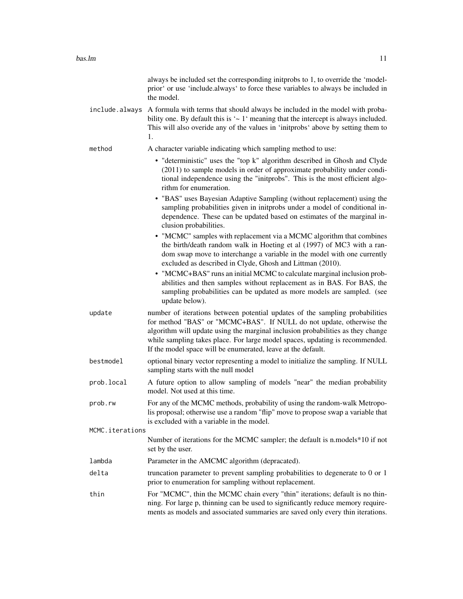|                 | always be included set the corresponding initprobs to 1, to override the 'model-<br>prior' or use 'include.always' to force these variables to always be included in<br>the model.                                                                                                                                                                                                      |
|-----------------|-----------------------------------------------------------------------------------------------------------------------------------------------------------------------------------------------------------------------------------------------------------------------------------------------------------------------------------------------------------------------------------------|
| include.always  | A formula with terms that should always be included in the model with proba-<br>bility one. By default this is $\sim 1$ meaning that the intercept is always included.<br>This will also overide any of the values in 'initprobs' above by setting them to<br>1.                                                                                                                        |
| method          | A character variable indicating which sampling method to use:                                                                                                                                                                                                                                                                                                                           |
|                 | • "deterministic" uses the "top k" algorithm described in Ghosh and Clyde<br>(2011) to sample models in order of approximate probability under condi-<br>tional independence using the "initprobs". This is the most efficient algo-<br>rithm for enumeration.                                                                                                                          |
|                 | • "BAS" uses Bayesian Adaptive Sampling (without replacement) using the<br>sampling probabilities given in initprobs under a model of conditional in-<br>dependence. These can be updated based on estimates of the marginal in-<br>clusion probabilities.                                                                                                                              |
|                 | • "MCMC" samples with replacement via a MCMC algorithm that combines<br>the birth/death random walk in Hoeting et al (1997) of MC3 with a ran-<br>dom swap move to interchange a variable in the model with one currently<br>excluded as described in Clyde, Ghosh and Littman (2010).                                                                                                  |
|                 | • "MCMC+BAS" runs an initial MCMC to calculate marginal inclusion prob-<br>abilities and then samples without replacement as in BAS. For BAS, the<br>sampling probabilities can be updated as more models are sampled. (see<br>update below).                                                                                                                                           |
| update          | number of iterations between potential updates of the sampling probabilities<br>for method "BAS" or "MCMC+BAS". If NULL do not update, otherwise the<br>algorithm will update using the marginal inclusion probabilities as they change<br>while sampling takes place. For large model spaces, updating is recommended.<br>If the model space will be enumerated, leave at the default. |
| bestmodel       | optional binary vector representing a model to initialize the sampling. If NULL<br>sampling starts with the null model                                                                                                                                                                                                                                                                  |
| prob.local      | A future option to allow sampling of models "near" the median probability<br>model. Not used at this time.                                                                                                                                                                                                                                                                              |
| prob.rw         | For any of the MCMC methods, probability of using the random-walk Metropo-<br>lis proposal; otherwise use a random "flip" move to propose swap a variable that<br>is excluded with a variable in the model.                                                                                                                                                                             |
| MCMC.iterations |                                                                                                                                                                                                                                                                                                                                                                                         |
|                 | Number of iterations for the MCMC sampler; the default is n.models*10 if not<br>set by the user.                                                                                                                                                                                                                                                                                        |
| lambda          | Parameter in the AMCMC algorithm (depracated).                                                                                                                                                                                                                                                                                                                                          |
| delta           | truncation parameter to prevent sampling probabilities to degenerate to 0 or 1<br>prior to enumeration for sampling without replacement.                                                                                                                                                                                                                                                |
| thin            | For "MCMC", thin the MCMC chain every "thin" iterations; default is no thin-<br>ning. For large p, thinning can be used to significantly reduce memory require-<br>ments as models and associated summaries are saved only every thin iterations.                                                                                                                                       |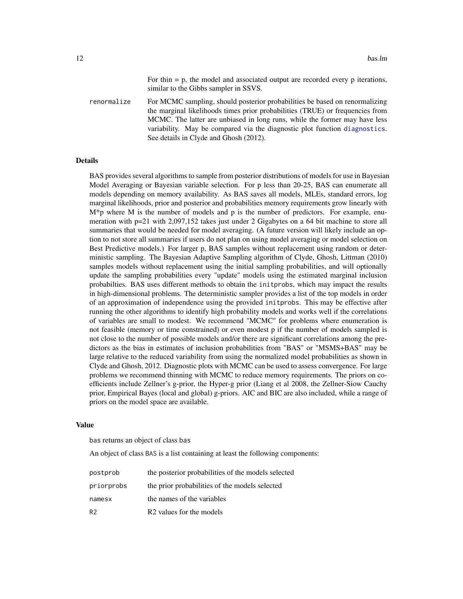For thin  $= p$ , the model and associated output are recorded every  $p$  iterations, similar to the Gibbs sampler in SSVS.

renormalize For MCMC sampling, should posterior probabilities be based on renormalizing the marginal likelihoods times prior probabilities (TRUE) or frequencies from MCMC. The latter are unbiased in long runs, while the former may have less variability. May be compared via the diagnostic plot function [diagnostics](#page-29-1). See details in Clyde and Ghosh (2012).

#### Details

BAS provides several algorithms to sample from posterior distributions of models for use in Bayesian Model Averaging or Bayesian variable selection. For p less than 20-25, BAS can enumerate all models depending on memory availability. As BAS saves all models, MLEs, standard errors, log marginal likelihoods, prior and posterior and probabilities memory requirements grow linearly with  $M^*p$  where M is the number of models and p is the number of predictors. For example, enumeration with p=21 with 2,097,152 takes just under 2 Gigabytes on a 64 bit machine to store all summaries that would be needed for model averaging. (A future version will likely include an option to not store all summaries if users do not plan on using model averaging or model selection on Best Predictive models.) For larger p, BAS samples without replacement using random or deterministic sampling. The Bayesian Adaptive Sampling algorithm of Clyde, Ghosh, Littman (2010) samples models without replacement using the initial sampling probabilities, and will optionally update the sampling probabilities every "update" models using the estimated marginal inclusion probabilties. BAS uses different methods to obtain the initprobs, which may impact the results in high-dimensional problems. The deterministic sampler provides a list of the top models in order of an approximation of independence using the provided initprobs. This may be effective after running the other algorithms to identify high probability models and works well if the correlations of variables are small to modest. We recommend "MCMC" for problems where enumeration is not feasible (memory or time constrained) or even modest p if the number of models sampled is not close to the number of possible models and/or there are significant correlations among the predictors as the bias in estimates of inclusion probabilities from "BAS" or "MSMS+BAS" may be large relative to the reduced variability from using the normalized model probabilities as shown in Clyde and Ghosh, 2012. Diagnostic plots with MCMC can be used to assess convergence. For large problems we recommend thinning with MCMC to reduce memory requirements. The priors on coefficients include Zellner's g-prior, the Hyper-g prior (Liang et al 2008, the Zellner-Siow Cauchy prior, Empirical Bayes (local and global) g-priors. AIC and BIC are also included, while a range of priors on the model space are available.

#### Value

bas returns an object of class bas

An object of class BAS is a list containing at least the following components:

| postprob       | the posterior probabilities of the models selected |
|----------------|----------------------------------------------------|
| priorprobs     | the prior probabilities of the models selected     |
| namesx         | the names of the variables                         |
| R <sub>2</sub> | R <sub>2</sub> values for the models               |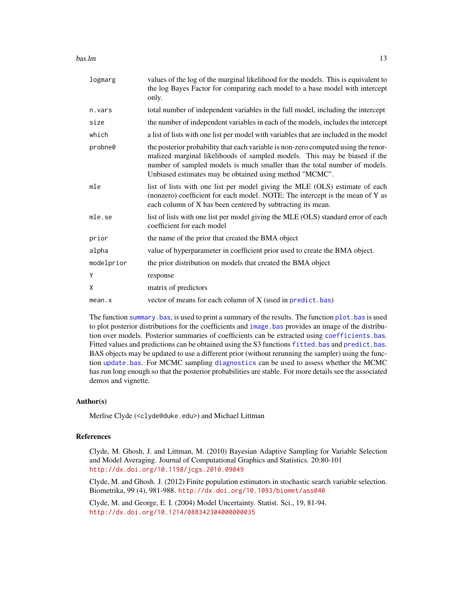#### bas.lm and the contract of the contract of the contract of the contract of the contract of the contract of the contract of the contract of the contract of the contract of the contract of the contract of the contract of the

| logmarg    | values of the log of the marginal likelihood for the models. This is equivalent to<br>the log Bayes Factor for comparing each model to a base model with intercept<br>only.                                                                                                                             |
|------------|---------------------------------------------------------------------------------------------------------------------------------------------------------------------------------------------------------------------------------------------------------------------------------------------------------|
| n.vars     | total number of independent variables in the full model, including the intercept                                                                                                                                                                                                                        |
| size       | the number of independent variables in each of the models, includes the intercept                                                                                                                                                                                                                       |
| which      | a list of lists with one list per model with variables that are included in the model                                                                                                                                                                                                                   |
| probne0    | the posterior probability that each variable is non-zero computed using the renor-<br>malized marginal likelihoods of sampled models. This may be biased if the<br>number of sampled models is much smaller than the total number of models.<br>Unbiased estimates may be obtained using method "MCMC". |
| mle        | list of lists with one list per model giving the MLE (OLS) estimate of each<br>(nonzero) coefficient for each model. NOTE: The intercept is the mean of Y as<br>each column of X has been centered by subtracting its mean.                                                                             |
| mle.se     | list of lists with one list per model giving the MLE (OLS) standard error of each<br>coefficient for each model                                                                                                                                                                                         |
| prior      | the name of the prior that created the BMA object                                                                                                                                                                                                                                                       |
| alpha      | value of hyperparameter in coefficient prior used to create the BMA object.                                                                                                                                                                                                                             |
| modelprior | the prior distribution on models that created the BMA object                                                                                                                                                                                                                                            |
| Y          | response                                                                                                                                                                                                                                                                                                |
| X          | matrix of predictors                                                                                                                                                                                                                                                                                    |
| mean.x     | vector of means for each column of X (used in predict.bas)                                                                                                                                                                                                                                              |

The function summary. bas, is used to print a summary of the results. The function plot. bas is used to plot posterior distributions for the coefficients and image. bas provides an image of the distribution over models. Posterior summaries of coefficients can be extracted using [coefficients.bas](#page-23-2). Fitted values and predictions can be obtained using the S3 functions [fitted.bas](#page-35-1) and [predict.bas](#page-55-1). BAS objects may be updated to use a different prior (without rerunning the sampler) using the function [update.bas](#page-70-1). For MCMC sampling [diagnostics](#page-29-1) can be used to assess whether the MCMC has run long enough so that the posterior probabilities are stable. For more details see the associated demos and vignette.

#### Author(s)

Merlise Clyde (<clyde@duke.edu>) and Michael Littman

# References

Clyde, M. Ghosh, J. and Littman, M. (2010) Bayesian Adaptive Sampling for Variable Selection and Model Averaging. Journal of Computational Graphics and Statistics. 20:80-101 <http://dx.doi.org/10.1198/jcgs.2010.09049>

Clyde, M. and Ghosh. J. (2012) Finite population estimators in stochastic search variable selection. Biometrika, 99 (4), 981-988. <http://dx.doi.org/10.1093/biomet/ass040>

Clyde, M. and George, E. I. (2004) Model Uncertainty. Statist. Sci., 19, 81-94. <http://dx.doi.org/10.1214/088342304000000035>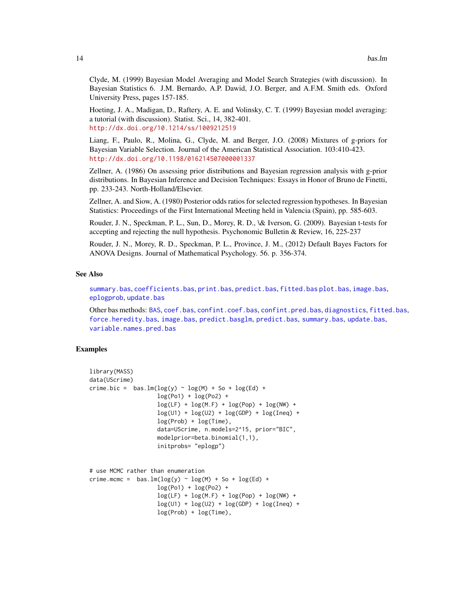Clyde, M. (1999) Bayesian Model Averaging and Model Search Strategies (with discussion). In Bayesian Statistics 6. J.M. Bernardo, A.P. Dawid, J.O. Berger, and A.F.M. Smith eds. Oxford University Press, pages 157-185.

Hoeting, J. A., Madigan, D., Raftery, A. E. and Volinsky, C. T. (1999) Bayesian model averaging: a tutorial (with discussion). Statist. Sci., 14, 382-401. <http://dx.doi.org/10.1214/ss/1009212519>

Liang, F., Paulo, R., Molina, G., Clyde, M. and Berger, J.O. (2008) Mixtures of g-priors for Bayesian Variable Selection. Journal of the American Statistical Association. 103:410-423. <http://dx.doi.org/10.1198/016214507000001337>

Zellner, A. (1986) On assessing prior distributions and Bayesian regression analysis with g-prior distributions. In Bayesian Inference and Decision Techniques: Essays in Honor of Bruno de Finetti, pp. 233-243. North-Holland/Elsevier.

Zellner, A. and Siow, A. (1980) Posterior odds ratios for selected regression hypotheses. In Bayesian Statistics: Proceedings of the First International Meeting held in Valencia (Spain), pp. 585-603.

Rouder, J. N., Speckman, P. L., Sun, D., Morey, R. D., \& Iverson, G. (2009). Bayesian t-tests for accepting and rejecting the null hypothesis. Psychonomic Bulletin & Review, 16, 225-237

Rouder, J. N., Morey, R. D., Speckman, P. L., Province, J. M., (2012) Default Bayes Factors for ANOVA Designs. Journal of Mathematical Psychology. 56. p. 356-374.

# See Also

[summary.bas](#page-62-1), [coefficients.bas](#page-23-2), [print.bas](#page-59-1), [predict.bas](#page-55-1), [fitted.bas](#page-35-1) [plot.bas](#page-51-1), [image.bas](#page-44-1), [eplogprob](#page-32-1), [update.bas](#page-70-1)

Other bas methods: [BAS](#page-2-1), [coef.bas](#page-23-1), [confint.coef.bas](#page-25-1), [confint.pred.bas](#page-27-1), [diagnostics](#page-29-1), [fitted.bas](#page-35-1), [force.heredity.bas](#page-37-1), [image.bas](#page-44-1), [predict.basglm](#page-57-1), [predict.bas](#page-55-1), [summary.bas](#page-62-1), [update.bas](#page-70-1), [variable.names.pred.bas](#page-71-1)

#### Examples

```
library(MASS)
data(UScrime)
crime.bic = bas.lm(log(y) \sim log(M) + So + log(Ed) +
                    log(Po1) + log(Po2) +log(LF) + log(M.F) + log(Pop) + log(NW) +log(U1) + log(U2) + log(GDP) + log(Ineq) +log(Prob) + log(Time),
                    data=UScrime, n.models=2^15, prior="BIC",
                    modelprior=beta.binomial(1,1),
                    initprobs= "eplogp")
# use MCMC rather than enumeration
crime.mcmc = bas.lm(log(y) \sim log(M) + So + log(Ed) +
```

```
log(Po1) + log(Po2) +log(LF) + log(M.F) + log(Pop) + log(NW) +log(U1) + log(U2) + log(GDP) + log(Ineq) +log(Prob) + log(Time),
```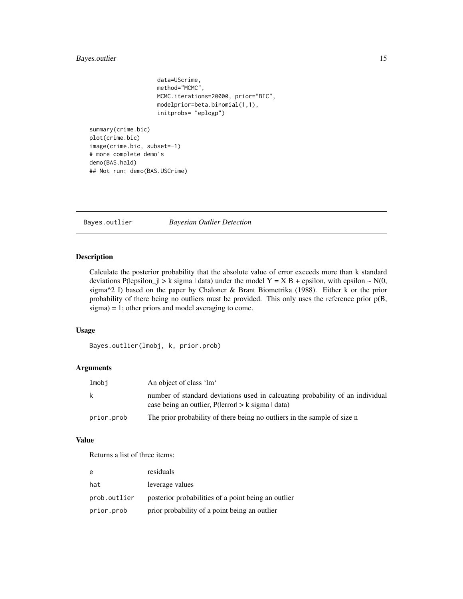# <span id="page-14-0"></span>Bayes.outlier 15

data=UScrime, method="MCMC", MCMC.iterations=20000, prior="BIC", modelprior=beta.binomial(1,1), initprobs= "eplogp")

summary(crime.bic) plot(crime.bic) image(crime.bic, subset=-1) # more complete demo's demo(BAS.hald) ## Not run: demo(BAS.USCrime)

Bayes.outlier *Bayesian Outlier Detection*

#### Description

Calculate the posterior probability that the absolute value of error exceeds more than k standard deviations P(lepsilon\_j| > k sigma | data) under the model  $Y = X B +$  epsilon, with epsilon ~ N(0, sigma^2 I) based on the paper by Chaloner & Brant Biometrika (1988). Either k or the prior probability of there being no outliers must be provided. This only uses the reference prior p(B, sigma) = 1; other priors and model averaging to come.

#### Usage

Bayes.outlier(lmobj, k, prior.prob)

# Arguments

| lmobi      | An object of class 'lm'                                                                                                                       |
|------------|-----------------------------------------------------------------------------------------------------------------------------------------------|
| k          | number of standard deviations used in calcuating probability of an individual<br>case being an outlier, $P($ lerror $ $ > $k$ sigma $ $ data) |
| prior.prob | The prior probability of there being no outliers in the sample of size n                                                                      |

# Value

Returns a list of three items:

| e            | residuals                                           |
|--------------|-----------------------------------------------------|
| hat          | leverage values                                     |
| prob.outlier | posterior probabilities of a point being an outlier |
| prior.prob   | prior probability of a point being an outlier       |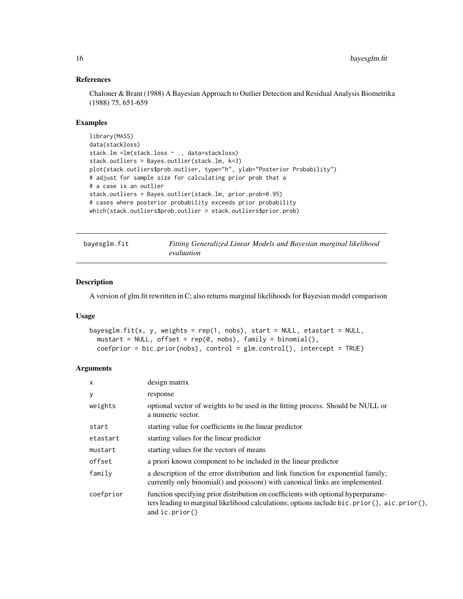# References

Chaloner & Brant (1988) A Bayesian Approach to Outlier Detection and Residual Analysis Biometrika (1988) 75, 651-659

# Examples

```
library(MASS)
data(stackloss)
stack.lm =lm(stack.loss ~ ., data=stackloss)
stack.outliers = Bayes.outlier(stack.lm, k=3)
plot(stack.outliers$prob.outlier, type="h", ylab="Posterior Probability")
# adjust for sample size for calculating prior prob that a
# a case is an outlier
stack.outliers = Bayes.outlier(stack.lm, prior.prob=0.95)
# cases where posterior probability exceeds prior probability
which(stack.outliers$prob.outlier > stack.outliers$prior.prob)
```

| bayesglm.fit | Fitting Generalized Linear Models and Bayesian marginal likelihood |
|--------------|--------------------------------------------------------------------|
|              | evaluation                                                         |

## Description

A version of glm.fit rewritten in C; also returns marginal likelihoods for Bayesian model comparison

#### Usage

```
bayesglm.fit(x, y, weights = rep(1, nobs), start = NULL, etastart = NULL,
 mustart = NULL, offset = rep(0, nobs), family = binomial(),
  coefprior = bic.print(nobs), control = glm.control(), intercept = TRUE)
```

| $\mathsf{x}$ | design matrix                                                                                                                                                                                      |
|--------------|----------------------------------------------------------------------------------------------------------------------------------------------------------------------------------------------------|
| У            | response                                                                                                                                                                                           |
| weights      | optional vector of weights to be used in the fitting process. Should be NULL or<br>a numeric vector.                                                                                               |
| start        | starting value for coefficients in the linear predictor                                                                                                                                            |
| etastart     | starting values for the linear predictor                                                                                                                                                           |
| mustart      | starting values for the vectors of means                                                                                                                                                           |
| offset       | a priori known component to be included in the linear predictor                                                                                                                                    |
| family       | a description of the error distribution and link function for exponential family;<br>currently only binomial() and poisson() with canonical links are implemented.                                 |
| coefprior    | function specifying prior distribution on coefficients with optional hyperparame-<br>ters leading to marginal likelihood calculations; options include bic.prior(), aic.prior(),<br>and ic.prior() |

<span id="page-15-0"></span>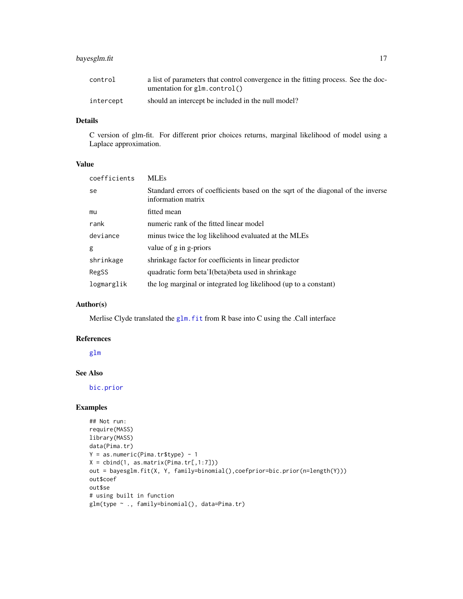# bayesglm.fit 17

| control   | a list of parameters that control convergence in the fitting process. See the doc- |
|-----------|------------------------------------------------------------------------------------|
|           | umentation for $glm$ control()                                                     |
| intercept | should an intercept be included in the null model?                                 |

# Details

C version of glm-fit. For different prior choices returns, marginal likelihood of model using a Laplace approximation.

# Value

| coefficients | <b>MLEs</b>                                                                                            |
|--------------|--------------------------------------------------------------------------------------------------------|
| se           | Standard errors of coefficients based on the sqrt of the diagonal of the inverse<br>information matrix |
| mu           | fitted mean                                                                                            |
| rank         | numeric rank of the fitted linear model                                                                |
| deviance     | minus twice the log likelihood evaluated at the MLEs                                                   |
| g            | value of g in g-priors                                                                                 |
| shrinkage    | shrinkage factor for coefficients in linear predictor                                                  |
| RegSS        | quadratic form beta'I(beta) beta used in shrinkage                                                     |
| logmarglik   | the log marginal or integrated log likelihood (up to a constant)                                       |

# Author(s)

Merlise Clyde translated the glm. fit from R base into C using the .Call interface

#### References

[glm](#page-0-0)

# See Also

[bic.prior](#page-43-1)

# Examples

```
## Not run:
require(MASS)
library(MASS)
data(Pima.tr)
Y = as.numeric(Pina.tr$type) - 1X = \text{cbind}(1, \text{as.matrix}(Pima.tr[, 1:7]))out = bayesglm.fit(X, Y, family=binomial(),coefprior=bic.prior(n=length(Y)))
out$coef
out$se
# using built in function
glm(type ~ ., family=binomial(), data=Pima.tr)
```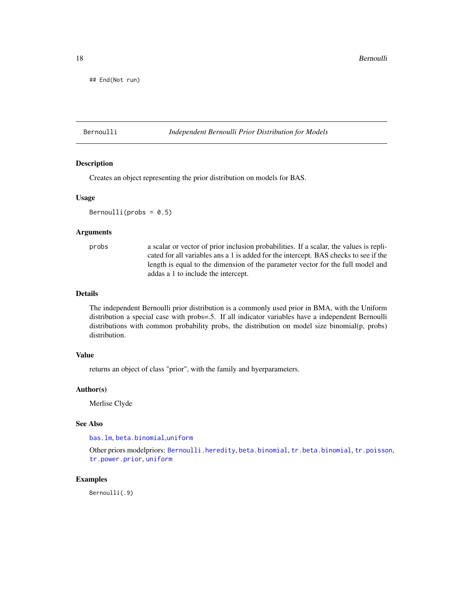<span id="page-17-0"></span>18 Bernoulli

## End(Not run)

#### <span id="page-17-1"></span>Bernoulli *Independent Bernoulli Prior Distribution for Models*

#### Description

Creates an object representing the prior distribution on models for BAS.

#### Usage

 $Bernoulli(probs = 0.5)$ 

# Arguments

probs a scalar or vector of prior inclusion probabilities. If a scalar, the values is replicated for all variables ans a 1 is added for the intercept. BAS checks to see if the length is equal to the dimension of the parameter vector for the full model and addas a 1 to include the intercept.

#### Details

The independent Bernoulli prior distribution is a commonly used prior in BMA, with the Uniform distribution a special case with probs=.5. If all indicator variables have a independent Bernoulli distributions with common probability probs, the distribution on model size binomial(p, probs) distribution.

# Value

returns an object of class "prior", with the family and hyerparameters.

#### Author(s)

Merlise Clyde

# See Also

[bas.lm](#page-8-2), [beta.binomial](#page-18-1),[uniform](#page-69-1)

Other priors modelpriors: [Bernoulli.heredity](#page-18-2), [beta.binomial](#page-18-1), [tr.beta.binomial](#page-66-1), [tr.poisson](#page-67-1), [tr.power.prior](#page-68-1), [uniform](#page-69-1)

# Examples

Bernoulli(.9)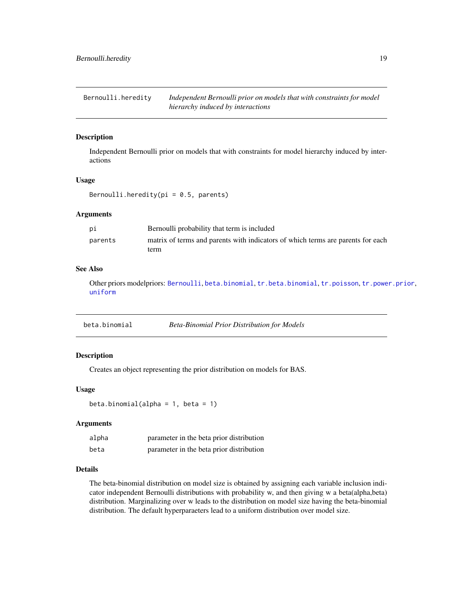<span id="page-18-2"></span><span id="page-18-0"></span>Bernoulli.heredity *Independent Bernoulli prior on models that with constraints for model hierarchy induced by interactions*

# **Description**

Independent Bernoulli prior on models that with constraints for model hierarchy induced by interactions

#### Usage

Bernoulli.heredity( $pi = 0.5$ , parents)

#### Arguments

| рi      | Bernoulli probability that term is included                                     |
|---------|---------------------------------------------------------------------------------|
| parents | matrix of terms and parents with indicators of which terms are parents for each |
|         | term                                                                            |

#### See Also

Other priors modelpriors: [Bernoulli](#page-17-1), [beta.binomial](#page-18-1), [tr.beta.binomial](#page-66-1), [tr.poisson](#page-67-1), [tr.power.prior](#page-68-1), [uniform](#page-69-1)

<span id="page-18-1"></span>

| beta.binomial | <b>Beta-Binomial Prior Distribution for Models</b> |
|---------------|----------------------------------------------------|
|               |                                                    |

### Description

Creates an object representing the prior distribution on models for BAS.

#### Usage

```
beta.binomial(alpha = 1, beta = 1)
```
#### Arguments

| alpha | parameter in the beta prior distribution |  |
|-------|------------------------------------------|--|
| beta  | parameter in the beta prior distribution |  |

#### Details

The beta-binomial distribution on model size is obtained by assigning each variable inclusion indicator independent Bernoulli distributions with probability w, and then giving w a beta(alpha,beta) distribution. Marginalizing over w leads to the distribution on model size having the beta-binomial distribution. The default hyperparaeters lead to a uniform distribution over model size.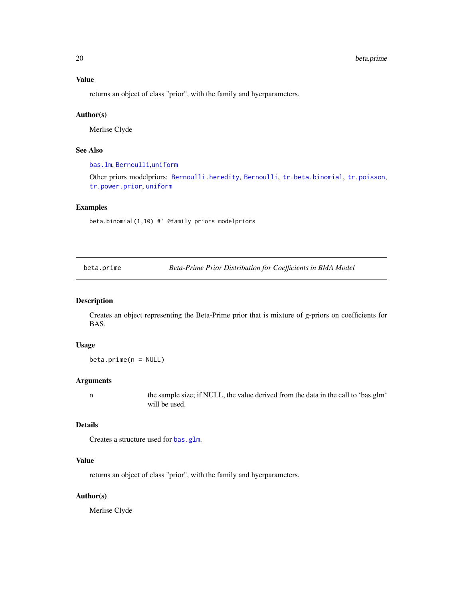returns an object of class "prior", with the family and hyerparameters.

#### Author(s)

Merlise Clyde

# See Also

[bas.lm](#page-8-2), [Bernoulli](#page-17-1),[uniform](#page-69-1)

Other priors modelpriors: [Bernoulli.heredity](#page-18-2), [Bernoulli](#page-17-1), [tr.beta.binomial](#page-66-1), [tr.poisson](#page-67-1), [tr.power.prior](#page-68-1), [uniform](#page-69-1)

#### Examples

beta.binomial(1,10) #' @family priors modelpriors

<span id="page-19-1"></span>beta.prime *Beta-Prime Prior Distribution for Coefficients in BMA Model*

## Description

Creates an object representing the Beta-Prime prior that is mixture of g-priors on coefficients for BAS.

#### Usage

 $beta.prime(n = NULL)$ 

#### Arguments

n the sample size; if NULL, the value derived from the data in the call to 'bas.glm' will be used.

#### Details

Creates a structure used for [bas.glm](#page-4-1).

#### Value

returns an object of class "prior", with the family and hyerparameters.

# Author(s)

Merlise Clyde

<span id="page-19-0"></span>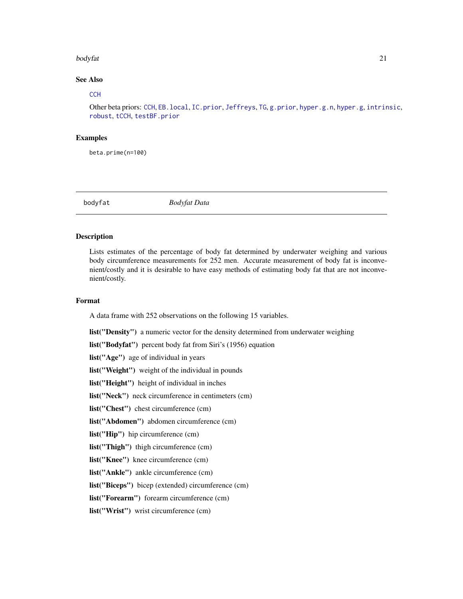#### <span id="page-20-0"></span>bodyfat 21

# See Also

#### **[CCH](#page-22-1)**

Other beta priors: [CCH](#page-22-1), [EB.local](#page-31-1), [IC.prior](#page-43-2), [Jeffreys](#page-47-1), [TG](#page-65-1), [g.prior](#page-38-1), [hyper.g.n](#page-40-1), [hyper.g](#page-39-1), [intrinsic](#page-46-1), [robust](#page-61-1), [tCCH](#page-63-1), [testBF.prior](#page-64-1)

# **Examples**

beta.prime(n=100)

bodyfat *Bodyfat Data*

# Description

Lists estimates of the percentage of body fat determined by underwater weighing and various body circumference measurements for 252 men. Accurate measurement of body fat is inconvenient/costly and it is desirable to have easy methods of estimating body fat that are not inconvenient/costly.

# Format

A data frame with 252 observations on the following 15 variables.

list("Density") a numeric vector for the density determined from underwater weighing

list("Bodyfat") percent body fat from Siri's (1956) equation

list("Age") age of individual in years

list("Weight") weight of the individual in pounds

list("Height") height of individual in inches

list("Neck") neck circumference in centimeters (cm)

list("Chest") chest circumference (cm)

list("Abdomen") abdomen circumference (cm)

list("Hip") hip circumference (cm)

list("Thigh") thigh circumference (cm)

list("Knee") knee circumference (cm)

list("Ankle") ankle circumference (cm)

list("Biceps") bicep (extended) circumference (cm)

list("Forearm") forearm circumference (cm)

list("Wrist") wrist circumference (cm)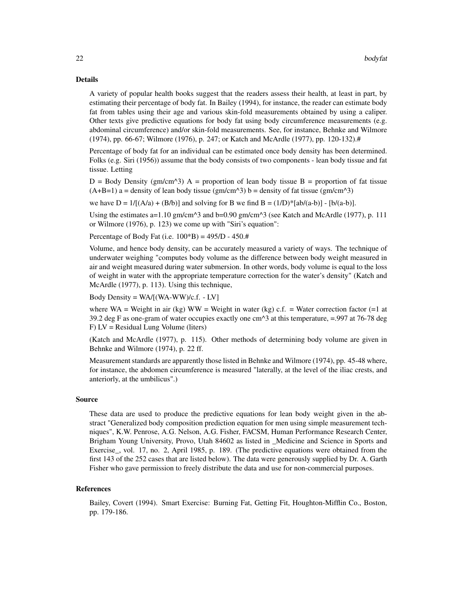#### Details

A variety of popular health books suggest that the readers assess their health, at least in part, by estimating their percentage of body fat. In Bailey (1994), for instance, the reader can estimate body fat from tables using their age and various skin-fold measurements obtained by using a caliper. Other texts give predictive equations for body fat using body circumference measurements (e.g. abdominal circumference) and/or skin-fold measurements. See, for instance, Behnke and Wilmore (1974), pp. 66-67; Wilmore (1976), p. 247; or Katch and McArdle (1977), pp. 120-132).#

Percentage of body fat for an individual can be estimated once body density has been determined. Folks (e.g. Siri (1956)) assume that the body consists of two components - lean body tissue and fat tissue. Letting

 $D = Body Density (gm/cm<sup>2</sup>)$  A = proportion of lean body tissue B = proportion of fat tissue  $(A+B=1)$  a = density of lean body tissue (gm/cm^3) b = density of fat tissue (gm/cm^3)

we have  $D = 1/[(A/a) + (B/b)]$  and solving for B we find  $B = (1/D)^*[ab/(a-b)]$ .  $[b/(a-b)]$ .

Using the estimates  $a=1.10$  gm/cm<sup> $\land$ 3</sup> and b=0.90 gm/cm $\land$ 3 (see Katch and McArdle (1977), p. 111 or Wilmore (1976), p. 123) we come up with "Siri's equation":

Percentage of Body Fat (i.e.  $100*B$ ) = 495/D - 450.#

Volume, and hence body density, can be accurately measured a variety of ways. The technique of underwater weighing "computes body volume as the difference between body weight measured in air and weight measured during water submersion. In other words, body volume is equal to the loss of weight in water with the appropriate temperature correction for the water's density" (Katch and McArdle (1977), p. 113). Using this technique,

Body Density =  $WA/[(WA-WW)/c.f. - LV]$ 

where WA = Weight in air (kg) WW = Weight in water (kg) c.f. = Water correction factor (=1 at 39.2 deg F as one-gram of water occupies exactly one cm^3 at this temperature, =.997 at 76-78 deg F) LV = Residual Lung Volume (liters)

(Katch and McArdle (1977), p. 115). Other methods of determining body volume are given in Behnke and Wilmore (1974), p. 22 ff.

Measurement standards are apparently those listed in Behnke and Wilmore (1974), pp. 45-48 where, for instance, the abdomen circumference is measured "laterally, at the level of the iliac crests, and anteriorly, at the umbilicus".)

#### Source

These data are used to produce the predictive equations for lean body weight given in the abstract "Generalized body composition prediction equation for men using simple measurement techniques", K.W. Penrose, A.G. Nelson, A.G. Fisher, FACSM, Human Performance Research Center, Brigham Young University, Provo, Utah 84602 as listed in \_Medicine and Science in Sports and Exercise, vol. 17, no. 2, April 1985, p. 189. (The predictive equations were obtained from the first 143 of the 252 cases that are listed below). The data were generously supplied by Dr. A. Garth Fisher who gave permission to freely distribute the data and use for non-commercial purposes.

#### References

Bailey, Covert (1994). Smart Exercise: Burning Fat, Getting Fit, Houghton-Mifflin Co., Boston, pp. 179-186.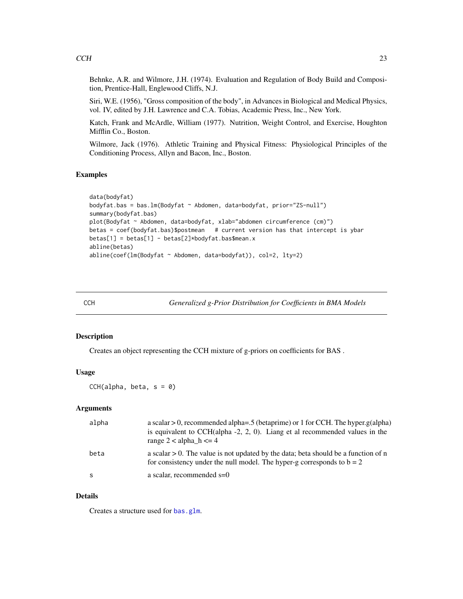<span id="page-22-0"></span>Behnke, A.R. and Wilmore, J.H. (1974). Evaluation and Regulation of Body Build and Composition, Prentice-Hall, Englewood Cliffs, N.J.

Siri, W.E. (1956), "Gross composition of the body", in Advances in Biological and Medical Physics, vol. IV, edited by J.H. Lawrence and C.A. Tobias, Academic Press, Inc., New York.

Katch, Frank and McArdle, William (1977). Nutrition, Weight Control, and Exercise, Houghton Mifflin Co., Boston.

Wilmore, Jack (1976). Athletic Training and Physical Fitness: Physiological Principles of the Conditioning Process, Allyn and Bacon, Inc., Boston.

# Examples

```
data(bodyfat)
bodyfat.bas = bas.lm(Bodyfat ~ Abdomen, data=bodyfat, prior="ZS-null")
summary(bodyfat.bas)
plot(Bodyfat ~ Abdomen, data=bodyfat, xlab="abdomen circumference (cm)")
betas = coef(bodyfat.bas)$postmean # current version has that intercept is ybar
betas[1] = betas[1] - betas[2]*bodyfat.bas$mean.x
abline(betas)
abline(coef(lm(Bodyfat ~ Abdomen, data=bodyfat)), col=2, lty=2)
```
<span id="page-22-1"></span>CCH *Generalized g-Prior Distribution for Coefficients in BMA Models*

# Description

Creates an object representing the CCH mixture of g-priors on coefficients for BAS .

#### Usage

 $CCH(alpha, beta, s = 0)$ 

#### Arguments

| alpha | a scalar $> 0$ , recommended alpha=.5 (betaprime) or 1 for CCH. The hyper.g(alpha)<br>is equivalent to $CCH(alpha - 2, 2, 0)$ . Liang et al recommended values in the<br>range $2 <$ alpha_h $\leq$ = 4 |
|-------|---------------------------------------------------------------------------------------------------------------------------------------------------------------------------------------------------------|
| beta  | a scalar $> 0$ . The value is not updated by the data; beta should be a function of n<br>for consistency under the null model. The hyper-g corresponds to $b = 2$                                       |
| -S    | a scalar, recommended $s=0$                                                                                                                                                                             |

# Details

Creates a structure used for [bas.glm](#page-4-1).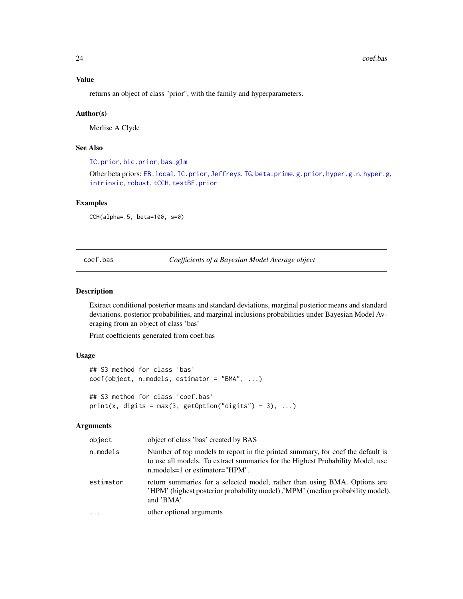#### Value

returns an object of class "prior", with the family and hyperparameters.

#### Author(s)

Merlise A Clyde

# See Also

[IC.prior](#page-43-2), [bic.prior](#page-43-1), [bas.glm](#page-4-1)

Other beta priors: EB. local, IC. prior, [Jeffreys](#page-47-1), [TG](#page-65-1), [beta.prime](#page-19-1), [g.prior](#page-38-1), [hyper.g.n](#page-40-1), [hyper.g](#page-39-1), [intrinsic](#page-46-1), [robust](#page-61-1), [tCCH](#page-63-1), [testBF.prior](#page-64-1)

#### Examples

CCH(alpha=.5, beta=100, s=0)

<span id="page-23-1"></span>coef.bas *Coefficients of a Bayesian Model Average object*

# <span id="page-23-2"></span>Description

Extract conditional posterior means and standard deviations, marginal posterior means and standard deviations, posterior probabilities, and marginal inclusions probabilities under Bayesian Model Averaging from an object of class 'bas'

Print coefficients generated from coef.bas

#### Usage

```
## S3 method for class 'bas'
coef(object, n.models, estimator = "BMA", ...)
## S3 method for class 'coef.bas'
print(x, digits = max(3, getOption("digits") - 3), ...)
```

| object    | object of class 'bas' created by BAS                                                                                                                                                                 |
|-----------|------------------------------------------------------------------------------------------------------------------------------------------------------------------------------------------------------|
| n.models  | Number of top models to report in the printed summary, for coef the default is<br>to use all models. To extract summaries for the Highest Probability Model, use<br>$n$ models=1 or estimator="HPM". |
| estimator | return summaries for a selected model, rather than using BMA. Options are<br>'HPM' (highest posterior probability model), 'MPM' (median probability model),<br>and 'BMA'                             |
| .         | other optional arguments                                                                                                                                                                             |
|           |                                                                                                                                                                                                      |

<span id="page-23-0"></span>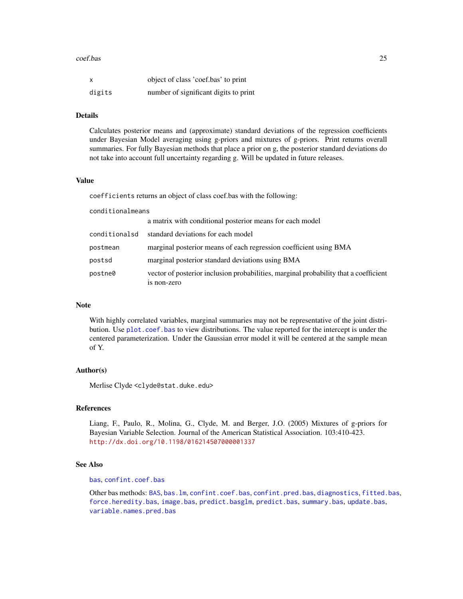#### coef.bas 25

| x      | object of class 'coef.bas' to print   |
|--------|---------------------------------------|
| digits | number of significant digits to print |

#### Details

Calculates posterior means and (approximate) standard deviations of the regression coefficients under Bayesian Model averaging using g-priors and mixtures of g-priors. Print returns overall summaries. For fully Bayesian methods that place a prior on g, the posterior standard deviations do not take into account full uncertainty regarding g. Will be updated in future releases.

# Value

coefficients returns an object of class coef.bas with the following:

| conditionalmeans |                                                                                                     |
|------------------|-----------------------------------------------------------------------------------------------------|
|                  | a matrix with conditional posterior means for each model                                            |
| conditionalsd    | standard deviations for each model                                                                  |
| postmean         | marginal posterior means of each regression coefficient using BMA                                   |
| postsd           | marginal posterior standard deviations using BMA                                                    |
| postne0          | vector of posterior inclusion probabilities, marginal probability that a coefficient<br>is non-zero |

#### Note

With highly correlated variables, marginal summaries may not be representative of the joint distribution. Use [plot.coef.bas](#page-53-1) to view distributions. The value reported for the intercept is under the centered parameterization. Under the Gaussian error model it will be centered at the sample mean of Y.

# Author(s)

Merlise Clyde <clyde@stat.duke.edu>

#### References

Liang, F., Paulo, R., Molina, G., Clyde, M. and Berger, J.O. (2005) Mixtures of g-priors for Bayesian Variable Selection. Journal of the American Statistical Association. 103:410-423. <http://dx.doi.org/10.1198/016214507000001337>

# See Also

#### [bas](#page-8-1), [confint.coef.bas](#page-25-1)

Other bas methods: [BAS](#page-2-1), [bas.lm](#page-8-2), [confint.coef.bas](#page-25-1), [confint.pred.bas](#page-27-1), [diagnostics](#page-29-1), [fitted.bas](#page-35-1), [force.heredity.bas](#page-37-1), [image.bas](#page-44-1), [predict.basglm](#page-57-1), [predict.bas](#page-55-1), [summary.bas](#page-62-1), [update.bas](#page-70-1), [variable.names.pred.bas](#page-71-1)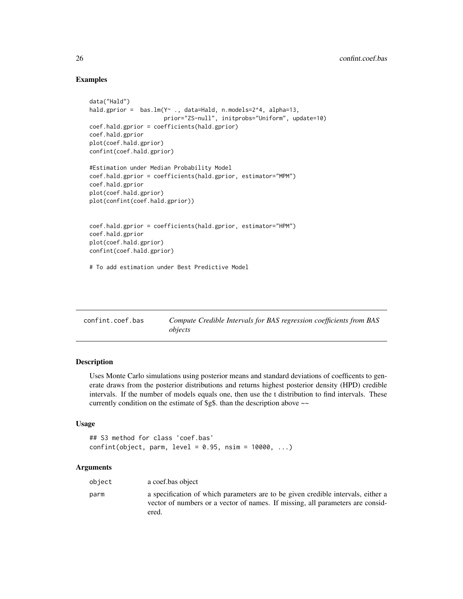# Examples

```
data("Hald")
hald.gprior = bas.lm(Y \sim ., data=Hald, n.models=2^4, alpha=13,prior="ZS-null", initprobs="Uniform", update=10)
coef.hald.gprior = coefficients(hald.gprior)
coef.hald.gprior
plot(coef.hald.gprior)
confint(coef.hald.gprior)
#Estimation under Median Probability Model
coef.hald.gprior = coefficients(hald.gprior, estimator="MPM")
coef.hald.gprior
plot(coef.hald.gprior)
plot(confint(coef.hald.gprior))
coef.hald.gprior = coefficients(hald.gprior, estimator="HPM")
coef.hald.gprior
plot(coef.hald.gprior)
confint(coef.hald.gprior)
# To add estimation under Best Predictive Model
```
<span id="page-25-1"></span>

| confint.coef.bas | Compute Credible Intervals for BAS regression coefficients from BAS |
|------------------|---------------------------------------------------------------------|
|                  | objects                                                             |

# Description

Uses Monte Carlo simulations using posterior means and standard deviations of coefficents to generate draws from the posterior distributions and returns highest posterior density (HPD) credible intervals. If the number of models equals one, then use the t distribution to find intervals. These currently condition on the estimate of \$g\$. than the description above ~~

# Usage

```
## S3 method for class 'coef.bas'
confint(object, parm, level = 0.95, nsim = 10000, ...)
```

| object | a coef.bas object                                                                                                                                                           |
|--------|-----------------------------------------------------------------------------------------------------------------------------------------------------------------------------|
| parm   | a specification of which parameters are to be given credible intervals, either a<br>vector of numbers or a vector of names. If missing, all parameters are consid-<br>ered. |

<span id="page-25-0"></span>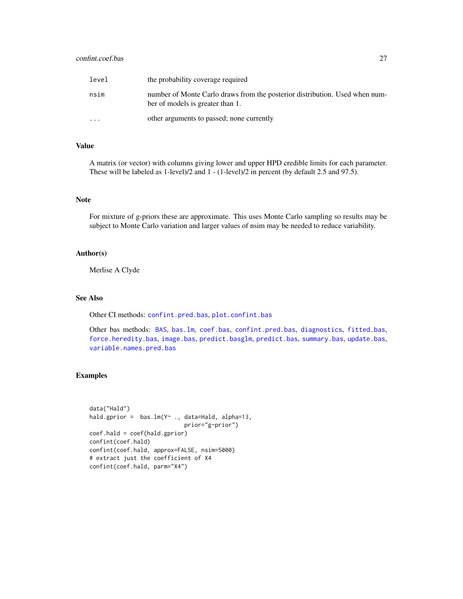# confint.coef.bas 27

| level                   | the probability coverage required                                                                               |
|-------------------------|-----------------------------------------------------------------------------------------------------------------|
| nsim                    | number of Monte Carlo draws from the posterior distribution. Used when num-<br>ber of models is greater than 1. |
| $\cdot$ $\cdot$ $\cdot$ | other arguments to passed; none currently                                                                       |

# Value

A matrix (or vector) with columns giving lower and upper HPD credible limits for each parameter. These will be labeled as 1-level)/2 and 1 - (1-level)/2 in percent (by default 2.5 and 97.5).

# Note

For mixture of g-priors these are approximate. This uses Monte Carlo sampling so results may be subject to Monte Carlo variation and larger values of nsim may be needed to reduce variability.

# Author(s)

Merlise A Clyde

#### See Also

Other CI methods: [confint.pred.bas](#page-27-1), [plot.confint.bas](#page-54-1)

Other bas methods: [BAS](#page-2-1), [bas.lm](#page-8-2), [coef.bas](#page-23-1), [confint.pred.bas](#page-27-1), [diagnostics](#page-29-1), [fitted.bas](#page-35-1), [force.heredity.bas](#page-37-1), [image.bas](#page-44-1), [predict.basglm](#page-57-1), [predict.bas](#page-55-1), [summary.bas](#page-62-1), [update.bas](#page-70-1), [variable.names.pred.bas](#page-71-1)

# Examples

```
data("Hald")
hald.gprior = bas.lm(Y~ ., data=Hald, alpha=13,
                            prior="g-prior")
coef.hald = coef(hald.gprior)
confint(coef.hald)
confint(coef.hald, approx=FALSE, nsim=5000)
# extract just the coefficient of X4
confint(coef.hald, parm="X4")
```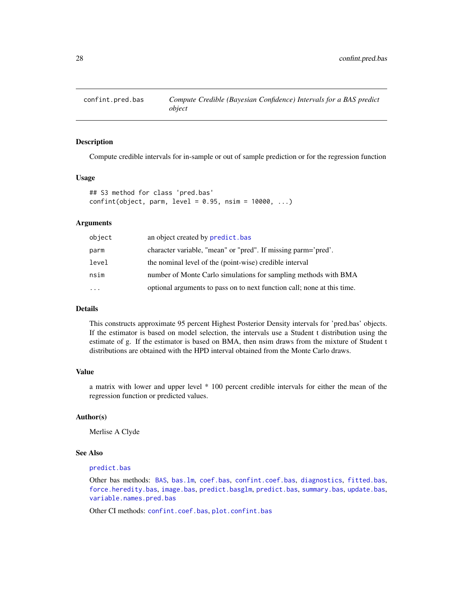<span id="page-27-1"></span><span id="page-27-0"></span>

#### Description

Compute credible intervals for in-sample or out of sample prediction or for the regression function

### Usage

```
## S3 method for class 'pred.bas'
confint(object, parm, level = 0.95, nsim = 10000, ...)
```
#### **Arguments**

| object    | an object created by predict.bas                                        |
|-----------|-------------------------------------------------------------------------|
| parm      | character variable, "mean" or "pred". If missing parm='pred'.           |
| level     | the nominal level of the (point-wise) credible interval                 |
| nsim      | number of Monte Carlo simulations for sampling methods with BMA         |
| $\ddotsc$ | optional arguments to pass on to next function call; none at this time. |

# Details

This constructs approximate 95 percent Highest Posterior Density intervals for 'pred.bas' objects. If the estimator is based on model selection, the intervals use a Student t distribution using the estimate of g. If the estimator is based on BMA, then nsim draws from the mixture of Student t distributions are obtained with the HPD interval obtained from the Monte Carlo draws.

# Value

a matrix with lower and upper level \* 100 percent credible intervals for either the mean of the regression function or predicted values.

# Author(s)

Merlise A Clyde

#### See Also

#### [predict.bas](#page-55-1)

Other bas methods: [BAS](#page-2-1), [bas.lm](#page-8-2), [coef.bas](#page-23-1), [confint.coef.bas](#page-25-1), [diagnostics](#page-29-1), [fitted.bas](#page-35-1), [force.heredity.bas](#page-37-1), [image.bas](#page-44-1), [predict.basglm](#page-57-1), [predict.bas](#page-55-1), [summary.bas](#page-62-1), [update.bas](#page-70-1), [variable.names.pred.bas](#page-71-1)

Other CI methods: [confint.coef.bas](#page-25-1), [plot.confint.bas](#page-54-1)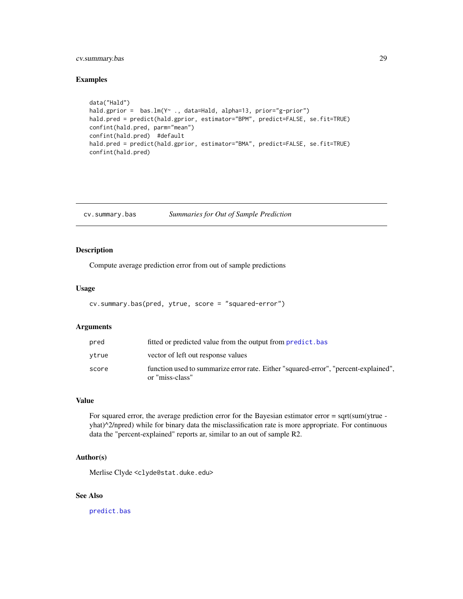# <span id="page-28-0"></span>cv.summary.bas 29

# Examples

```
data("Hald")
hald.gprior = bas.lm(Y~ ., data=Hald, alpha=13, prior="g-prior")
hald.pred = predict(hald.gprior, estimator="BPM", predict=FALSE, se.fit=TRUE)
confint(hald.pred, parm="mean")
confint(hald.pred) #default
hald.pred = predict(hald.gprior, estimator="BMA", predict=FALSE, se.fit=TRUE)
confint(hald.pred)
```
cv.summary.bas *Summaries for Out of Sample Prediction*

# Description

Compute average prediction error from out of sample predictions

#### Usage

```
cv.summary.bas(pred, ytrue, score = "squared-error")
```
#### Arguments

| pred  | fitted or predicted value from the output from <b>predict</b> , bas                                    |
|-------|--------------------------------------------------------------------------------------------------------|
| ytrue | vector of left out response values                                                                     |
| score | function used to summarize error rate. Either "squared-error", "percent-explained",<br>or "miss-class" |

#### Value

For squared error, the average prediction error for the Bayesian estimator error = sqrt(sum(ytrue yhat)^2/npred) while for binary data the misclassification rate is more appropriate. For continuous data the "percent-explained" reports ar, similar to an out of sample R2.

#### Author(s)

Merlise Clyde <clyde@stat.duke.edu>

# See Also

[predict.bas](#page-55-1)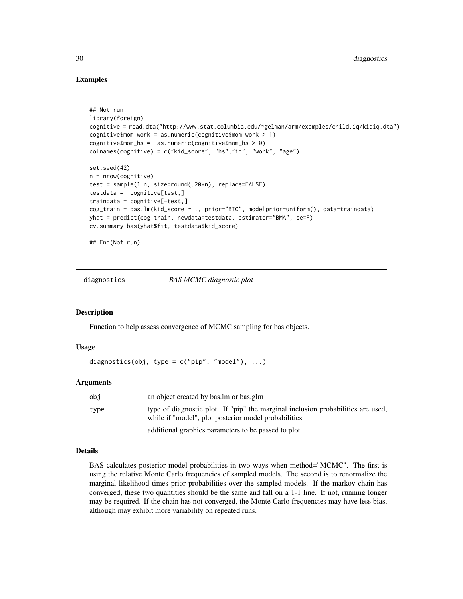# Examples

```
## Not run:
library(foreign)
cognitive = read.dta("http://www.stat.columbia.edu/~gelman/arm/examples/child.iq/kidiq.dta")
cognitive$mom_work = as.numeric(cognitive$mom_work > 1)
cognitive$mom_hs = as.numeric(cognitive$mom_hs > 0)
colnames(cognitive) = c("kid_score", "hs","iq", "work", "age")
set.seed(42)
n = nrow(cognitive)
test = sample(1:n, size=round(.20*n), replace=FALSE)
testdata = cognitive[test,]
traindata = cognitive[-test,]
cog_train = bas.lm(kid_score ~ ., prior="BIC", modelprior=uniform(), data=traindata)
yhat = predict(cog_train, newdata=testdata, estimator="BMA", se=F)
cv.summary.bas(yhat$fit, testdata$kid_score)
```
## End(Not run)

<span id="page-29-1"></span>diagnostics *BAS MCMC diagnostic plot*

#### **Description**

Function to help assess convergence of MCMC sampling for bas objects.

#### Usage

```
diagnostics(obj, type = c("pip", "model"), ...)
```
# Arguments

| obi      | an object created by bas. Im or bas. glm                                                                                                 |
|----------|------------------------------------------------------------------------------------------------------------------------------------------|
| type     | type of diagnostic plot. If "pip" the marginal inclusion probabilities are used,<br>while if "model", plot posterior model probabilities |
| $\cdots$ | additional graphics parameters to be passed to plot                                                                                      |

#### Details

BAS calculates posterior model probabilities in two ways when method="MCMC". The first is using the relative Monte Carlo frequencies of sampled models. The second is to renormalize the marginal likelihood times prior probabilities over the sampled models. If the markov chain has converged, these two quantities should be the same and fall on a 1-1 line. If not, running longer may be required. If the chain has not converged, the Monte Carlo frequencies may have less bias, although may exhibit more variability on repeated runs.

<span id="page-29-0"></span>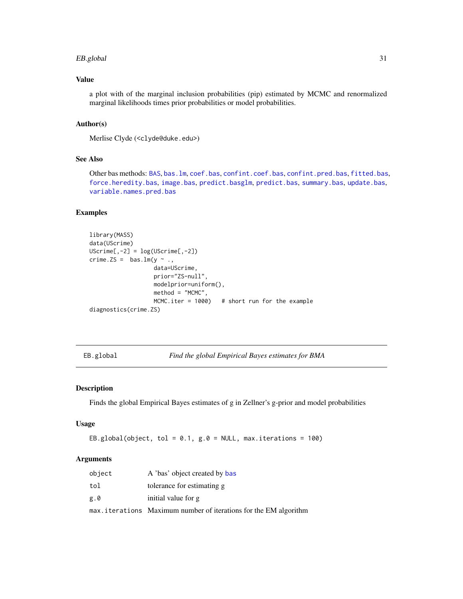#### <span id="page-30-0"></span>EB.global 31

# Value

a plot with of the marginal inclusion probabilities (pip) estimated by MCMC and renormalized marginal likelihoods times prior probabilities or model probabilities.

# Author(s)

```
Merlise Clyde (<clyde@duke.edu>)
```
# See Also

Other bas methods: [BAS](#page-2-1), [bas.lm](#page-8-2), [coef.bas](#page-23-1), [confint.coef.bas](#page-25-1), [confint.pred.bas](#page-27-1), [fitted.bas](#page-35-1), [force.heredity.bas](#page-37-1), [image.bas](#page-44-1), [predict.basglm](#page-57-1), [predict.bas](#page-55-1), [summary.bas](#page-62-1), [update.bas](#page-70-1), [variable.names.pred.bas](#page-71-1)

# Examples

```
library(MASS)
data(UScrime)
UScriptime[, -2] = log(UScriptime[, -2])crime.ZS = bas.lm(y \sim .,data=UScrime,
                    prior="ZS-null",
                   modelprior=uniform(),
                   method = "MCMC",
                   MCMC.iter = 1000) # short run for the example
diagnostics(crime.ZS)
```
EB.global *Find the global Empirical Bayes estimates for BMA*

# Description

Finds the global Empirical Bayes estimates of g in Zellner's g-prior and model probabilities

#### Usage

EB.global(object, tol =  $0.1$ , g. $0 =$  NULL, max.iterations = 100)

| object | A 'bas' object created by bas                                    |
|--------|------------------------------------------------------------------|
| tol    | tolerance for estimating g                                       |
| g.0    | initial value for g                                              |
|        | max.iterations Maximum number of iterations for the EM algorithm |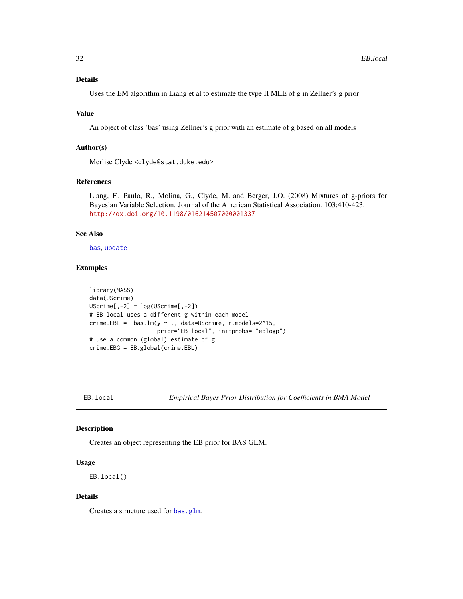# <span id="page-31-0"></span>Details

Uses the EM algorithm in Liang et al to estimate the type II MLE of g in Zellner's g prior

#### Value

An object of class 'bas' using Zellner's g prior with an estimate of g based on all models

# Author(s)

Merlise Clyde <clyde@stat.duke.edu>

#### References

Liang, F., Paulo, R., Molina, G., Clyde, M. and Berger, J.O. (2008) Mixtures of g-priors for Bayesian Variable Selection. Journal of the American Statistical Association. 103:410-423. <http://dx.doi.org/10.1198/016214507000001337>

### See Also

[bas](#page-8-1), [update](#page-70-2)

#### Examples

```
library(MASS)
data(UScrime)
UScriptime[, -2] = log(UScriptime[, -2])# EB local uses a different g within each model
crime.EBL = bas.lm(y \sim ., data=UScrime, n.models=2^15,prior="EB-local", initprobs= "eplogp")
# use a common (global) estimate of g
crime.EBG = EB.global(crime.EBL)
```
<span id="page-31-1"></span>

EB.local *Empirical Bayes Prior Distribution for Coefficients in BMA Model*

#### Description

Creates an object representing the EB prior for BAS GLM.

# Usage

EB.local()

#### Details

Creates a structure used for [bas.glm](#page-4-1).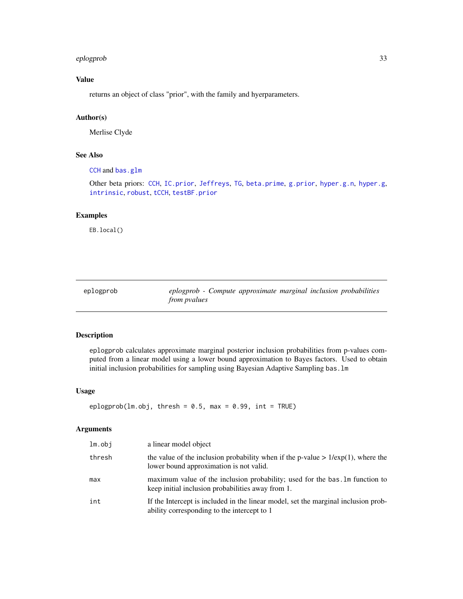#### <span id="page-32-0"></span>eplogprob 33

# Value

returns an object of class "prior", with the family and hyerparameters.

# Author(s)

Merlise Clyde

# See Also

[CCH](#page-22-1) and [bas.glm](#page-4-1)

Other beta priors: [CCH](#page-22-1), [IC.prior](#page-43-2), [Jeffreys](#page-47-1), [TG](#page-65-1), [beta.prime](#page-19-1), [g.prior](#page-38-1), [hyper.g.n](#page-40-1), [hyper.g](#page-39-1), [intrinsic](#page-46-1), [robust](#page-61-1), [tCCH](#page-63-1), [testBF.prior](#page-64-1)

#### Examples

EB.local()

<span id="page-32-1"></span>

| eplogprob |                     | eplogprob - Compute approximate marginal inclusion probabilities |  |  |
|-----------|---------------------|------------------------------------------------------------------|--|--|
|           | <i>from pyalues</i> |                                                                  |  |  |

#### Description

eplogprob calculates approximate marginal posterior inclusion probabilities from p-values computed from a linear model using a lower bound approximation to Bayes factors. Used to obtain initial inclusion probabilities for sampling using Bayesian Adaptive Sampling bas.lm

#### Usage

```
eplogprob(lm.obj, thresh = 0.5, max = 0.99, int = TRUE)
```

| $lm.$ obj | a linear model object                                                                                                             |
|-----------|-----------------------------------------------------------------------------------------------------------------------------------|
| thresh    | the value of the inclusion probability when if the p-value $> 1/\exp(1)$ , where the<br>lower bound approximation is not valid.   |
| max       | maximum value of the inclusion probability; used for the bas. Im function to<br>keep initial inclusion probabilities away from 1. |
| int       | If the Intercept is included in the linear model, set the marginal inclusion prob-<br>ability corresponding to the intercept to 1 |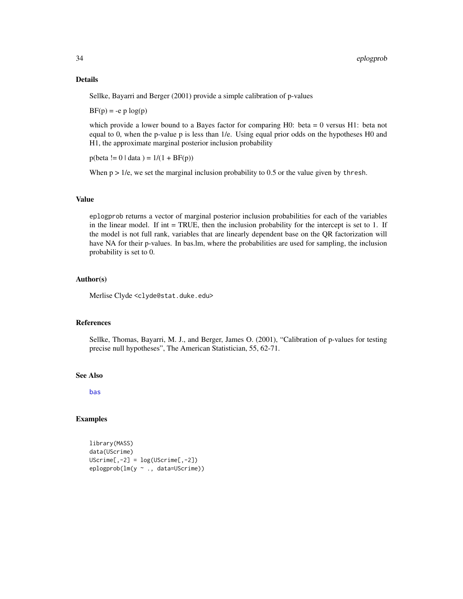# Details

Sellke, Bayarri and Berger (2001) provide a simple calibration of p-values

 $BF(p) = -e p log(p)$ 

which provide a lower bound to a Bayes factor for comparing H0: beta = 0 versus H1: beta not equal to 0, when the p-value p is less than 1/e. Using equal prior odds on the hypotheses H0 and H1, the approximate marginal posterior inclusion probability

 $p(\text{beta } != 0 | \text{data }) = 1/(1 + BF(p))$ 

When  $p > 1/e$ , we set the marginal inclusion probability to 0.5 or the value given by thresh.

#### Value

eplogprob returns a vector of marginal posterior inclusion probabilities for each of the variables in the linear model. If int = TRUE, then the inclusion probability for the intercept is set to 1. If the model is not full rank, variables that are linearly dependent base on the QR factorization will have NA for their p-values. In bas.lm, where the probabilities are used for sampling, the inclusion probability is set to 0.

#### Author(s)

Merlise Clyde <clyde@stat.duke.edu>

#### References

Sellke, Thomas, Bayarri, M. J., and Berger, James O. (2001), "Calibration of p-values for testing precise null hypotheses", The American Statistician, 55, 62-71.

#### See Also

[bas](#page-8-1)

#### Examples

```
library(MASS)
data(UScrime)
UScriptime[, -2] = log(UScriptime[, -2])eplogprob(lm(y ~ ., data=UScrime))
```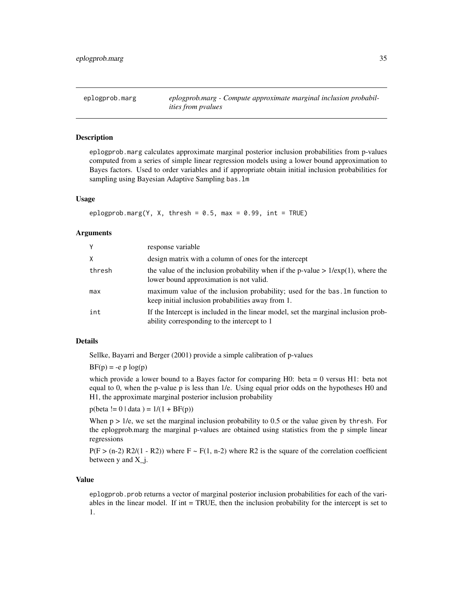<span id="page-34-1"></span><span id="page-34-0"></span>eplogprob.marg *eplogprob.marg - Compute approximate marginal inclusion probabilities from pvalues*

# Description

eplogprob.marg calculates approximate marginal posterior inclusion probabilities from p-values computed from a series of simple linear regression models using a lower bound approximation to Bayes factors. Used to order variables and if appropriate obtain initial inclusion probabilities for sampling using Bayesian Adaptive Sampling bas.lm

# Usage

```
eplogprob.marg(Y, X, thresh = 0.5, max = 0.99, int = TRUE)
```
#### Arguments

| $\mathsf{Y}$ | response variable                                                                                                                 |
|--------------|-----------------------------------------------------------------------------------------------------------------------------------|
| $\times$     | design matrix with a column of ones for the intercept                                                                             |
| thresh       | the value of the inclusion probability when if the p-value $> 1/\exp(1)$ , where the<br>lower bound approximation is not valid.   |
| max          | maximum value of the inclusion probability; used for the bas. In function to<br>keep initial inclusion probabilities away from 1. |
| int          | If the Intercept is included in the linear model, set the marginal inclusion prob-<br>ability corresponding to the intercept to 1 |

# Details

Sellke, Bayarri and Berger (2001) provide a simple calibration of p-values

 $BF(p) = -e p log(p)$ 

which provide a lower bound to a Bayes factor for comparing  $H0$ : beta = 0 versus  $H1$ : beta not equal to 0, when the p-value p is less than 1/e. Using equal prior odds on the hypotheses H0 and H1, the approximate marginal posterior inclusion probability

 $p(\text{beta } != 0 | \text{data }) = 1/(1 + BF(p))$ 

When  $p > 1/e$ , we set the marginal inclusion probability to 0.5 or the value given by thresh. For the eplogprob.marg the marginal p-values are obtained using statistics from the p simple linear regressions

 $P(F > (n-2) R2/(1 - R2))$  where  $F \sim F(1, n-2)$  where R2 is the square of the correlation coefficient between  $y$  and  $X_i$ .

# Value

eplogprob.prob returns a vector of marginal posterior inclusion probabilities for each of the variables in the linear model. If int = TRUE, then the inclusion probability for the intercept is set to 1.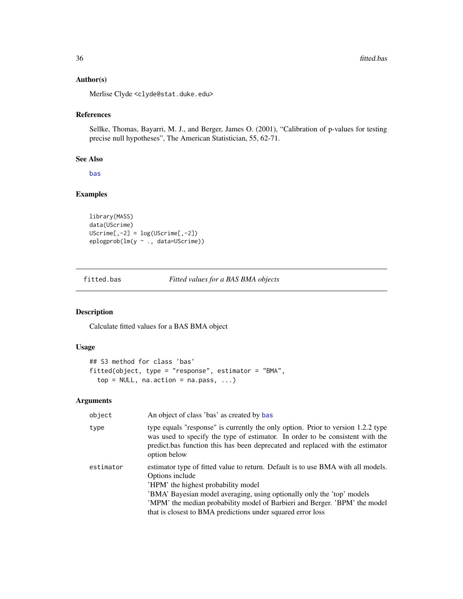# <span id="page-35-0"></span>Author(s)

Merlise Clyde <clyde@stat.duke.edu>

# References

Sellke, Thomas, Bayarri, M. J., and Berger, James O. (2001), "Calibration of p-values for testing precise null hypotheses", The American Statistician, 55, 62-71.

# See Also

[bas](#page-8-1)

# Examples

```
library(MASS)
data(UScrime)
UScript = log(UScript = 2])eplogprob(lm(y ~ ., data=UScrime))
```
<span id="page-35-1"></span>fitted.bas *Fitted values for a BAS BMA objects*

# Description

Calculate fitted values for a BAS BMA object

#### Usage

```
## S3 method for class 'bas'
fitted(object, type = "response", estimator = "BMA",
  top = NULL, na.action = na.pass, ...)
```

| object    | An object of class 'bas' as created by bas                                                                                                                                                                                                                                                                                                                        |
|-----------|-------------------------------------------------------------------------------------------------------------------------------------------------------------------------------------------------------------------------------------------------------------------------------------------------------------------------------------------------------------------|
| type      | type equals "response" is currently the only option. Prior to version 1.2.2 type<br>was used to specify the type of estimator. In order to be consistent with the<br>predict bas function this has been deprecated and replaced with the estimator<br>option below                                                                                                |
| estimator | estimator type of fitted value to return. Default is to use BMA with all models.<br>Options include<br>'HPM' the highest probability model<br>'BMA' Bayesian model averaging, using optionally only the 'top' models<br>'MPM' the median probability model of Barbieri and Berger. 'BPM' the model<br>that is closest to BMA predictions under squared error loss |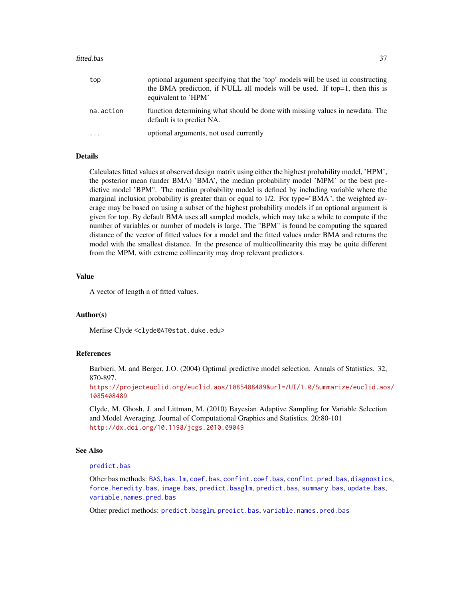#### fitted.bas 37

| top       | optional argument specifying that the 'top' models will be used in constructing<br>the BMA prediction, if NULL all models will be used. If top=1, then this is<br>equivalent to 'HPM' |
|-----------|---------------------------------------------------------------------------------------------------------------------------------------------------------------------------------------|
| na.action | function determining what should be done with missing values in newdata. The<br>default is to predict NA.                                                                             |
| .         | optional arguments, not used currently                                                                                                                                                |

#### Details

Calculates fitted values at observed design matrix using either the highest probability model, 'HPM', the posterior mean (under BMA) 'BMA', the median probability model 'MPM' or the best predictive model 'BPM". The median probability model is defined by including variable where the marginal inclusion probability is greater than or equal to 1/2. For type="BMA", the weighted average may be based on using a subset of the highest probability models if an optional argument is given for top. By default BMA uses all sampled models, which may take a while to compute if the number of variables or number of models is large. The "BPM" is found be computing the squared distance of the vector of fitted values for a model and the fitted values under BMA and returns the model with the smallest distance. In the presence of multicollinearity this may be quite different from the MPM, with extreme collinearity may drop relevant predictors.

## Value

A vector of length n of fitted values.

## Author(s)

Merlise Clyde <clyde@AT@stat.duke.edu>

## References

Barbieri, M. and Berger, J.O. (2004) Optimal predictive model selection. Annals of Statistics. 32, 870-897.

[https://projecteuclid.org/euclid.aos/1085408489&url=/UI/1.0/Summarize/euclid.aos](https://projecteuclid.org/euclid.aos/1085408489&url=/UI/1.0/Summarize/euclid.aos/1085408489)/ [1085408489](https://projecteuclid.org/euclid.aos/1085408489&url=/UI/1.0/Summarize/euclid.aos/1085408489)

Clyde, M. Ghosh, J. and Littman, M. (2010) Bayesian Adaptive Sampling for Variable Selection and Model Averaging. Journal of Computational Graphics and Statistics. 20:80-101 <http://dx.doi.org/10.1198/jcgs.2010.09049>

#### See Also

## [predict.bas](#page-55-0)

Other bas methods: [BAS](#page-2-0), [bas.lm](#page-8-0), [coef.bas](#page-23-0), [confint.coef.bas](#page-25-0), [confint.pred.bas](#page-27-0), [diagnostics](#page-29-0), [force.heredity.bas](#page-37-0), [image.bas](#page-44-0), [predict.basglm](#page-57-0), [predict.bas](#page-55-0), [summary.bas](#page-62-0), [update.bas](#page-70-0), [variable.names.pred.bas](#page-71-0)

Other predict methods: [predict.basglm](#page-57-0), [predict.bas](#page-55-0), [variable.names.pred.bas](#page-71-0)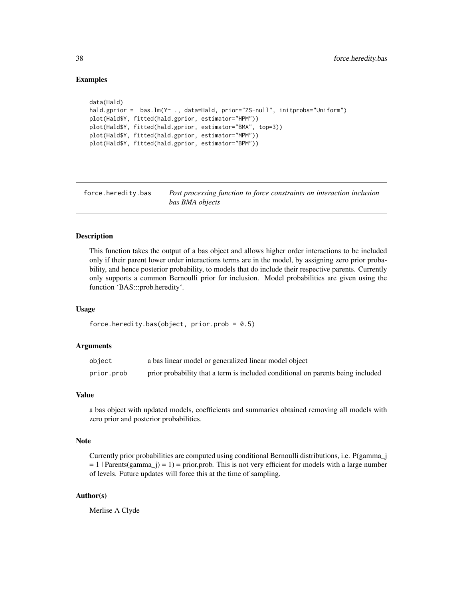## Examples

```
data(Hald)
hald.gprior = bas.lm(Y~ ., data=Hald, prior="ZS-null", initprobs="Uniform")
plot(Hald$Y, fitted(hald.gprior, estimator="HPM"))
plot(Hald$Y, fitted(hald.gprior, estimator="BMA", top=3))
plot(Hald$Y, fitted(hald.gprior, estimator="MPM"))
plot(Hald$Y, fitted(hald.gprior, estimator="BPM"))
```
<span id="page-37-0"></span>force.heredity.bas *Post processing function to force constraints on interaction inclusion bas BMA objects*

# **Description**

This function takes the output of a bas object and allows higher order interactions to be included only if their parent lower order interactions terms are in the model, by assigning zero prior probability, and hence posterior probability, to models that do include their respective parents. Currently only supports a common Bernoulli prior for inclusion. Model probabilities are given using the function 'BAS:::prob.heredity'.

#### Usage

```
force.heredity.bas(object, prior.prob = 0.5)
```
#### Arguments

| object     | a bas linear model or generalized linear model object                           |
|------------|---------------------------------------------------------------------------------|
| prior.prob | prior probability that a term is included conditional on parents being included |

#### Value

a bas object with updated models, coefficients and summaries obtained removing all models with zero prior and posterior probabilities.

#### Note

Currently prior probabilities are computed using conditional Bernoulli distributions, i.e. P(gamma\_j  $= 1$  | Parents(gamma\_j) = 1) = prior.prob. This is not very efficient for models with a large number of levels. Future updates will force this at the time of sampling.

## Author(s)

Merlise A Clyde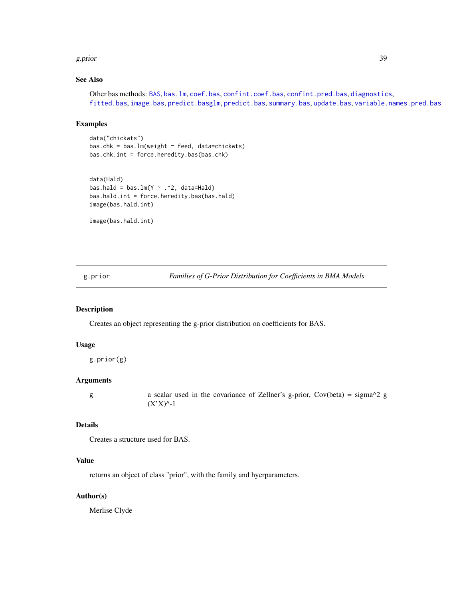#### g.prior 39

# See Also

Other bas methods: [BAS](#page-2-0), [bas.lm](#page-8-0), [coef.bas](#page-23-0), [confint.coef.bas](#page-25-0), [confint.pred.bas](#page-27-0), [diagnostics](#page-29-0), [fitted.bas](#page-35-0), [image.bas](#page-44-0), [predict.basglm](#page-57-0), [predict.bas](#page-55-0), [summary.bas](#page-62-0), [update.bas](#page-70-0), [variable.names.pred.bas](#page-71-0)

# Examples

```
data("chickwts")
bas.chk = bas.lm(weight \sim feed, data=chickwts)bas.chk.int = force.heredity.bas(bas.chk)
```

```
data(Hald)
bas.hald = bas.lm(Y \sim .2, data=Hald)
bas.hald.int = force.heredity.bas(bas.hald)
image(bas.hald.int)
```
image(bas.hald.int)

<span id="page-38-0"></span>g.prior *Families of G-Prior Distribution for Coefficients in BMA Models*

## Description

Creates an object representing the g-prior distribution on coefficients for BAS.

## Usage

g.prior(g)

## Arguments

g a scalar used in the covariance of Zellner's g-prior, Cov(beta) = sigma^2 g  $(X'X)^{\wedge}-1$ 

#### Details

Creates a structure used for BAS.

# Value

returns an object of class "prior", with the family and hyerparameters.

## Author(s)

Merlise Clyde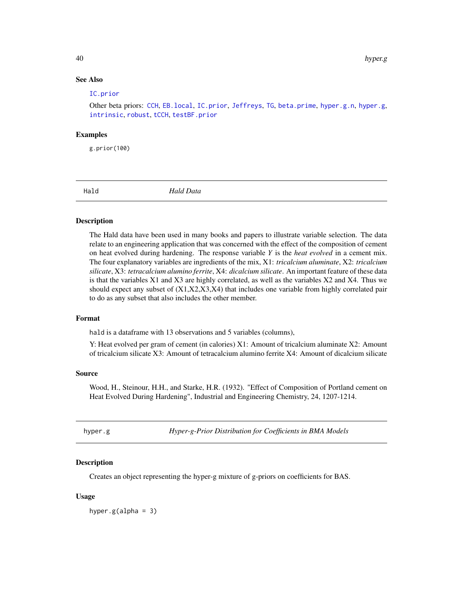## See Also

#### [IC.prior](#page-43-0)

Other beta priors: [CCH](#page-22-0), [EB.local](#page-31-0), [IC.prior](#page-43-0), [Jeffreys](#page-47-0), [TG](#page-65-0), [beta.prime](#page-19-0), [hyper.g.n](#page-40-0), [hyper.g](#page-39-0), [intrinsic](#page-46-0), [robust](#page-61-0), [tCCH](#page-63-0), [testBF.prior](#page-64-0)

#### Examples

g.prior(100)

Hald *Hald Data*

## Description

The Hald data have been used in many books and papers to illustrate variable selection. The data relate to an engineering application that was concerned with the effect of the composition of cement on heat evolved during hardening. The response variable *Y* is the *heat evolved* in a cement mix. The four explanatory variables are ingredients of the mix, X1: *tricalcium aluminate*, X2: *tricalcium silicate*, X3: *tetracalcium alumino ferrite*, X4: *dicalcium silicate*. An important feature of these data is that the variables X1 and X3 are highly correlated, as well as the variables X2 and X4. Thus we should expect any subset of  $(X1,X2,X3,X4)$  that includes one variable from highly correlated pair to do as any subset that also includes the other member.

#### Format

hald is a dataframe with 13 observations and 5 variables (columns),

Y: Heat evolved per gram of cement (in calories) X1: Amount of tricalcium aluminate X2: Amount of tricalcium silicate X3: Amount of tetracalcium alumino ferrite X4: Amount of dicalcium silicate

## Source

Wood, H., Steinour, H.H., and Starke, H.R. (1932). "Effect of Composition of Portland cement on Heat Evolved During Hardening", Industrial and Engineering Chemistry, 24, 1207-1214.

<span id="page-39-0"></span>hyper.g *Hyper-g-Prior Distribution for Coefficients in BMA Models*

## Description

Creates an object representing the hyper-g mixture of g-priors on coefficients for BAS.

#### Usage

hyper.g(alpha =  $3$ )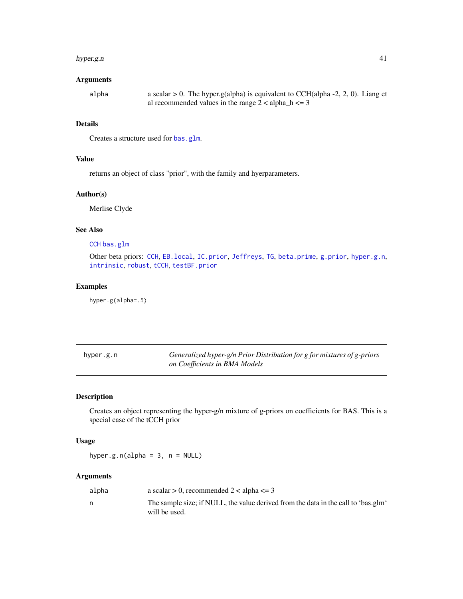#### hyper.g.n 41

## Arguments

| alpha | a scalar $> 0$ . The hyper.g(alpha) is equivalent to CCH(alpha -2, 2, 0). Liang et |
|-------|------------------------------------------------------------------------------------|
|       | al recommended values in the range $2 <$ alpha <sub>n</sub> $k = 3$                |

## Details

Creates a structure used for [bas.glm](#page-4-0).

## Value

returns an object of class "prior", with the family and hyerparameters.

# Author(s)

Merlise Clyde

# See Also

# [CCH](#page-22-0) [bas.glm](#page-4-0)

Other beta priors: [CCH](#page-22-0), [EB.local](#page-31-0), [IC.prior](#page-43-0), [Jeffreys](#page-47-0), [TG](#page-65-0), [beta.prime](#page-19-0), [g.prior](#page-38-0), [hyper.g.n](#page-40-0), [intrinsic](#page-46-0), [robust](#page-61-0), [tCCH](#page-63-0), [testBF.prior](#page-64-0)

# Examples

hyper.g(alpha=.5)

<span id="page-40-0"></span>

| hyper.g.n | Generalized hyper-g/n Prior Distribution for g for mixtures of g-priors |
|-----------|-------------------------------------------------------------------------|
|           | on Coefficients in BMA Models                                           |

# Description

Creates an object representing the hyper-g/n mixture of g-priors on coefficients for BAS. This is a special case of the tCCH prior

## Usage

hyper.g.n(alpha =  $3$ , n = NULL)

## Arguments

| a scalar $> 0$ , recommended 2 < alpha <= 3                                                         |
|-----------------------------------------------------------------------------------------------------|
| The sample size; if NULL, the value derived from the data in the call to 'bas.glm'<br>will be used. |
|                                                                                                     |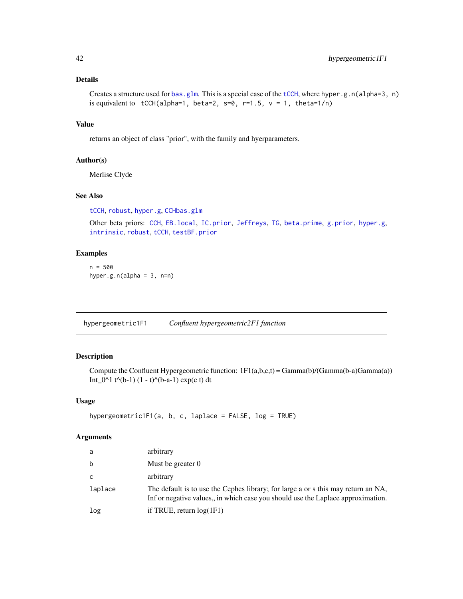# Details

```
bas.glmtCCH, where hyper.g.n(alpha=3, n)
is equivalent to tCCH(alpha=1, beta=2, s=0, r=1.5, v = 1, theta=1/n)
```
## Value

returns an object of class "prior", with the family and hyerparameters.

## Author(s)

Merlise Clyde

# See Also

[tCCH](#page-63-0), [robust](#page-61-0), [hyper.g](#page-39-0), [CCH](#page-22-0)[bas.glm](#page-4-0)

Other beta priors: [CCH](#page-22-0), [EB.local](#page-31-0), [IC.prior](#page-43-0), [Jeffreys](#page-47-0), [TG](#page-65-0), [beta.prime](#page-19-0), [g.prior](#page-38-0), [hyper.g](#page-39-0), [intrinsic](#page-46-0), [robust](#page-61-0), [tCCH](#page-63-0), [testBF.prior](#page-64-0)

# Examples

n = 500 hyper.g.n(alpha =  $3$ , n=n)

<span id="page-41-0"></span>hypergeometric1F1 *Confluent hypergeometric2F1 function*

# Description

Compute the Confluent Hypergeometric function:  $1F1(a,b,c,t) = Gamma(b)/(Gamma(a-b)Gamma(a))$ Int\_0^1 t^(b-1)  $(1 - t)$ ^(b-a-1) exp(c t) dt

## Usage

```
hypergeometric1F1(a, b, c, laplace = FALSE, log = TRUE)
```
## Arguments

| a       | arbitrary                                                                                                                                                            |
|---------|----------------------------------------------------------------------------------------------------------------------------------------------------------------------|
| b       | Must be greater $0$                                                                                                                                                  |
| C       | arbitrary                                                                                                                                                            |
| laplace | The default is to use the Cephes library; for large a or s this may return an NA,<br>Inf or negative values, in which case you should use the Laplace approximation. |
| log     | if TRUE, return $log(1F1)$                                                                                                                                           |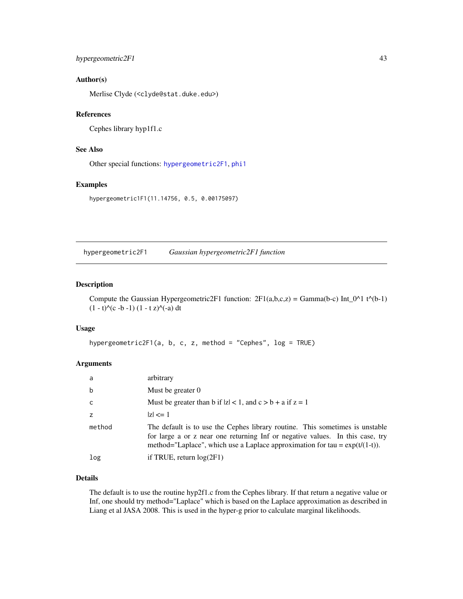# hypergeometric2F1 43

## Author(s)

Merlise Clyde (<clyde@stat.duke.edu>)

## References

Cephes library hyp1f1.c

# See Also

Other special functions: [hypergeometric2F1](#page-42-0), [phi1](#page-50-0)

#### Examples

hypergeometric1F1(11.14756, 0.5, 0.00175097)

<span id="page-42-0"></span>hypergeometric2F1 *Gaussian hypergeometric2F1 function*

## Description

Compute the Gaussian Hypergeometric2F1 function:  $2F1(a,b,c,z) = \text{Gamma}(b-c) \text{Int}_0^{\text{O}}(1 t^{\text{O}}(b-1))$  $(1 - t)^{(-c - b - 1) (1 - t z)^{(-a)} dt$ 

#### Usage

```
hypergeometric2F1(a, b, c, z, method = "Cephes", log = TRUE)
```
#### Arguments

| a      | arbitrary                                                                                                                                                                                                                                        |
|--------|--------------------------------------------------------------------------------------------------------------------------------------------------------------------------------------------------------------------------------------------------|
| b      | Must be greater 0                                                                                                                                                                                                                                |
| c.     | Must be greater than b if $ z  < 1$ , and $c > b + a$ if $z = 1$                                                                                                                                                                                 |
|        | $ z  \leq 1$                                                                                                                                                                                                                                     |
| method | The default is to use the Cephes library routine. This sometimes is unstable<br>for large a or z near one returning Inf or negative values. In this case, try<br>method="Laplace", which use a Laplace approximation for tau = $\exp(t/(1-t))$ . |
| log    | if TRUE, return $log(2F1)$                                                                                                                                                                                                                       |

# Details

The default is to use the routine hyp2f1.c from the Cephes library. If that return a negative value or Inf, one should try method="Laplace" which is based on the Laplace approximation as described in Liang et al JASA 2008. This is used in the hyper-g prior to calculate marginal likelihoods.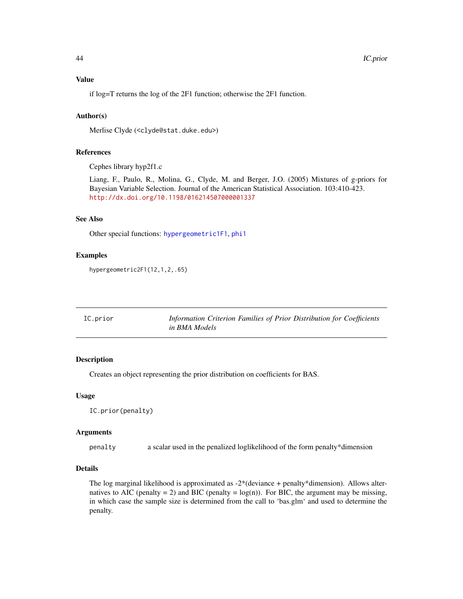if log=T returns the log of the 2F1 function; otherwise the 2F1 function.

## Author(s)

Merlise Clyde (<clyde@stat.duke.edu>)

#### References

Cephes library hyp2f1.c

Liang, F., Paulo, R., Molina, G., Clyde, M. and Berger, J.O. (2005) Mixtures of g-priors for Bayesian Variable Selection. Journal of the American Statistical Association. 103:410-423. <http://dx.doi.org/10.1198/016214507000001337>

## See Also

Other special functions: [hypergeometric1F1](#page-41-0), [phi1](#page-50-0)

#### Examples

hypergeometric2F1(12,1,2,.65)

<span id="page-43-0"></span>

| IC.prior | Information Criterion Families of Prior Distribution for Coefficients |
|----------|-----------------------------------------------------------------------|
|          | in BMA Models                                                         |

#### Description

Creates an object representing the prior distribution on coefficients for BAS.

#### Usage

```
IC.prior(penalty)
```
#### Arguments

penalty a scalar used in the penalized loglikelihood of the form penalty\*dimension

#### Details

The log marginal likelihood is approximated as -2\*(deviance + penalty\*dimension). Allows alternatives to AIC (penalty = 2) and BIC (penalty =  $log(n)$ ). For BIC, the argument may be missing, in which case the sample size is determined from the call to 'bas.glm' and used to determine the penalty.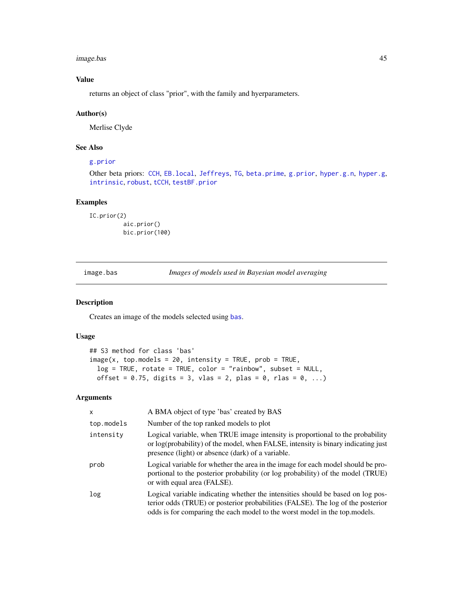image.bas 45

# Value

returns an object of class "prior", with the family and hyerparameters.

#### Author(s)

Merlise Clyde

# See Also

# [g.prior](#page-38-0)

Other beta priors: [CCH](#page-22-0), [EB.local](#page-31-0), [Jeffreys](#page-47-0), [TG](#page-65-0), [beta.prime](#page-19-0), [g.prior](#page-38-0), [hyper.g.n](#page-40-0), [hyper.g](#page-39-0), [intrinsic](#page-46-0), [robust](#page-61-0), [tCCH](#page-63-0), [testBF.prior](#page-64-0)

# Examples

```
IC.prior(2)
          aic.prior()
          bic.prior(100)
```
<span id="page-44-0"></span>image.bas *Images of models used in Bayesian model averaging*

## Description

Creates an image of the models selected using [bas](#page-8-1).

# Usage

```
## S3 method for class 'bas'
image(x, top.models = 20, intensity = TRUE, prob = TRUE,log = TRUE, rotate = TRUE, color = "rainbow", subset = NULL,
 offset = 0.75, digits = 3, vlas = 2, plas = 0, rlas = 0, ...)
```
## Arguments

| X                | A BMA object of type 'bas' created by BAS                                                                                                                                                                                                        |
|------------------|--------------------------------------------------------------------------------------------------------------------------------------------------------------------------------------------------------------------------------------------------|
| top.models       | Number of the top ranked models to plot                                                                                                                                                                                                          |
| intensity        | Logical variable, when TRUE image intensity is proportional to the probability<br>or log(probability) of the model, when FALSE, intensity is binary indicating just<br>presence (light) or absence (dark) of a variable.                         |
| prob             | Logical variable for whether the area in the image for each model should be pro-<br>portional to the posterior probability (or log probability) of the model (TRUE)<br>or with equal area (FALSE).                                               |
| log <sub>1</sub> | Logical variable indicating whether the intensities should be based on log pos-<br>terior odds (TRUE) or posterior probabilities (FALSE). The log of the posterior<br>odds is for comparing the each model to the worst model in the top models. |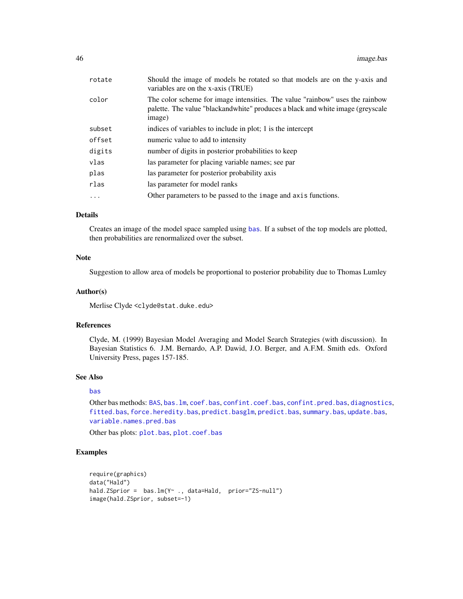| rotate   | Should the image of models be rotated so that models are on the y-axis and<br>variables are on the x-axis (TRUE)                                                         |
|----------|--------------------------------------------------------------------------------------------------------------------------------------------------------------------------|
| color    | The color scheme for image intensities. The value "rainbow" uses the rainbow<br>palette. The value "blackandwhite" produces a black and white image (greyscale<br>image) |
| subset   | indices of variables to include in plot; 1 is the intercept                                                                                                              |
| offset   | numeric value to add to intensity                                                                                                                                        |
| digits   | number of digits in posterior probabilities to keep                                                                                                                      |
| vlas     | las parameter for placing variable names; see par                                                                                                                        |
| plas     | las parameter for posterior probability axis                                                                                                                             |
| rlas     | las parameter for model ranks                                                                                                                                            |
| $\cdots$ | Other parameters to be passed to the image and axis functions.                                                                                                           |
|          |                                                                                                                                                                          |

## Details

Creates an image of the model space sampled using [bas](#page-8-1). If a subset of the top models are plotted, then probabilities are renormalized over the subset.

## Note

Suggestion to allow area of models be proportional to posterior probability due to Thomas Lumley

#### Author(s)

Merlise Clyde <clyde@stat.duke.edu>

## References

Clyde, M. (1999) Bayesian Model Averaging and Model Search Strategies (with discussion). In Bayesian Statistics 6. J.M. Bernardo, A.P. Dawid, J.O. Berger, and A.F.M. Smith eds. Oxford University Press, pages 157-185.

#### See Also

## [bas](#page-8-1)

Other bas methods: [BAS](#page-2-0), [bas.lm](#page-8-0), [coef.bas](#page-23-0), [confint.coef.bas](#page-25-0), [confint.pred.bas](#page-27-0), [diagnostics](#page-29-0), [fitted.bas](#page-35-0), [force.heredity.bas](#page-37-0), [predict.basglm](#page-57-0), [predict.bas](#page-55-0), [summary.bas](#page-62-0), [update.bas](#page-70-0), [variable.names.pred.bas](#page-71-0)

Other bas plots: [plot.bas](#page-51-0), [plot.coef.bas](#page-53-0)

## Examples

```
require(graphics)
data("Hald")
hald.ZSprior = bas.lm(Y~ ., data=Hald, prior="ZS-null")
image(hald.ZSprior, subset=-1)
```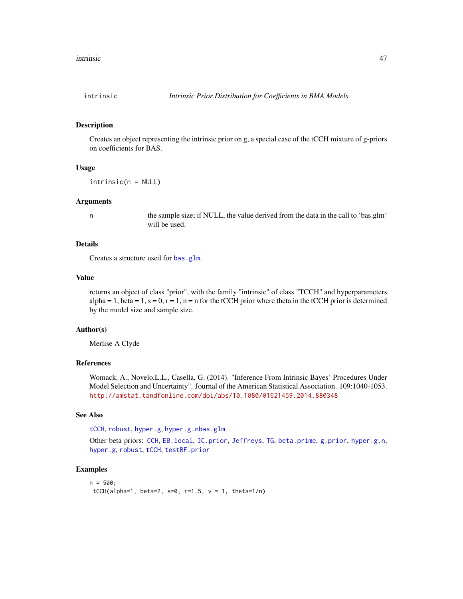<span id="page-46-0"></span>

#### Description

Creates an object representing the intrinsic prior on g, a special case of the tCCH mixture of g-priors on coefficients for BAS.

#### Usage

intrinsic(n = NULL)

#### Arguments

n the sample size; if NULL, the value derived from the data in the call to 'bas.glm' will be used.

# Details

Creates a structure used for [bas.glm](#page-4-0).

## Value

returns an object of class "prior", with the family "intrinsic" of class "TCCH" and hyperparameters alpha = 1, beta = 1, s = 0, r = 1, n = n for the tCCH prior where theta in the tCCH prior is determined by the model size and sample size.

#### Author(s)

Merlise A Clyde

## References

Womack, A., Novelo,L.L., Casella, G. (2014). "Inference From Intrinsic Bayes' Procedures Under Model Selection and Uncertainty". Journal of the American Statistical Association. 109:1040-1053. <http://amstat.tandfonline.com/doi/abs/10.1080/01621459.2014.880348>

#### See Also

[tCCH](#page-63-0), [robust](#page-61-0), [hyper.g](#page-39-0), [hyper.g.n](#page-40-0)[bas.glm](#page-4-0)

Other beta priors: [CCH](#page-22-0), [EB.local](#page-31-0), [IC.prior](#page-43-0), [Jeffreys](#page-47-0), [TG](#page-65-0), [beta.prime](#page-19-0), [g.prior](#page-38-0), [hyper.g.n](#page-40-0), [hyper.g](#page-39-0), [robust](#page-61-0), [tCCH](#page-63-0), [testBF.prior](#page-64-0)

## Examples

```
n = 500;
tCCH(alpha=1, beta=2, s=0, r=1.5, v = 1, theta=1/n)
```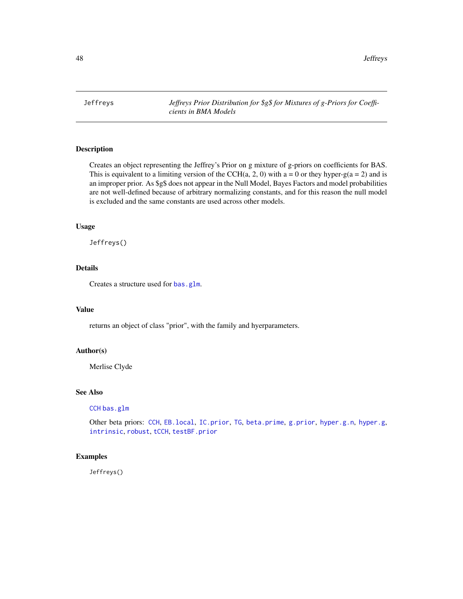<span id="page-47-0"></span>Jeffreys *Jeffreys Prior Distribution for \$g\$ for Mixtures of g-Priors for Coefficients in BMA Models*

# **Description**

Creates an object representing the Jeffrey's Prior on g mixture of g-priors on coefficients for BAS. This is equivalent to a limiting version of the CCH(a, 2, 0) with  $a = 0$  or they hyper-g( $a = 2$ ) and is an improper prior. As \$g\$ does not appear in the Null Model, Bayes Factors and model probabilities are not well-defined because of arbitrary normalizing constants, and for this reason the null model is excluded and the same constants are used across other models.

## Usage

Jeffreys()

# Details

Creates a structure used for [bas.glm](#page-4-0).

#### Value

returns an object of class "prior", with the family and hyerparameters.

#### Author(s)

Merlise Clyde

## See Also

[CCH](#page-22-0) [bas.glm](#page-4-0)

Other beta priors: [CCH](#page-22-0), [EB.local](#page-31-0), [IC.prior](#page-43-0), [TG](#page-65-0), [beta.prime](#page-19-0), [g.prior](#page-38-0), [hyper.g.n](#page-40-0), [hyper.g](#page-39-0), [intrinsic](#page-46-0), [robust](#page-61-0), [tCCH](#page-63-0), [testBF.prior](#page-64-0)

#### Examples

Jeffreys()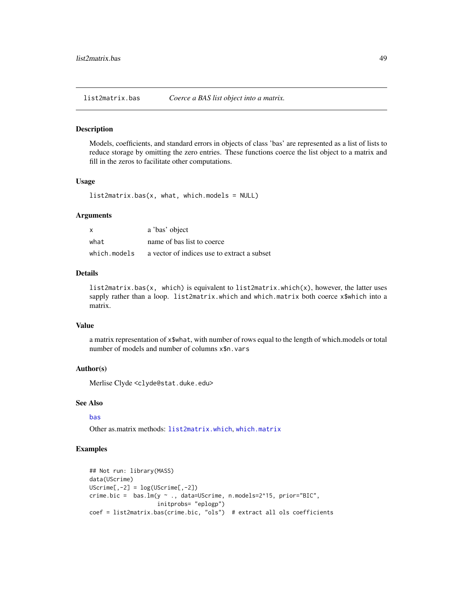<span id="page-48-0"></span>list2matrix.bas *Coerce a BAS list object into a matrix.*

#### Description

Models, coefficients, and standard errors in objects of class 'bas' are represented as a list of lists to reduce storage by omitting the zero entries. These functions coerce the list object to a matrix and fill in the zeros to facilitate other computations.

#### Usage

list2matrix.bas(x, what, which.models = NULL)

#### Arguments

| $\mathsf{x}$ | a 'bas' object                              |
|--------------|---------------------------------------------|
| what         | name of bas list to coerce                  |
| which.models | a vector of indices use to extract a subset |

#### Details

list2matrix.bas(x, which) is equivalent to list2matrix.which(x), however, the latter uses sapply rather than a loop. list2matrix.which and which.matrix both coerce x\$which into a matrix.

## Value

a matrix representation of x\$what, with number of rows equal to the length of which.models or total number of models and number of columns x\$n.vars

#### Author(s)

Merlise Clyde <clyde@stat.duke.edu>

## See Also

#### [bas](#page-8-1)

Other as.matrix methods: [list2matrix.which](#page-49-0), [which.matrix](#page-72-0)

## Examples

```
## Not run: library(MASS)
data(UScrime)
UScriptime[, -2] = log(UScriptime[, -2])crime.bic = bas.lm(y ~ ., data=UScrime, n.models=2^15, prior="BIC",
                    initprobs= "eplogp")
coef = list2matrix.bas(crime.bic, "ols") # extract all ols coefficients
```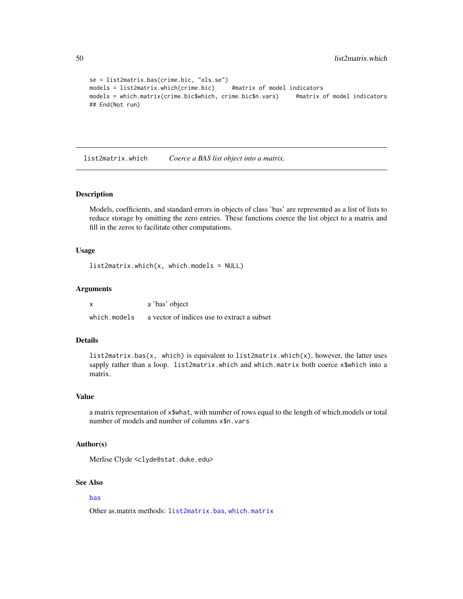```
se = list2matrix.bas(crime.bic, "ols.se")
models = list2matrix.which(crime.bic) #matrix of model indicators
models = which.matrix(crime.bic$which, crime.bic$n.vars) #matrix of model indicators
## End(Not run)
```
<span id="page-49-0"></span>list2matrix.which *Coerce a BAS list object into a matrix.*

#### Description

Models, coefficients, and standard errors in objects of class 'bas' are represented as a list of lists to reduce storage by omitting the zero entries. These functions coerce the list object to a matrix and fill in the zeros to facilitate other computations.

## Usage

list2matrix.which(x, which.models = NULL)

#### Arguments

|              | a 'bas' object                              |
|--------------|---------------------------------------------|
| which.models | a vector of indices use to extract a subset |

## Details

list2matrix.bas(x, which) is equivalent to list2matrix.which(x), however, the latter uses sapply rather than a loop. list2matrix.which and which.matrix both coerce x\$which into a matrix.

#### Value

a matrix representation of x\$what, with number of rows equal to the length of which.models or total number of models and number of columns x\$n.vars

## Author(s)

Merlise Clyde <clyde@stat.duke.edu>

## See Also

## [bas](#page-8-1)

Other as.matrix methods: [list2matrix.bas](#page-48-0), [which.matrix](#page-72-0)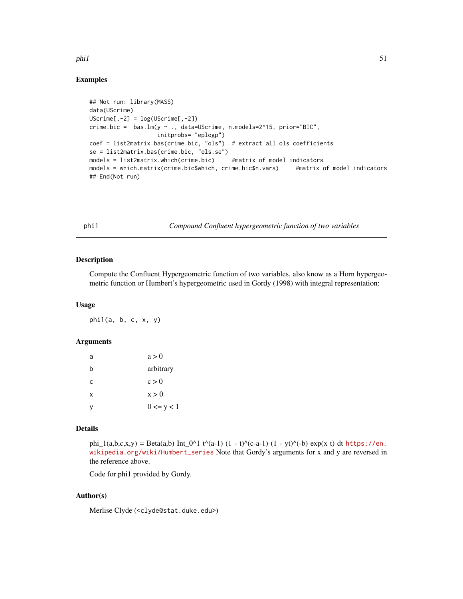## phi1 51

# Examples

```
## Not run: library(MASS)
data(UScrime)
UScriptime[, -2] = log(UScriptime[, -2])crime.bic = bas.lm(y ~ ., data=UScrime, n.models=2^15, prior="BIC",
                    initprobs= "eplogp")
coef = list2matrix.bas(crime.bic, "ols") # extract all ols coefficients
se = list2matrix.bas(crime.bic, "ols.se")
models = list2matrix.which(crime.bic) #matrix of model indicators
models = which.matrix(crime.bic$which, crime.bic$n.vars) #matrix of model indicators
## End(Not run)
```
<span id="page-50-0"></span>phi1 *Compound Confluent hypergeometric function of two variables*

#### Description

Compute the Confluent Hypergeometric function of two variables, also know as a Horn hypergeometric function or Humbert's hypergeometric used in Gordy (1998) with integral representation:

#### Usage

phi1(a, b, c, x, y)

## Arguments

| a | a > 0           |
|---|-----------------|
| b | arbitrary       |
| C | c > 0           |
| X | x > 0           |
| v | $0 \le y \le 1$ |

## Details

phi\_1(a,b,c,x,y) = Beta(a,b) Int\_0^1 t^(a-1) (1 - t)^(c-a-1) (1 - yt)^(-b) exp(x t) dt [https://en.](https://en.wikipedia.org/wiki/Humbert_series) [wikipedia.org/wiki/Humbert\\_series](https://en.wikipedia.org/wiki/Humbert_series) Note that Gordy's arguments for x and y are reversed in the reference above.

Code for phi1 provided by Gordy.

# Author(s)

Merlise Clyde (<clyde@stat.duke.edu>)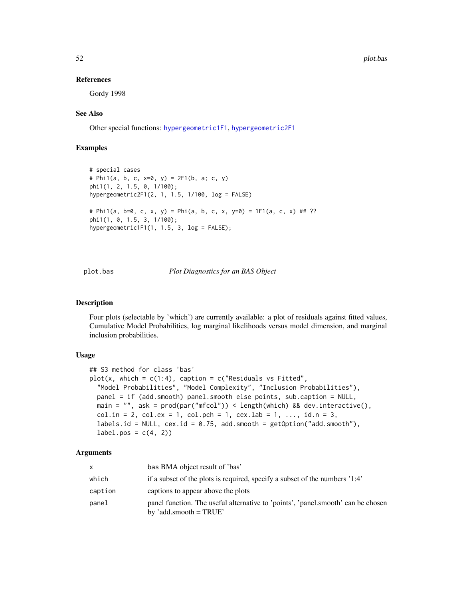#### References

Gordy 1998

## See Also

Other special functions: [hypergeometric1F1](#page-41-0), [hypergeometric2F1](#page-42-0)

## Examples

```
# special cases
# Phi1(a, b, c, x=0, y) = 2F1(b, a; c, y)
phi1(1, 2, 1.5, 0, 1/100);
hypergeometric2F1(2, 1, 1.5, 1/100, log = FALSE)
# Phi1(a, b=0, c, x, y) = Phi(a, b, c, x, y=0) = 1F1(a, c, x) ## ??
phi1(1, 0, 1.5, 3, 1/100);
hypergeometric1F1(1, 1.5, 3, log = FALSE);
```

```
plot.bas Plot Diagnostics for an BAS Object
```
#### Description

Four plots (selectable by 'which') are currently available: a plot of residuals against fitted values, Cumulative Model Probabilities, log marginal likelihoods versus model dimension, and marginal inclusion probabilities.

#### Usage

```
## S3 method for class 'bas'
plot(x, which = c(1:4), caption = c("Residuals vs fitted","Model Probabilities", "Model Complexity", "Inclusion Probabilities"),
 panel = if (add.smooth) panel.smooth else points, sub.caption = NULL,
 main = "", ask = prod(par("mfcol")) < length(which) && dev.interactive(),
 col.in = 2, col.ex = 1, col.pch = 1, cex.lab = 1, ..., id.n = 3,labels.id = NULL, cex.id = 0.75, add.smooth = getOption("add.smooth"),
  label.pos = c(4, 2)
```
#### Arguments

| X       | bas BMA object result of 'bas'                                                                               |
|---------|--------------------------------------------------------------------------------------------------------------|
| which   | if a subset of the plots is required, specify a subset of the numbers '1:4'                                  |
| caption | captions to appear above the plots                                                                           |
| panel   | panel function. The useful alternative to 'points', 'panel.smooth' can be chosen<br>by 'add.smooth = $TRUE'$ |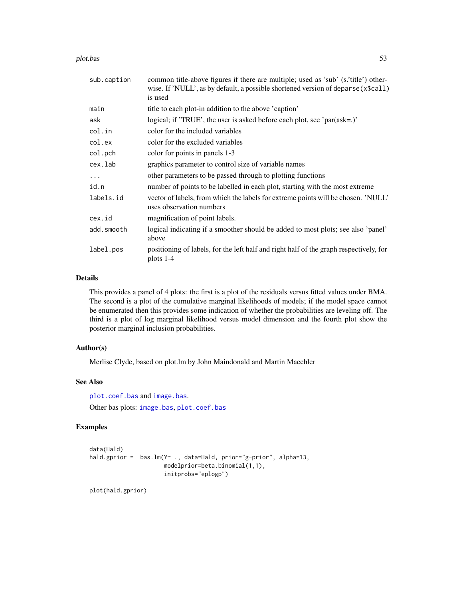plot.bas 53

| sub.caption | common title-above figures if there are multiple; used as 'sub' (s.'title') other-<br>wise. If 'NULL', as by default, a possible shortened version of deparse (x\$call)<br>is used |  |  |
|-------------|------------------------------------------------------------------------------------------------------------------------------------------------------------------------------------|--|--|
| main        | title to each plot-in addition to the above 'caption'                                                                                                                              |  |  |
| ask         | logical; if 'TRUE', the user is asked before each plot, see 'par(ask=.)'                                                                                                           |  |  |
| col.in      | color for the included variables                                                                                                                                                   |  |  |
| col.ex      | color for the excluded variables                                                                                                                                                   |  |  |
| col.pch     | color for points in panels 1-3                                                                                                                                                     |  |  |
| cex.lab     | graphics parameter to control size of variable names                                                                                                                               |  |  |
| $\cdots$    | other parameters to be passed through to plotting functions                                                                                                                        |  |  |
| id.n        | number of points to be labelled in each plot, starting with the most extreme                                                                                                       |  |  |
| labels.id   | vector of labels, from which the labels for extreme points will be chosen. 'NULL'<br>uses observation numbers                                                                      |  |  |
| cex.id      | magnification of point labels.                                                                                                                                                     |  |  |
| add.smooth  | logical indicating if a smoother should be added to most plots; see also 'panel'<br>above                                                                                          |  |  |
| label.pos   | positioning of labels, for the left half and right half of the graph respectively, for<br>plots $1-4$                                                                              |  |  |

# Details

This provides a panel of 4 plots: the first is a plot of the residuals versus fitted values under BMA. The second is a plot of the cumulative marginal likelihoods of models; if the model space cannot be enumerated then this provides some indication of whether the probabilities are leveling off. The third is a plot of log marginal likelihood versus model dimension and the fourth plot show the posterior marginal inclusion probabilities.

## Author(s)

Merlise Clyde, based on plot.lm by John Maindonald and Martin Maechler

#### See Also

[plot.coef.bas](#page-53-0) and [image.bas](#page-44-0). Other bas plots: [image.bas](#page-44-0), [plot.coef.bas](#page-53-0)

## Examples

```
data(Hald)
hald.gprior = bas.lm(Y~ ., data=Hald, prior="g-prior", alpha=13,
                     modelprior=beta.binomial(1,1),
                     initprobs="eplogp")
```
plot(hald.gprior)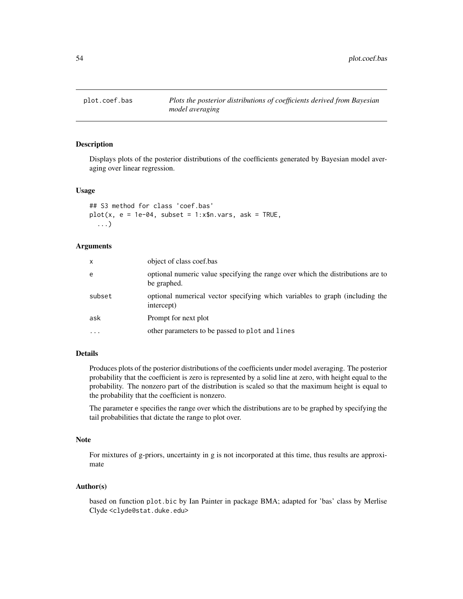<span id="page-53-0"></span>

## Description

Displays plots of the posterior distributions of the coefficients generated by Bayesian model averaging over linear regression.

## Usage

```
## S3 method for class 'coef.bas'
plot(x, e = 1e-04, subset = 1:x$n.vars, ask = TRUE,...)
```
# Arguments

| x        | object of class coef.bas                                                                       |
|----------|------------------------------------------------------------------------------------------------|
| e        | optional numeric value specifying the range over which the distributions are to<br>be graphed. |
| subset   | optional numerical vector specifying which variables to graph (including the<br>intercept)     |
| ask      | Prompt for next plot                                                                           |
| $\cdots$ | other parameters to be passed to plot and lines                                                |

# Details

Produces plots of the posterior distributions of the coefficients under model averaging. The posterior probability that the coefficient is zero is represented by a solid line at zero, with height equal to the probability. The nonzero part of the distribution is scaled so that the maximum height is equal to the probability that the coefficient is nonzero.

The parameter e specifies the range over which the distributions are to be graphed by specifying the tail probabilities that dictate the range to plot over.

#### Note

For mixtures of g-priors, uncertainty in g is not incorporated at this time, thus results are approximate

## Author(s)

based on function plot.bic by Ian Painter in package BMA; adapted for 'bas' class by Merlise Clyde <clyde@stat.duke.edu>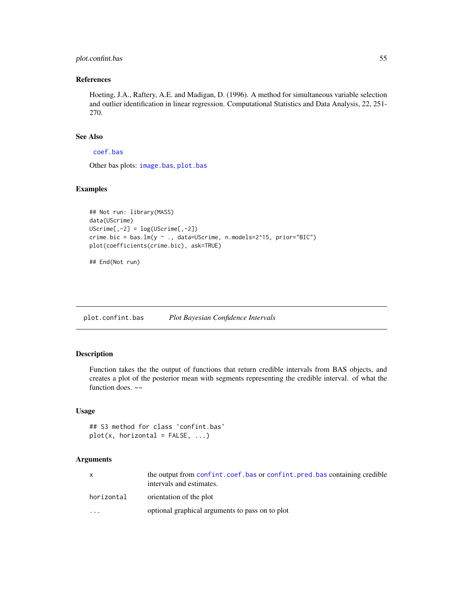# plot.confint.bas 55

## References

Hoeting, J.A., Raftery, A.E. and Madigan, D. (1996). A method for simultaneous variable selection and outlier identification in linear regression. Computational Statistics and Data Analysis, 22, 251- 270.

## See Also

## [coef.bas](#page-23-0)

Other bas plots: [image.bas](#page-44-0), [plot.bas](#page-51-0)

#### Examples

```
## Not run: library(MASS)
data(UScrime)
UScriptTime[, -2] = log(UScriptTime[, -2])crime.bic = bas.lm(y ~ ., data=UScrime, n.models=2^15, prior="BIC")
plot(coefficients(crime.bic), ask=TRUE)
```
## End(Not run)

plot.confint.bas *Plot Bayesian Confidence Intervals*

# Description

Function takes the the output of functions that return credible intervals from BAS objects, and creates a plot of the posterior mean with segments representing the credible interval. of what the function does.  $\sim$ 

#### Usage

```
## S3 method for class 'confint.bas'
plot(x, horizontal = FALSE, ...)
```
## Arguments

|                         | the output from confint.coef.bas or confint.pred.bas containing credible<br>intervals and estimates. |
|-------------------------|------------------------------------------------------------------------------------------------------|
| horizontal              | orientation of the plot                                                                              |
| $\cdot$ $\cdot$ $\cdot$ | optional graphical arguments to pass on to plot                                                      |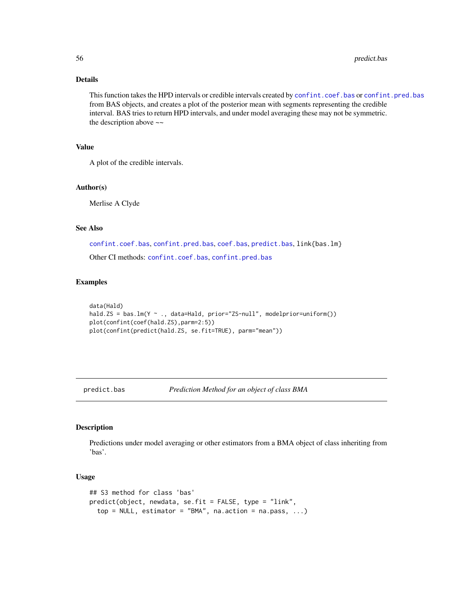56 predict.bas

## Details

This function takes the HPD intervals or credible intervals created by [confint.coef.bas](#page-25-0) or [confint.pred.bas](#page-27-0) from BAS objects, and creates a plot of the posterior mean with segments representing the credible interval. BAS tries to return HPD intervals, and under model averaging these may not be symmetric. the description above  $\sim$ 

## Value

A plot of the credible intervals.

#### Author(s)

Merlise A Clyde

#### See Also

[confint.coef.bas](#page-25-0), [confint.pred.bas](#page-27-0), [coef.bas](#page-23-0), [predict.bas](#page-55-0), link{bas.lm}

Other CI methods: [confint.coef.bas](#page-25-0), [confint.pred.bas](#page-27-0)

## Examples

```
data(Hald)
hald.ZS = bas.lm(Y \sim ., data=Hald, prior="ZS-null", modelprior=uniform())plot(confint(coef(hald.ZS),parm=2:5))
plot(confint(predict(hald.ZS, se.fit=TRUE), parm="mean"))
```
<span id="page-55-0"></span>

predict.bas *Prediction Method for an object of class BMA*

## Description

Predictions under model averaging or other estimators from a BMA object of class inheriting from 'bas'.

#### Usage

```
## S3 method for class 'bas'
predict(object, newdata, se.fit = FALSE, type = "link",
  top = NULL, estimator = "BMA", na.action = na.pass, ...)
```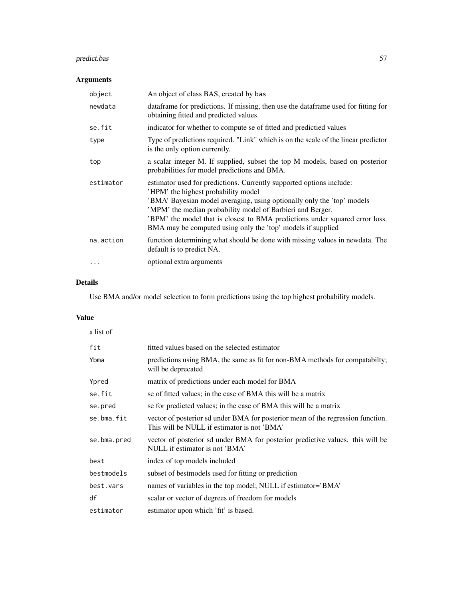# predict.bas 57

# Arguments

| object    | An object of class BAS, created by bas                                                                                                                                                                                                                                                                                                                                                             |  |  |
|-----------|----------------------------------------------------------------------------------------------------------------------------------------------------------------------------------------------------------------------------------------------------------------------------------------------------------------------------------------------------------------------------------------------------|--|--|
| newdata   | data frame for predictions. If missing, then use the data frame used for fitting for<br>obtaining fitted and predicted values.                                                                                                                                                                                                                                                                     |  |  |
| se.fit    | indicator for whether to compute se of fitted and predictied values                                                                                                                                                                                                                                                                                                                                |  |  |
| type      | Type of predictions required. "Link" which is on the scale of the linear predictor<br>is the only option currently.                                                                                                                                                                                                                                                                                |  |  |
| top       | a scalar integer M. If supplied, subset the top M models, based on posterior<br>probabilities for model predictions and BMA.                                                                                                                                                                                                                                                                       |  |  |
| estimator | estimator used for predictions. Currently supported options include:<br>'HPM' the highest probability model<br>'BMA' Bayesian model averaging, using optionally only the 'top' models<br>'MPM' the median probability model of Barbieri and Berger.<br>'BPM' the model that is closest to BMA predictions under squared error loss.<br>BMA may be computed using only the 'top' models if supplied |  |  |
| na.action | function determining what should be done with missing values in newdata. The<br>default is to predict NA.                                                                                                                                                                                                                                                                                          |  |  |
| $\ddotsc$ | optional extra arguments                                                                                                                                                                                                                                                                                                                                                                           |  |  |

# Details

Use BMA and/or model selection to form predictions using the top highest probability models.

# Value

| a list of   |                                                                                                                                |  |  |
|-------------|--------------------------------------------------------------------------------------------------------------------------------|--|--|
| fit         | fitted values based on the selected estimator                                                                                  |  |  |
| Ybma        | predictions using BMA, the same as fit for non-BMA methods for compatabilty;<br>will be deprecated                             |  |  |
| Ypred       | matrix of predictions under each model for BMA                                                                                 |  |  |
| se.fit      | se of fitted values; in the case of BMA this will be a matrix                                                                  |  |  |
| se.pred     | se for predicted values; in the case of BMA this will be a matrix                                                              |  |  |
| se.bma.fit  | vector of posterior sd under BMA for posterior mean of the regression function.<br>This will be NULL if estimator is not 'BMA' |  |  |
| se.bma.pred | vector of posterior sd under BMA for posterior predictive values. this will be<br>NULL if estimator is not 'BMA'               |  |  |
| best        | index of top models included                                                                                                   |  |  |
| bestmodels  | subset of bestmodels used for fitting or prediction                                                                            |  |  |
| best.vars   | names of variables in the top model; NULL if estimator='BMA'                                                                   |  |  |
| df          | scalar or vector of degrees of freedom for models                                                                              |  |  |
| estimator   | estimator upon which 'fit' is based.                                                                                           |  |  |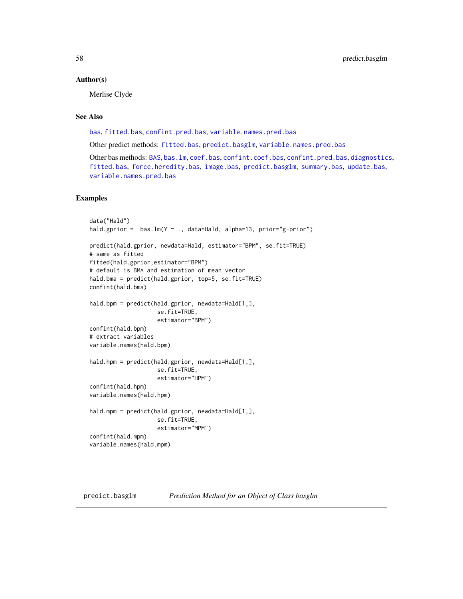#### Author(s)

Merlise Clyde

# See Also

[bas](#page-8-1), [fitted.bas](#page-35-0), [confint.pred.bas](#page-27-0), [variable.names.pred.bas](#page-71-0)

Other predict methods: [fitted.bas](#page-35-0), [predict.basglm](#page-57-0), [variable.names.pred.bas](#page-71-0)

Other bas methods: [BAS](#page-2-0), [bas.lm](#page-8-0), [coef.bas](#page-23-0), [confint.coef.bas](#page-25-0), [confint.pred.bas](#page-27-0), [diagnostics](#page-29-0), [fitted.bas](#page-35-0), [force.heredity.bas](#page-37-0), [image.bas](#page-44-0), [predict.basglm](#page-57-0), [summary.bas](#page-62-0), [update.bas](#page-70-0), [variable.names.pred.bas](#page-71-0)

## Examples

```
data("Hald")
hald.gprior = bas.lm(Y \sim ., data=Hald, alpha=13, prior="g-prior")predict(hald.gprior, newdata=Hald, estimator="BPM", se.fit=TRUE)
# same as fitted
fitted(hald.gprior,estimator="BPM")
# default is BMA and estimation of mean vector
hald.bma = predict(hald.gprior, top=5, se.fit=TRUE)
confint(hald.bma)
hald.bpm = predict(hald.gprior, newdata=Hald[1,],
                    se.fit=TRUE,
                    estimator="BPM")
confint(hald.bpm)
# extract variables
variable.names(hald.bpm)
hald.hpm = predict(hald.gprior, newdata=Hald[1,],
                    se.fit=TRUE,
                    estimator="HPM")
confint(hald.hpm)
variable.names(hald.hpm)
hald.mpm = predict(hald.gprior, newdata=Hald[1,],
                    se.fit=TRUE,
                    estimator="MPM")
confint(hald.mpm)
variable.names(hald.mpm)
```
<span id="page-57-0"></span>predict.basglm *Prediction Method for an Object of Class basglm*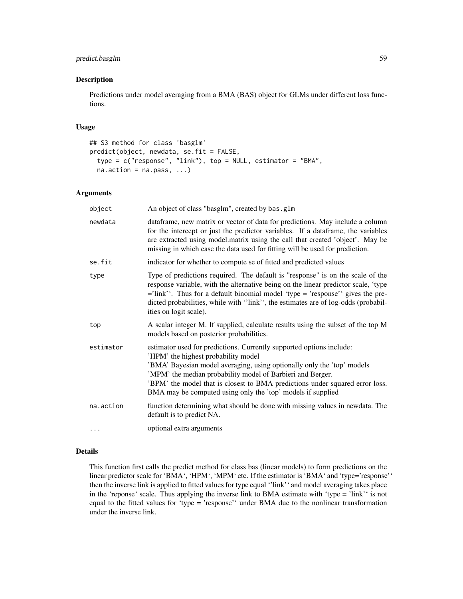# predict.basglm 59

#### Description

Predictions under model averaging from a BMA (BAS) object for GLMs under different loss functions.

#### Usage

```
## S3 method for class 'basglm'
predict(object, newdata, se.fit = FALSE,
  type = c("response", "link"), top = NULL, estimator = "BMA",
  na. action = na. pass, ...
```
#### Arguments

| object    | An object of class "basglm", created by bas.glm                                                                                                                                                                                                                                                                                                                                                    |  |  |
|-----------|----------------------------------------------------------------------------------------------------------------------------------------------------------------------------------------------------------------------------------------------------------------------------------------------------------------------------------------------------------------------------------------------------|--|--|
| newdata   | dataframe, new matrix or vector of data for predictions. May include a column<br>for the intercept or just the predictor variables. If a dataframe, the variables<br>are extracted using model.matrix using the call that created 'object'. May be<br>missing in which case the data used for fitting will be used for prediction.                                                                 |  |  |
| se.fit    | indicator for whether to compute se of fitted and predicted values                                                                                                                                                                                                                                                                                                                                 |  |  |
| type      | Type of predictions required. The default is "response" is on the scale of the<br>response variable, with the alternative being on the linear predictor scale, 'type<br>$=$ 'link''. Thus for a default binomial model 'type $=$ 'response'' gives the pre-<br>dicted probabilities, while with ''link'', the estimates are of log-odds (probabil-<br>ities on logit scale).                       |  |  |
| top       | A scalar integer M. If supplied, calculate results using the subset of the top M<br>models based on posterior probabilities.                                                                                                                                                                                                                                                                       |  |  |
| estimator | estimator used for predictions. Currently supported options include:<br>'HPM' the highest probability model<br>'BMA' Bayesian model averaging, using optionally only the 'top' models<br>'MPM' the median probability model of Barbieri and Berger.<br>'BPM' the model that is closest to BMA predictions under squared error loss.<br>BMA may be computed using only the 'top' models if supplied |  |  |
| na.action | function determining what should be done with missing values in newdata. The<br>default is to predict NA.                                                                                                                                                                                                                                                                                          |  |  |
| .         | optional extra arguments                                                                                                                                                                                                                                                                                                                                                                           |  |  |

#### Details

This function first calls the predict method for class bas (linear models) to form predictions on the linear predictor scale for 'BMA', 'HPM', 'MPM' etc. If the estimator is 'BMA' and 'type='response'' then the inverse link is applied to fitted values for type equal ''link'' and model averaging takes place in the 'reponse' scale. Thus applying the inverse link to BMA estimate with 'type = 'link'' is not equal to the fitted values for 'type = 'response'' under BMA due to the nonlinear transformation under the inverse link.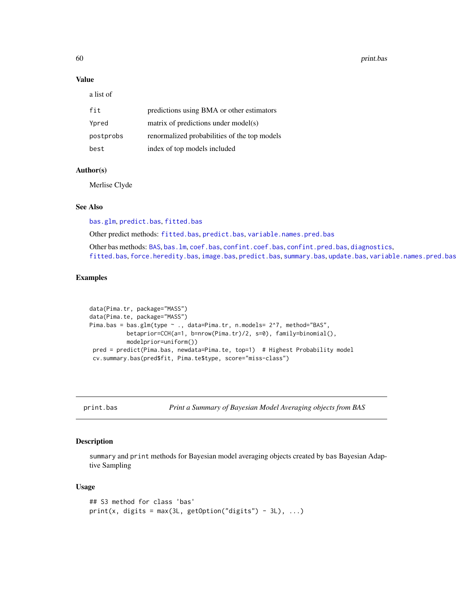60 print.bas

## Value

a list of

| fit       | predictions using BMA or other estimators    |
|-----------|----------------------------------------------|
| Ypred     | matrix of predictions under model(s)         |
| postprobs | renormalized probabilities of the top models |
| best      | index of top models included                 |

# Author(s)

Merlise Clyde

## See Also

[bas.glm](#page-4-0), [predict.bas](#page-55-0), [fitted.bas](#page-35-0)

Other predict methods: [fitted.bas](#page-35-0), [predict.bas](#page-55-0), [variable.names.pred.bas](#page-71-0)

Other bas methods: [BAS](#page-2-0), [bas.lm](#page-8-0), [coef.bas](#page-23-0), [confint.coef.bas](#page-25-0), [confint.pred.bas](#page-27-0), [diagnostics](#page-29-0), [fitted.bas](#page-35-0), [force.heredity.bas](#page-37-0), [image.bas](#page-44-0), [predict.bas](#page-55-0), [summary.bas](#page-62-0), [update.bas](#page-70-0), [variable.names.pred.bas](#page-71-0)

## Examples

```
data(Pima.tr, package="MASS")
data(Pima.te, package="MASS")
Pima.bas = bas.glm(type ~ ., data=Pima.tr, n.models= 2^7, method="BAS",
          betaprior=CCH(a=1, b=nrow(Pima.tr)/2, s=0), family=binomial(),
          modelprior=uniform())
pred = predict(Pima.bas, newdata=Pima.te, top=1) # Highest Probability model
cv.summary.bas(pred$fit, Pima.te$type, score="miss-class")
```
print.bas *Print a Summary of Bayesian Model Averaging objects from BAS*

## Description

summary and print methods for Bayesian model averaging objects created by bas Bayesian Adaptive Sampling

#### Usage

```
## S3 method for class 'bas'
print(x, digits = max(3L, getOption("digits") - 3L), ...)
```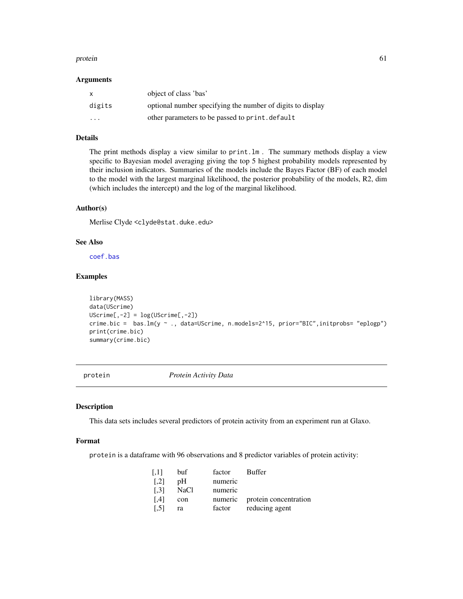#### protein 61

#### Arguments

|                         | object of class 'bas'                                      |
|-------------------------|------------------------------------------------------------|
| digits                  | optional number specifying the number of digits to display |
| $\cdot$ $\cdot$ $\cdot$ | other parameters to be passed to print. default            |

# Details

The print methods display a view similar to print.lm . The summary methods display a view specific to Bayesian model averaging giving the top 5 highest probability models represented by their inclusion indicators. Summaries of the models include the Bayes Factor (BF) of each model to the model with the largest marginal likelihood, the posterior probability of the models, R2, dim (which includes the intercept) and the log of the marginal likelihood.

## Author(s)

Merlise Clyde <clyde@stat.duke.edu>

# See Also

[coef.bas](#page-23-0)

## Examples

```
library(MASS)
data(UScrime)
UScriptime[, -2] = log(UScriptime[, -2])crime.bic = bas.lm(y ~ ., data=UScrime, n.models=2^15, prior="BIC", initprobs= "eplogp")
print(crime.bic)
summary(crime.bic)
```
protein *Protein Activity Data*

#### Description

This data sets includes several predictors of protein activity from an experiment run at Glaxo.

#### Format

protein is a dataframe with 96 observations and 8 predictor variables of protein activity:

| $\left[ .1 \right]$ | buf  | factor  | Buffer                        |
|---------------------|------|---------|-------------------------------|
| $\lceil .2 \rceil$  | pΗ   | numeric |                               |
| $\left[ .3 \right]$ | NaCl | numeric |                               |
| [4]                 | con  |         | numeric protein concentration |
| $\left[ .5 \right]$ | ra   | factor  | reducing agent                |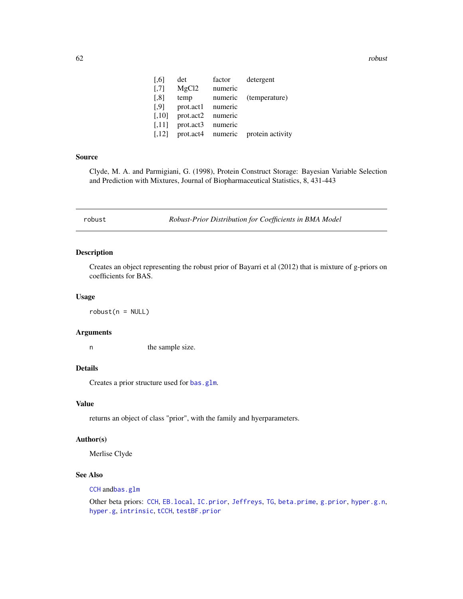62 robust and the contract of the contract of the contract of the contract of the contract of the contract of the contract of the contract of the contract of the contract of the contract of the contract of the contract of

| $\left[ 0.6\right]$  | det       | factor  | detergent        |
|----------------------|-----------|---------|------------------|
| $\left[ .7 \right]$  | MgCl2     | numeric |                  |
| $\left[ 0.8\right]$  | temp      | numeric | (temperature)    |
| [.9]                 | prot.act1 | numeric |                  |
| $\left[ .10 \right]$ | prot.act2 | numeric |                  |
| [.11]                | prot.act3 | numeric |                  |
| [.12]                | prot.act4 | numeric | protein activity |

#### Source

Clyde, M. A. and Parmigiani, G. (1998), Protein Construct Storage: Bayesian Variable Selection and Prediction with Mixtures, Journal of Biopharmaceutical Statistics, 8, 431-443

<span id="page-61-0"></span>robust *Robust-Prior Distribution for Coefficients in BMA Model*

## Description

Creates an object representing the robust prior of Bayarri et al (2012) that is mixture of g-priors on coefficients for BAS.

#### Usage

 $robust(n = NULL)$ 

#### Arguments

n the sample size.

# Details

Creates a prior structure used for [bas.glm](#page-4-0).

## Value

returns an object of class "prior", with the family and hyerparameters.

## Author(s)

Merlise Clyde

# See Also

[CCH](#page-22-0) and[bas.glm](#page-4-0)

Other beta priors: [CCH](#page-22-0), [EB.local](#page-31-0), [IC.prior](#page-43-0), [Jeffreys](#page-47-0), [TG](#page-65-0), [beta.prime](#page-19-0), [g.prior](#page-38-0), [hyper.g.n](#page-40-0), [hyper.g](#page-39-0), [intrinsic](#page-46-0), [tCCH](#page-63-0), [testBF.prior](#page-64-0)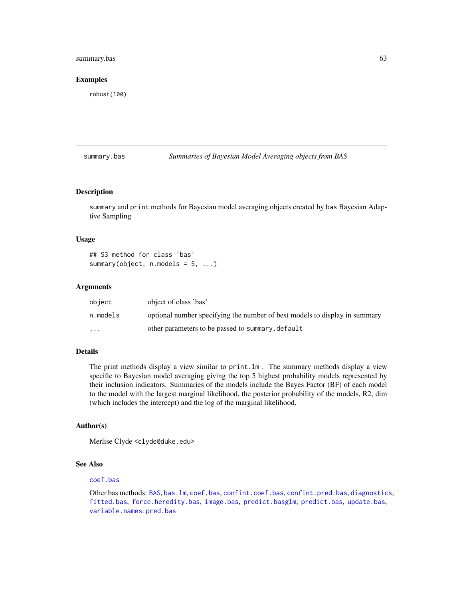# summary.bas 63

#### Examples

robust(100)

## <span id="page-62-0"></span>summary.bas *Summaries of Bayesian Model Averaging objects from BAS*

## Description

summary and print methods for Bayesian model averaging objects created by bas Bayesian Adaptive Sampling

#### Usage

```
## S3 method for class 'bas'
summary(object, n.models = 5, ...)
```
## Arguments

| object                  | object of class 'bas'                                                      |
|-------------------------|----------------------------------------------------------------------------|
| n.models                | optional number specifying the number of best models to display in summary |
| $\cdot$ $\cdot$ $\cdot$ | other parameters to be passed to summary.default                           |

#### Details

The print methods display a view similar to print.lm . The summary methods display a view specific to Bayesian model averaging giving the top 5 highest probability models represented by their inclusion indicators. Summaries of the models include the Bayes Factor (BF) of each model to the model with the largest marginal likelihood, the posterior probability of the models, R2, dim (which includes the intercept) and the log of the marginal likelihood.

#### Author(s)

Merlise Clyde <clyde@duke.edu>

## See Also

#### [coef.bas](#page-23-0)

Other bas methods: [BAS](#page-2-0), [bas.lm](#page-8-0), [coef.bas](#page-23-0), [confint.coef.bas](#page-25-0), [confint.pred.bas](#page-27-0), [diagnostics](#page-29-0), [fitted.bas](#page-35-0), [force.heredity.bas](#page-37-0), [image.bas](#page-44-0), [predict.basglm](#page-57-0), [predict.bas](#page-55-0), [update.bas](#page-70-0), [variable.names.pred.bas](#page-71-0)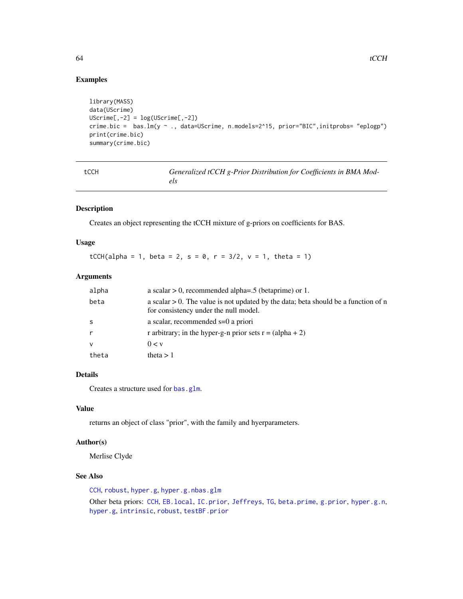## Examples

```
library(MASS)
data(UScrime)
UScriptime[, -2] = log(UScriptime[, -2])crime.bic = bas.lm(y ~ ., data=UScrime, n.models=2^15, prior="BIC",initprobs= "eplogp")
print(crime.bic)
summary(crime.bic)
```
<span id="page-63-0"></span>

| $\sim$ | ۰.<br>$\sim$ | I<br>$\sim$ | × |
|--------|--------------|-------------|---|

Generalized tCCH g-Prior Distribution for Coefficients in BMA Mod*els*

# Description

Creates an object representing the tCCH mixture of g-priors on coefficients for BAS.

## Usage

tCCH(alpha = 1, beta = 2, s = 0, r = 3/2, v = 1, theta = 1)

# Arguments

| alpha | a scalar $> 0$ , recommended alpha=.5 (betaprime) or 1.                                                                        |
|-------|--------------------------------------------------------------------------------------------------------------------------------|
| beta  | a scalar $> 0$ . The value is not updated by the data; beta should be a function of n<br>for consistency under the null model. |
|       | a scalar, recommended s=0 a priori                                                                                             |
|       | r arbitrary; in the hyper-g-n prior sets $r = (alpha + 2)$                                                                     |
| v     | 0 < v                                                                                                                          |
| theta | theta $> 1$                                                                                                                    |

# Details

Creates a structure used for [bas.glm](#page-4-0).

## Value

returns an object of class "prior", with the family and hyerparameters.

# Author(s)

Merlise Clyde

## See Also

[CCH](#page-22-0), [robust](#page-61-0), [hyper.g](#page-39-0), [hyper.g.n](#page-40-0)[bas.glm](#page-4-0)

Other beta priors: [CCH](#page-22-0), [EB.local](#page-31-0), [IC.prior](#page-43-0), [Jeffreys](#page-47-0), [TG](#page-65-0), [beta.prime](#page-19-0), [g.prior](#page-38-0), [hyper.g.n](#page-40-0), [hyper.g](#page-39-0), [intrinsic](#page-46-0), [robust](#page-61-0), [testBF.prior](#page-64-0)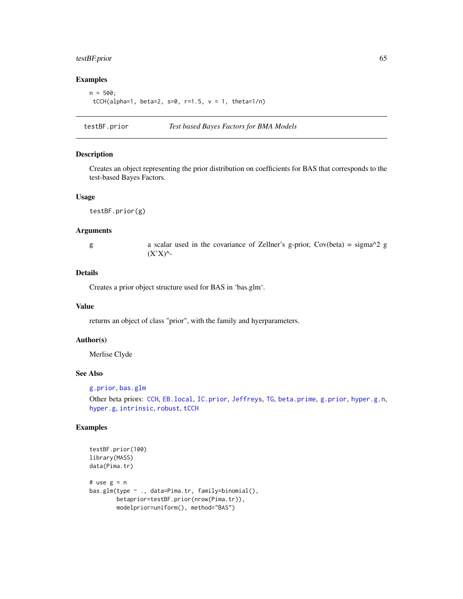## testBF.prior 65

# Examples

 $n = 500$ ; tCCH(alpha=1, beta=2, s=0, r=1.5,  $v = 1$ , theta=1/n)

<span id="page-64-0"></span>testBF.prior *Test based Bayes Factors for BMA Models*

## Description

Creates an object representing the prior distribution on coefficients for BAS that corresponds to the test-based Bayes Factors.

#### Usage

testBF.prior(g)

#### Arguments

g a scalar used in the covariance of Zellner's g-prior, Cov(beta) = sigma^2 g  $(X'X)$ <sup> $\wedge$ </sup>-

## Details

Creates a prior object structure used for BAS in 'bas.glm'.

## Value

returns an object of class "prior", with the family and hyerparameters.

#### Author(s)

Merlise Clyde

# See Also

```
g.prior, bas.glm
```
Other beta priors: [CCH](#page-22-0), [EB.local](#page-31-0), [IC.prior](#page-43-0), [Jeffreys](#page-47-0), [TG](#page-65-0), [beta.prime](#page-19-0), [g.prior](#page-38-0), [hyper.g.n](#page-40-0), [hyper.g](#page-39-0), [intrinsic](#page-46-0), [robust](#page-61-0), [tCCH](#page-63-0)

## Examples

```
testBF.prior(100)
library(MASS)
data(Pima.tr)
# use g = n
bas.glm(type ~ ., data=Pima.tr, family=binomial(),
        betaprior=testBF.prior(nrow(Pima.tr)),
        modelprior=uniform(), method="BAS")
```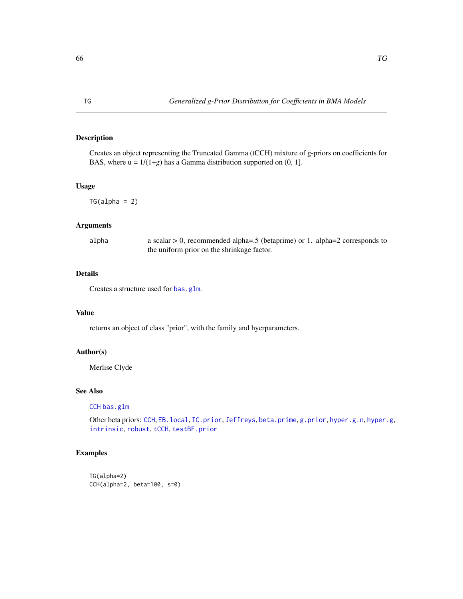# <span id="page-65-0"></span>Description

Creates an object representing the Truncated Gamma (tCCH) mixture of g-priors on coefficients for BAS, where  $u = 1/(1+g)$  has a Gamma distribution supported on  $(0, 1]$ .

#### Usage

 $TG(alpha = 2)$ 

## Arguments

alpha a scalar > 0, recommended alpha=.5 (betaprime) or 1. alpha=2 corresponds to the uniform prior on the shrinkage factor.

## Details

Creates a structure used for [bas.glm](#page-4-0).

#### Value

returns an object of class "prior", with the family and hyerparameters.

## Author(s)

Merlise Clyde

## See Also

[CCH](#page-22-0) [bas.glm](#page-4-0)

Other beta priors: [CCH](#page-22-0), EB. local, IC. prior, [Jeffreys](#page-47-0), [beta.prime](#page-19-0), [g.prior](#page-38-0), [hyper.g.n](#page-40-0), [hyper.g](#page-39-0), [intrinsic](#page-46-0), [robust](#page-61-0), [tCCH](#page-63-0), [testBF.prior](#page-64-0)

# Examples

```
TG(alpha=2)
CCH(alpha=2, beta=100, s=0)
```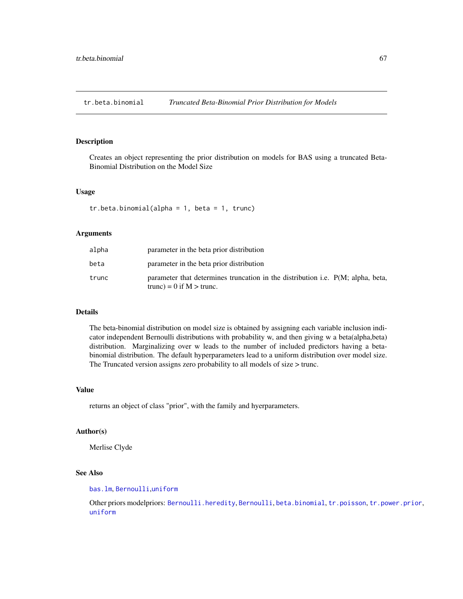<span id="page-66-0"></span>tr.beta.binomial *Truncated Beta-Binomial Prior Distribution for Models*

## Description

Creates an object representing the prior distribution on models for BAS using a truncated Beta-Binomial Distribution on the Model Size

## Usage

```
tr.beta.binomial(alpha = 1, beta = 1, trunc)
```
## Arguments

| alpha | parameter in the beta prior distribution                                                                               |
|-------|------------------------------------------------------------------------------------------------------------------------|
| beta  | parameter in the beta prior distribution                                                                               |
| trunc | parameter that determines truncation in the distribution <i>i.e.</i> P(M; alpha, beta,<br>trunc) = $0$ if M $>$ trunc. |

## Details

The beta-binomial distribution on model size is obtained by assigning each variable inclusion indicator independent Bernoulli distributions with probability w, and then giving w a beta(alpha,beta) distribution. Marginalizing over w leads to the number of included predictors having a betabinomial distribution. The default hyperparameters lead to a uniform distribution over model size. The Truncated version assigns zero probability to all models of size > trunc.

## Value

returns an object of class "prior", with the family and hyerparameters.

#### Author(s)

Merlise Clyde

## See Also

#### [bas.lm](#page-8-0), [Bernoulli](#page-17-0),[uniform](#page-69-0)

Other priors modelpriors: [Bernoulli.heredity](#page-18-0), [Bernoulli](#page-17-0), [beta.binomial](#page-18-1), [tr.poisson](#page-67-0), [tr.power.prior](#page-68-0), [uniform](#page-69-0)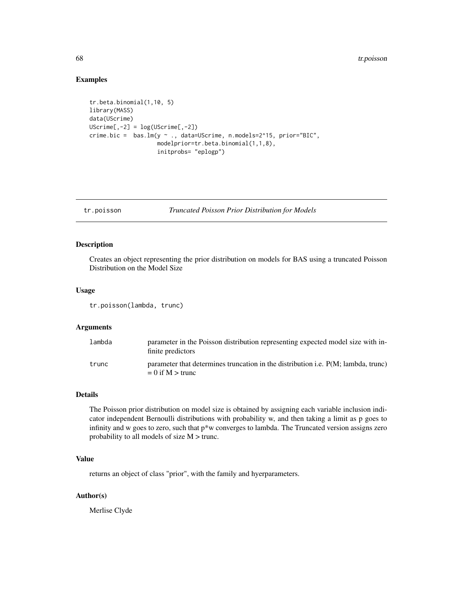## Examples

```
tr.beta.binomial(1,10, 5)
library(MASS)
data(UScrime)
UScriptime[, -2] = log(UScriptime[, -2])crime.bic = bas.lm(y ~ ., data=UScrime, n.models=2^15, prior="BIC",
                    modelprior=tr.beta.binomial(1,1,8),
                     initprobs= "eplogp")
```
<span id="page-67-0"></span>tr.poisson *Truncated Poisson Prior Distribution for Models*

# Description

Creates an object representing the prior distribution on models for BAS using a truncated Poisson Distribution on the Model Size

#### Usage

```
tr.poisson(lambda, trunc)
```
#### Arguments

| lambda | parameter in the Poisson distribution representing expected model size with in-<br>finite predictors               |
|--------|--------------------------------------------------------------------------------------------------------------------|
| trunc  | parameter that determines truncation in the distribution <i>i.e.</i> $P(M: lambda, trunc)$<br>$= 0$ if M $>$ trunc |

#### Details

The Poisson prior distribution on model size is obtained by assigning each variable inclusion indicator independent Bernoulli distributions with probability w, and then taking a limit as p goes to infinity and w goes to zero, such that  $p^*w$  converges to lambda. The Truncated version assigns zero probability to all models of size M > trunc.

## Value

returns an object of class "prior", with the family and hyerparameters.

## Author(s)

Merlise Clyde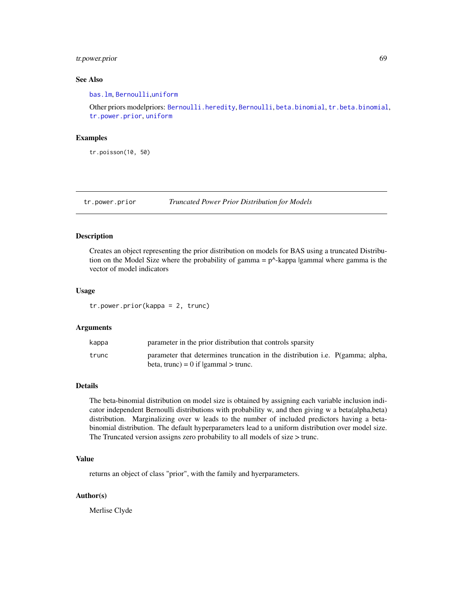# tr.power.prior 69

## See Also

[bas.lm](#page-8-0), [Bernoulli](#page-17-0),[uniform](#page-69-0)

Other priors modelpriors: [Bernoulli.heredity](#page-18-0), [Bernoulli](#page-17-0), [beta.binomial](#page-18-1), [tr.beta.binomial](#page-66-0), [tr.power.prior](#page-68-0), [uniform](#page-69-0)

#### Examples

tr.poisson(10, 50)

<span id="page-68-0"></span>tr.power.prior *Truncated Power Prior Distribution for Models*

## Description

Creates an object representing the prior distribution on models for BAS using a truncated Distribution on the Model Size where the probability of gamma =  $p^{\wedge}$ -kappa |gamma| where gamma is the vector of model indicators

## Usage

tr.power.prior(kappa = 2, trunc)

#### Arguments

| kappa | parameter in the prior distribution that controls sparsity                                                                         |
|-------|------------------------------------------------------------------------------------------------------------------------------------|
| trunc | parameter that determines truncation in the distribution i.e. $P(\text{gamma})$ alpha,<br>beta, trunc) = $0$ if $ gamma  >$ trunc. |

## Details

The beta-binomial distribution on model size is obtained by assigning each variable inclusion indicator independent Bernoulli distributions with probability w, and then giving w a beta(alpha,beta) distribution. Marginalizing over w leads to the number of included predictors having a betabinomial distribution. The default hyperparameters lead to a uniform distribution over model size. The Truncated version assigns zero probability to all models of size > trunc.

## Value

returns an object of class "prior", with the family and hyerparameters.

## Author(s)

Merlise Clyde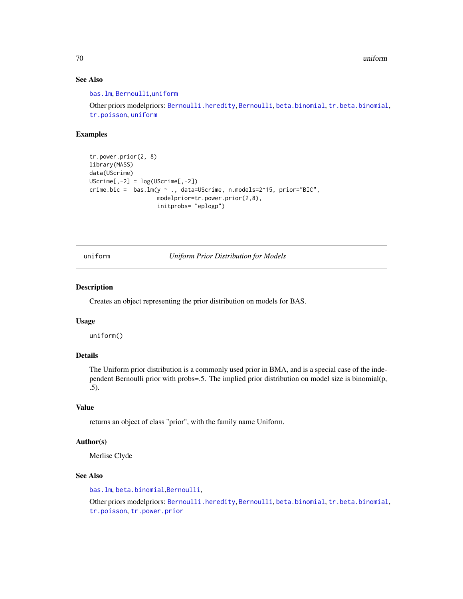70 uniform

## See Also

[bas.lm](#page-8-0), [Bernoulli](#page-17-0),[uniform](#page-69-0)

Other priors modelpriors: [Bernoulli.heredity](#page-18-0), [Bernoulli](#page-17-0), [beta.binomial](#page-18-1), [tr.beta.binomial](#page-66-0), [tr.poisson](#page-67-0), [uniform](#page-69-0)

# Examples

```
tr.power.prior(2, 8)
library(MASS)
data(UScrime)
UScriptime[, -2] = log(UScriptime[, -2])crime.bic = bas.lm(y ~ ., data=UScrime, n.models=2^15, prior="BIC",
                    modelprior=tr.power.prior(2,8),
                     initprobs= "eplogp")
```
<span id="page-69-0"></span>uniform *Uniform Prior Distribution for Models*

## Description

Creates an object representing the prior distribution on models for BAS.

#### Usage

uniform()

## Details

The Uniform prior distribution is a commonly used prior in BMA, and is a special case of the independent Bernoulli prior with probs=.5. The implied prior distribution on model size is binomial(p, .5).

# Value

returns an object of class "prior", with the family name Uniform.

## Author(s)

Merlise Clyde

# See Also

[bas.lm](#page-8-0), [beta.binomial](#page-18-1),[Bernoulli](#page-17-0),

Other priors modelpriors: [Bernoulli.heredity](#page-18-0), [Bernoulli](#page-17-0), [beta.binomial](#page-18-1), [tr.beta.binomial](#page-66-0), [tr.poisson](#page-67-0), [tr.power.prior](#page-68-0)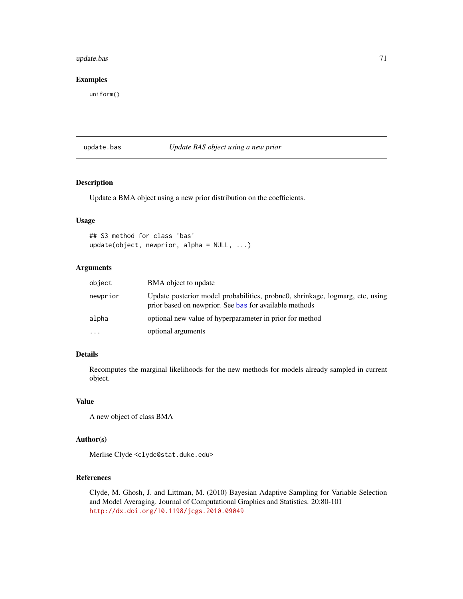# update.bas 71

## Examples

uniform()

#### <span id="page-70-0"></span>update.bas *Update BAS object using a new prior*

# Description

Update a BMA object using a new prior distribution on the coefficients.

#### Usage

```
## S3 method for class 'bas'
update(object, newprior, alpha = NULL, ...)
```
# Arguments

| object    | BMA object to update                                                                                                                    |
|-----------|-----------------------------------------------------------------------------------------------------------------------------------------|
| newprior  | Update posterior model probabilities, probne0, shrinkage, logmarg, etc, using<br>prior based on newprior. See bas for available methods |
| alpha     | optional new value of hyperparameter in prior for method                                                                                |
| $\ddotsc$ | optional arguments                                                                                                                      |

# Details

Recomputes the marginal likelihoods for the new methods for models already sampled in current object.

#### Value

```
A new object of class BMA
```
#### Author(s)

Merlise Clyde <clyde@stat.duke.edu>

#### References

Clyde, M. Ghosh, J. and Littman, M. (2010) Bayesian Adaptive Sampling for Variable Selection and Model Averaging. Journal of Computational Graphics and Statistics. 20:80-101 <http://dx.doi.org/10.1198/jcgs.2010.09049>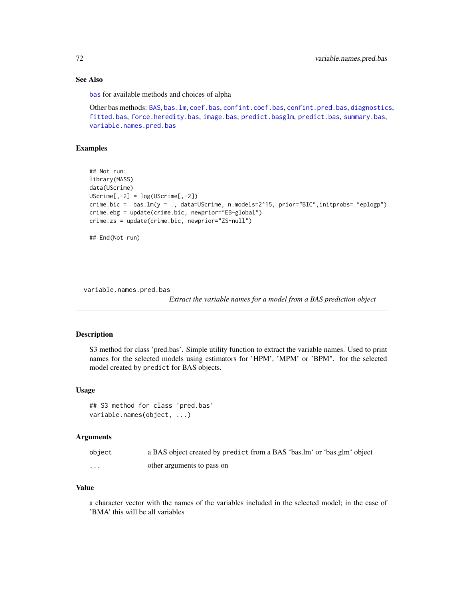# See Also

[bas](#page-8-1) for available methods and choices of alpha

Other bas methods: [BAS](#page-2-0), [bas.lm](#page-8-0), [coef.bas](#page-23-0), [confint.coef.bas](#page-25-0), [confint.pred.bas](#page-27-0), [diagnostics](#page-29-0), [fitted.bas](#page-35-0), [force.heredity.bas](#page-37-0), [image.bas](#page-44-0), [predict.basglm](#page-57-0), [predict.bas](#page-55-0), [summary.bas](#page-62-0), [variable.names.pred.bas](#page-71-0)

#### Examples

```
## Not run:
library(MASS)
data(UScrime)
UScrime[,-2] = log(UScrime[,-2])
crime.bic = bas.lm(y ~ ., data=UScrime, n.models=2^15, prior="BIC",initprobs= "eplogp")
crime.ebg = update(crime.bic, newprior="EB-global")
crime.zs = update(crime.bic, newprior="ZS-null")
## End(Not run)
```
<span id="page-71-0"></span>variable.names.pred.bas

*Extract the variable names for a model from a BAS prediction object*

#### Description

S3 method for class 'pred.bas'. Simple utility function to extract the variable names. Used to print names for the selected models using estimators for 'HPM', 'MPM' or 'BPM". for the selected model created by predict for BAS objects.

# Usage

```
## S3 method for class 'pred.bas'
variable.names(object, ...)
```
## Arguments

| object | a BAS object created by predict from a BAS 'bas.lm' or 'bas.glm' object |
|--------|-------------------------------------------------------------------------|
| .      | other arguments to pass on                                              |

## Value

a character vector with the names of the variables included in the selected model; in the case of 'BMA' this will be all variables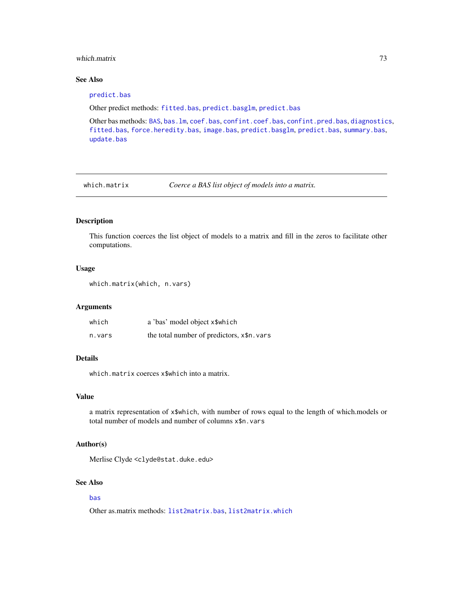#### <span id="page-72-0"></span>which matrix 23

## See Also

#### [predict.bas](#page-55-0)

Other predict methods: [fitted.bas](#page-35-0), [predict.basglm](#page-57-0), [predict.bas](#page-55-0)

Other bas methods: [BAS](#page-2-0), [bas.lm](#page-8-0), [coef.bas](#page-23-0), [confint.coef.bas](#page-25-0), [confint.pred.bas](#page-27-0), [diagnostics](#page-29-0), [fitted.bas](#page-35-0), [force.heredity.bas](#page-37-0), [image.bas](#page-44-0), [predict.basglm](#page-57-0), [predict.bas](#page-55-0), [summary.bas](#page-62-0), [update.bas](#page-70-0)

which.matrix *Coerce a BAS list object of models into a matrix.*

## Description

This function coerces the list object of models to a matrix and fill in the zeros to facilitate other computations.

#### Usage

```
which.matrix(which, n.vars)
```
#### Arguments

| which  | a 'bas' model object x\$which              |
|--------|--------------------------------------------|
| n.vars | the total number of predictors, x\$n. vars |

# Details

which.matrix coerces x\$which into a matrix.

#### Value

a matrix representation of x\$which, with number of rows equal to the length of which.models or total number of models and number of columns x\$n.vars

#### Author(s)

Merlise Clyde <clyde@stat.duke.edu>

## See Also

## [bas](#page-8-1)

Other as.matrix methods: [list2matrix.bas](#page-48-0), [list2matrix.which](#page-49-0)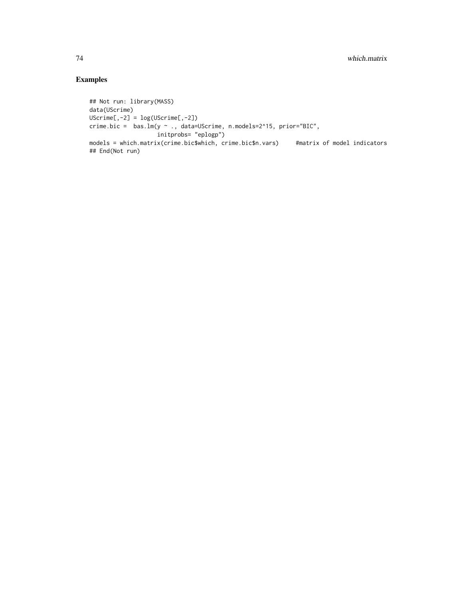# Examples

```
## Not run: library(MASS)
data(UScrime)
UScrime[,-2] = log(UScrime[,-2])
crime.bic = bas.lm(y ~ ., data=UScrime, n.models=2^15, prior="BIC",
                  initprobs= "eplogp")
models = which.matrix(crime.bic$which, crime.bic$n.vars) #matrix of model indicators
## End(Not run)
```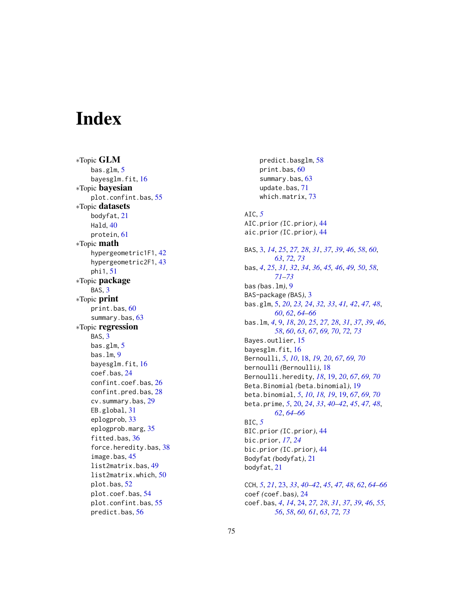# **Index**

∗Topic GLM bas.glm , [5](#page-4-0) bayesglm.fit, [16](#page-15-0) ∗Topic bayesian plot.confint.bas , [55](#page-54-0) ∗Topic datasets bodyfat , [21](#page-20-0) Hald, [40](#page-39-0) protein , [61](#page-60-0) ∗Topic math hypergeometric1F1 , [42](#page-41-0) hypergeometric2F1 , [43](#page-42-0) phi1 , [51](#page-50-0) ∗Topic package BAS, [3](#page-2-1) ∗Topic print print.bas , [60](#page-59-0) summary.bas, [63](#page-62-1) ∗Topic regression BAS, [3](#page-2-1) bas.glm, [5](#page-4-0) bas.lm, [9](#page-8-2) bayesglm.fit , [16](#page-15-0) coef.bas , [24](#page-23-1) confint.coef.bas , [26](#page-25-1) confint.pred.bas , [28](#page-27-1) cv.summary.bas , [29](#page-28-0) EB.global , [31](#page-30-0) eplogprob , [33](#page-32-0) eplogprob.marg , [35](#page-34-0) fitted.bas, [36](#page-35-1) force.heredity.bas , [38](#page-37-1) image.bas , [45](#page-44-1) list2matrix.bas , [49](#page-48-1) list2matrix.which , [50](#page-49-1) plot.bas , [52](#page-51-0) plot.coef.bas , [54](#page-53-0) plot.confint.bas , [55](#page-54-0) predict.bas , [56](#page-55-1)

predict.basglm , [58](#page-57-1) print.bas , [60](#page-59-0) summary.bas, [63](#page-62-1) update.bas , [71](#page-70-1) which.matrix , [73](#page-72-0) AIC , *[5](#page-4-0)* AIC.prior *(*IC.prior *)* , [44](#page-43-0) aic.prior *(*IC.prior *)* , [44](#page-43-0) BAS , [3](#page-2-1) , *[14](#page-13-0)* , *[25](#page-24-0)* , *[27,](#page-26-0) [28](#page-27-1)* , *[31](#page-30-0)* , *[37](#page-36-0)* , *[39](#page-38-0)* , *[46](#page-45-0)* , *[58](#page-57-1)* , *[60](#page-59-0)* , *[63](#page-62-1)* , *[72](#page-71-0) , [73](#page-72-0)* bas , *[4](#page-3-0)* , *[25](#page-24-0)* , *[31](#page-30-0) , [32](#page-31-0)* , *[34](#page-33-0)* , *[36](#page-35-1)* , *[45](#page-44-1) , [46](#page-45-0)* , *[49](#page-48-1) , [50](#page-49-1)* , *[58](#page-57-1)* , *[71](#page-70-1) [–73](#page-72-0)* bas *(*bas.lm *)* , [9](#page-8-2) BAS-package *(*BAS *)* , [3](#page-2-1) bas.glm , [5](#page-4-0) , *[20](#page-19-0)* , *[23](#page-22-0) , [24](#page-23-1)* , *[32](#page-31-0) , [33](#page-32-0)* , *[41](#page-40-0) , [42](#page-41-0)* , *[47,](#page-46-0) [48](#page-47-0)* , *[60](#page-59-0)* , *[62](#page-61-0)* , *[64](#page-63-0) [–66](#page-65-0)* bas.lm , *[4](#page-3-0)* , [9](#page-8-2) , *[18](#page-17-0)* , *[20](#page-19-0)* , *[25](#page-24-0)* , *[27,](#page-26-0) [28](#page-27-1)* , *[31](#page-30-0)* , *[37](#page-36-0)* , *[39](#page-38-0)* , *[46](#page-45-0)* , *[58](#page-57-1)* , *[60](#page-59-0)* , *[63](#page-62-1)* , *[67](#page-66-0)* , *[69](#page-68-0) , [70](#page-69-0)* , *[72](#page-71-0) , [73](#page-72-0)* Bayes.outlier, [15](#page-14-0) bayesglm.fit, [16](#page-15-0) Bernoulli , *[5](#page-4-0)* , *[10](#page-9-0)* , [18](#page-17-0) , *[19](#page-18-0) , [20](#page-19-0)* , *[67](#page-66-0)* , *[69](#page-68-0) , [70](#page-69-0)* bernoulli *(*Bernoulli *)* , [18](#page-17-0) Bernoulli.heredity , *[18](#page-17-0)* , [19](#page-18-0) , *[20](#page-19-0)* , *[67](#page-66-0)* , *[69](#page-68-0) , [70](#page-69-0)* Beta.Binomial *(*beta.binomial *)* , [19](#page-18-0) beta.binomial , *[5](#page-4-0)* , *[10](#page-9-0)* , *[18](#page-17-0) , [19](#page-18-0)* , [19](#page-18-0) , *[67](#page-66-0)* , *[69](#page-68-0) , [70](#page-69-0)* beta.prime , *[5](#page-4-0)* , [20](#page-19-0) , *[24](#page-23-1)* , *[33](#page-32-0)* , *[40](#page-39-0)[–42](#page-41-0)* , *[45](#page-44-1)* , *[47,](#page-46-0) [48](#page-47-0)* , *[62](#page-61-0)* , *[64](#page-63-0) [–66](#page-65-0)* BIC , *[5](#page-4-0)* BIC.prior *(*IC.prior *)* , [44](#page-43-0) bic.prior , *[17](#page-16-0)* , *[24](#page-23-1)* bic.prior *(*IC.prior *)* , [44](#page-43-0) Bodyfat *(*bodyfat *)* , [21](#page-20-0) bodyfat , [21](#page-20-0) CCH , *[5](#page-4-0)* , *[21](#page-20-0)* , [23](#page-22-0) , *[33](#page-32-0)* , *[40–](#page-39-0)[42](#page-41-0)* , *[45](#page-44-1)* , *[47,](#page-46-0) [48](#page-47-0)* , *[62](#page-61-0)* , *[64](#page-63-0) [–66](#page-65-0)*

coef *(*coef.bas *)* , [24](#page-23-1) coef.bas , *[4](#page-3-0)* , *[14](#page-13-0)* , [24](#page-23-1) , *[27,](#page-26-0) [28](#page-27-1)* , *[31](#page-30-0)* , *[37](#page-36-0)* , *[39](#page-38-0)* , *[46](#page-45-0)* , *[55](#page-54-0) , [56](#page-55-1)* , *[58](#page-57-1)* , *[60](#page-59-0) , [61](#page-60-0)* , *[63](#page-62-1)* , *[72](#page-71-0) , [73](#page-72-0)*